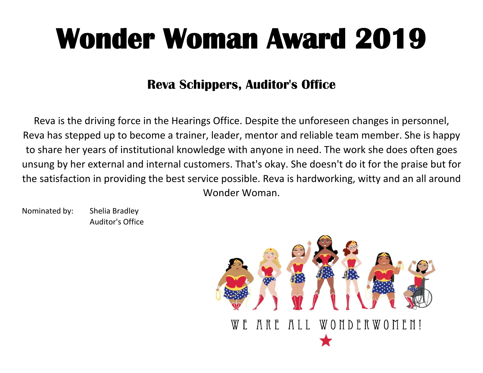#### **Reva Schippers, Auditor's Office**

Reva is the driving force in the Hearings Office. Despite the unforeseen changes in personnel, Reva has stepped up to become a trainer, leader, mentor and reliable team member. She is happy to share her years of institutional knowledge with anyone in need. The work she does often goes unsung by her external and internal customers. That's okay. She doesn't do it for the praise but for the satisfaction in providing the best service possible. Reva is hardworking, witty and an all around Wonder Woman.

Nominated by: Shelia Bradley Auditor's Office

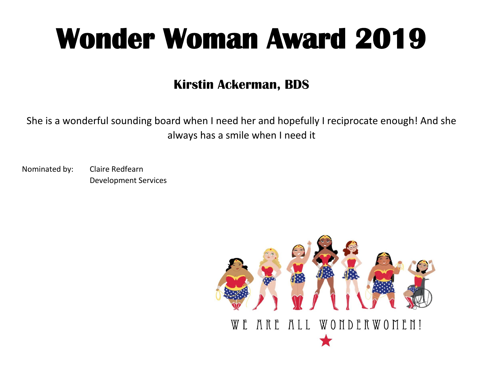#### **Kirstin Ackerman, BDS**

She is a wonderful sounding board when I need her and hopefully I reciprocate enough! And she always has a smile when I need it

Nominated by: Claire Redfearn Development Services

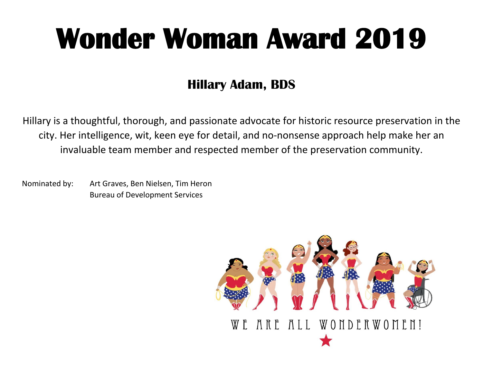#### **Hillary Adam, BDS**

Hillary is a thoughtful, thorough, and passionate advocate for historic resource preservation in the city. Her intelligence, wit, keen eye for detail, and no-nonsense approach help make her an invaluable team member and respected member of the preservation community.

Nominated by: Art Graves, Ben Nielsen, Tim Heron Bureau of Development Services

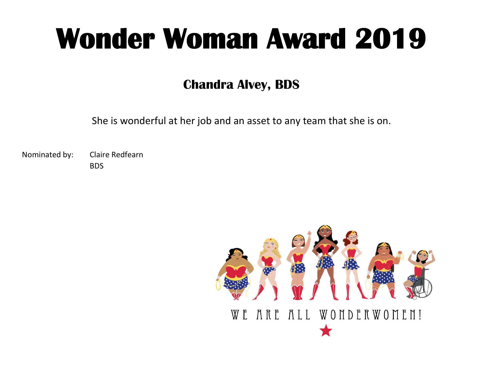#### **Chandra Alvey, BDS**

She is wonderful at her job and an asset to any team that she is on.

Nominated by: Claire Redfearn BDS

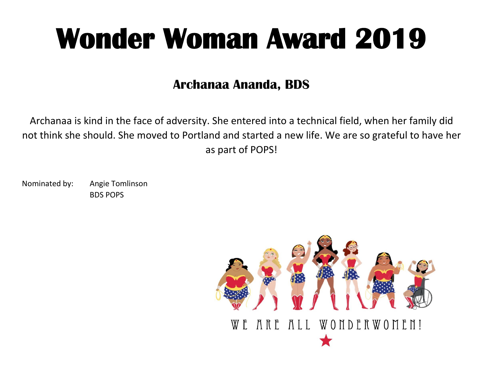#### **Archanaa Ananda, BDS**

Archanaa is kind in the face of adversity. She entered into a technical field, when her family did not think she should. She moved to Portland and started a new life. We are so grateful to have her as part of POPS!

Nominated by: Angie Tomlinson BDS POPS

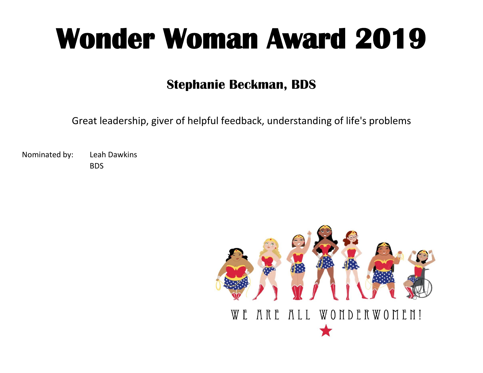#### **Stephanie Beckman, BDS**

Great leadership, giver of helpful feedback, understanding of life's problems

Nominated by: Leah Dawkins BDS

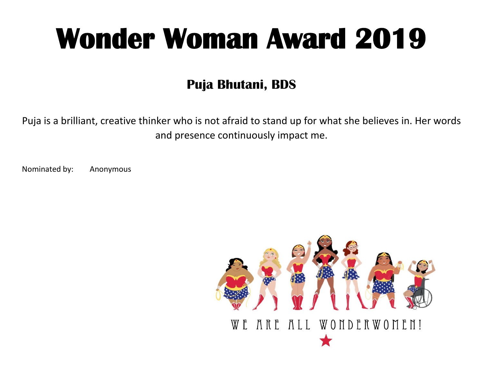### **Puja Bhutani, BDS**

Puja is a brilliant, creative thinker who is not afraid to stand up for what she believes in. Her words and presence continuously impact me.

Nominated by: Anonymous

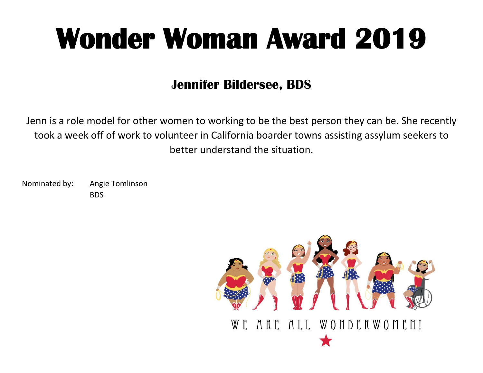#### **Jennifer Bildersee, BDS**

Jenn is a role model for other women to working to be the best person they can be. She recently took a week off of work to volunteer in California boarder towns assisting assylum seekers to better understand the situation.

Nominated by: Angie Tomlinson BDS

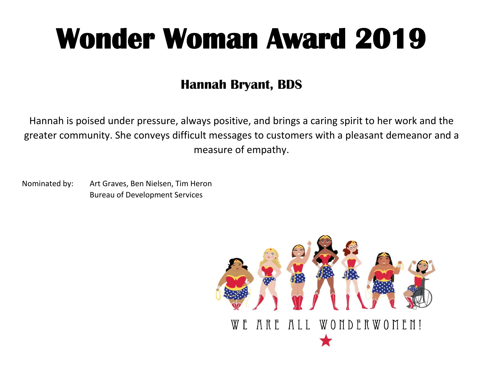### **Hannah Bryant, BDS**

Hannah is poised under pressure, always positive, and brings a caring spirit to her work and the greater community. She conveys difficult messages to customers with a pleasant demeanor and a measure of empathy.

Nominated by: Art Graves, Ben Nielsen, Tim Heron Bureau of Development Services

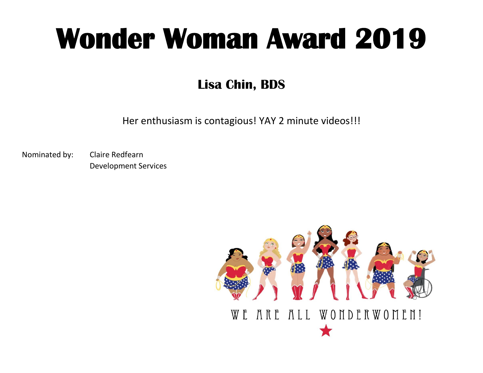#### **Lisa Chin, BDS**

Her enthusiasm is contagious! YAY 2 minute videos!!!

Nominated by: Claire Redfearn Development Services

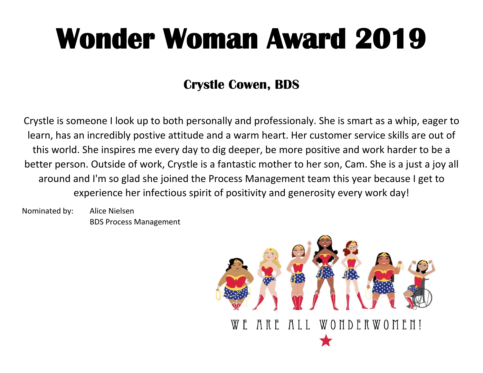#### **Crystle Cowen, BDS**

Crystle is someone I look up to both personally and professionaly. She is smart as a whip, eager to learn, has an incredibly postive attitude and a warm heart. Her customer service skills are out of this world. She inspires me every day to dig deeper, be more positive and work harder to be a better person. Outside of work, Crystle is a fantastic mother to her son, Cam. She is a just a joy all around and I'm so glad she joined the Process Management team this year because I get to experience her infectious spirit of positivity and generosity every work day!

Nominated by: Alice Nielsen BDS Process Management

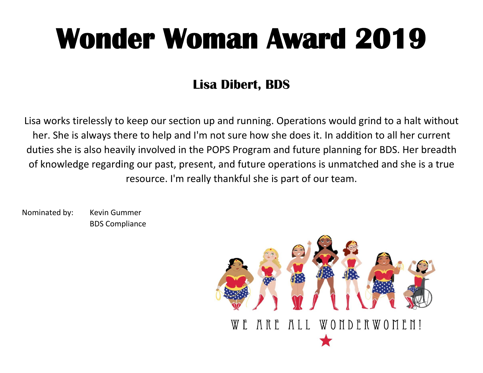### **Lisa Dibert, BDS**

Lisa works tirelessly to keep our section up and running. Operations would grind to a halt without her. She is always there to help and I'm not sure how she does it. In addition to all her current duties she is also heavily involved in the POPS Program and future planning for BDS. Her breadth of knowledge regarding our past, present, and future operations is unmatched and she is a true resource. I'm really thankful she is part of our team.

Nominated by: Kevin Gummer BDS Compliance

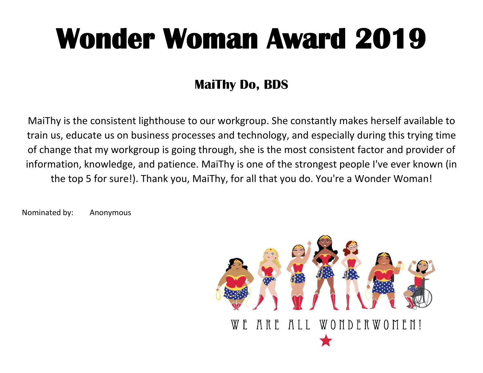### **MaiThy Do, BDS**

MaiThy is the consistent lighthouse to our workgroup. She constantly makes herself available to train us, educate us on business processes and technology, and especially during this trying time of change that my workgroup is going through, she is the most consistent factor and provider of information, knowledge, and patience. MaiThy is one of the strongest people I've ever known (in the top 5 for sure!). Thank you, MaiThy, for all that you do. You're a Wonder Woman!

Nominated by: Anonymous

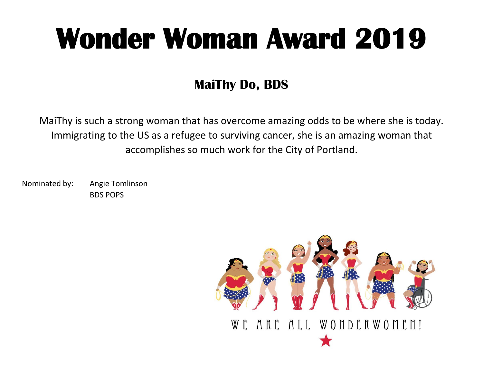### **MaiThy Do, BDS**

MaiThy is such a strong woman that has overcome amazing odds to be where she is today. Immigrating to the US as a refugee to surviving cancer, she is an amazing woman that accomplishes so much work for the City of Portland.

Nominated by: Angie Tomlinson BDS POPS

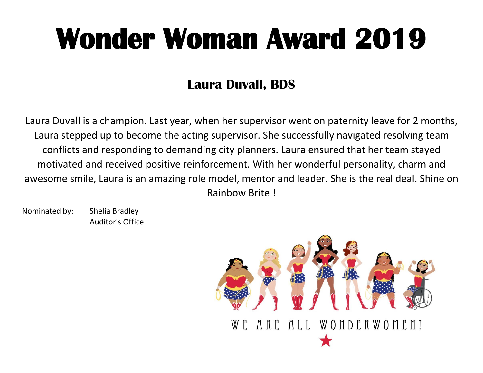#### **Laura Duvall, BDS**

Laura Duvall is a champion. Last year, when her supervisor went on paternity leave for 2 months, Laura stepped up to become the acting supervisor. She successfully navigated resolving team conflicts and responding to demanding city planners. Laura ensured that her team stayed motivated and received positive reinforcement. With her wonderful personality, charm and awesome smile, Laura is an amazing role model, mentor and leader. She is the real deal. Shine on Rainbow Brite !

Nominated by: Shelia Bradley Auditor's Office

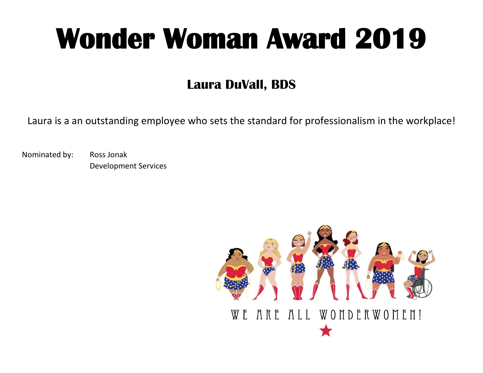#### **Laura DuVall, BDS**

Laura is a an outstanding employee who sets the standard for professionalism in the workplace!

Nominated by: Ross Jonak Development Services

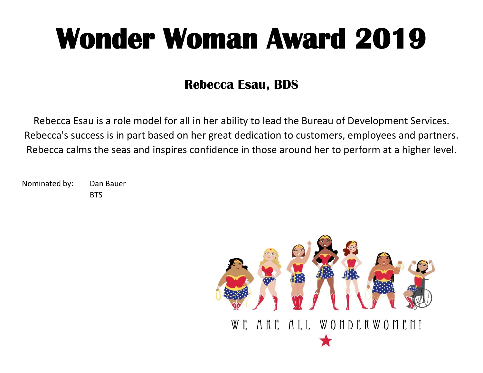#### **Rebecca Esau, BDS**

Rebecca Esau is a role model for all in her ability to lead the Bureau of Development Services. Rebecca's success is in part based on her great dedication to customers, employees and partners. Rebecca calms the seas and inspires confidence in those around her to perform at a higher level.

Nominated by: Dan Bauer **BTS** 

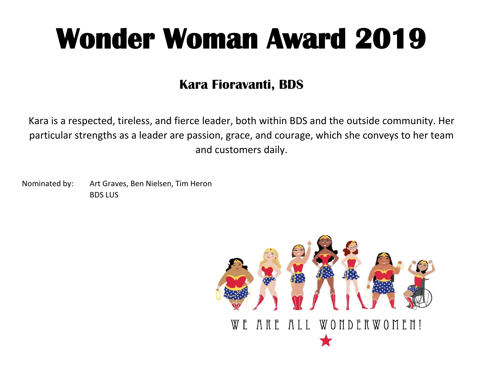#### **Kara Fioravanti, BDS**

Kara is a respected, tireless, and fierce leader, both within BDS and the outside community. Her particular strengths as a leader are passion, grace, and courage, which she conveys to her team and customers daily.

Nominated by: Art Graves, Ben Nielsen, Tim Heron BDS LUS

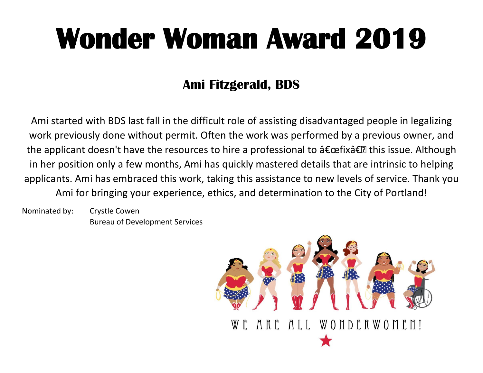### **Ami Fitzgerald, BDS**

Ami started with BDS last fall in the difficult role of assisting disadvantaged people in legalizing work previously done without permit. Often the work was performed by a previous owner, and the applicant doesn't have the resources to hire a professional to  $\hat{a} \in \hat{c}$  this issue. Although in her position only a few months, Ami has quickly mastered details that are intrinsic to helping applicants. Ami has embraced this work, taking this assistance to new levels of service. Thank you Ami for bringing your experience, ethics, and determination to the City of Portland!

Nominated by: Crystle Cowen Bureau of Development Services

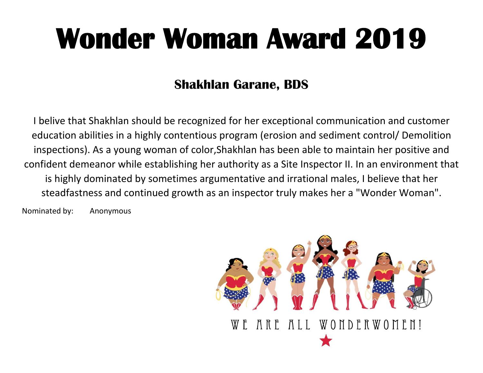#### **Shakhlan Garane, BDS**

I belive that Shakhlan should be recognized for her exceptional communication and customer education abilities in a highly contentious program (erosion and sediment control/ Demolition inspections). As a young woman of color,Shakhlan has been able to maintain her positive and confident demeanor while establishing her authority as a Site Inspector II. In an environment that is highly dominated by sometimes argumentative and irrational males, I believe that her steadfastness and continued growth as an inspector truly makes her a "Wonder Woman".

Nominated by: Anonymous

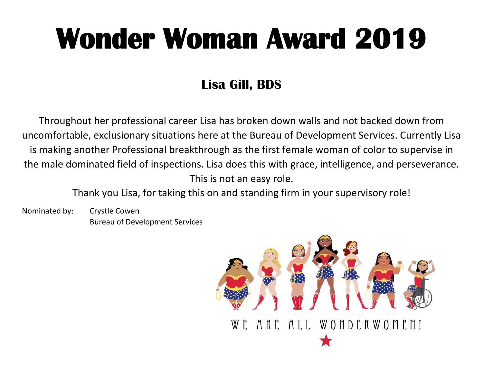### **Lisa Gill, BDS**

Throughout her professional career Lisa has broken down walls and not backed down from uncomfortable, exclusionary situations here at the Bureau of Development Services. Currently Lisa is making another Professional breakthrough as the first female woman of color to supervise in the male dominated field of inspections. Lisa does this with grace, intelligence, and perseverance. This is not an easy role.

Thank you Lisa, for taking this on and standing firm in your supervisory role!

Nominated by: Crystle Cowen Bureau of Development Services

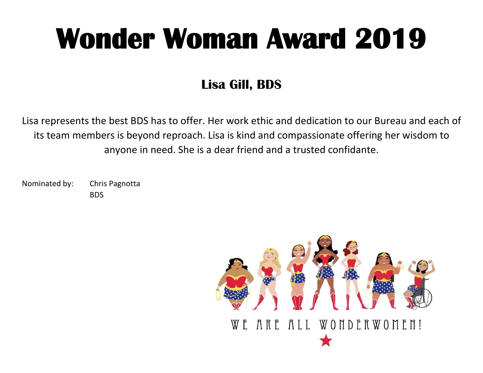### **Lisa Gill, BDS**

Lisa represents the best BDS has to offer. Her work ethic and dedication to our Bureau and each of its team members is beyond reproach. Lisa is kind and compassionate offering her wisdom to anyone in need. She is a dear friend and a trusted confidante.

Nominated by: Chris Pagnotta BDS

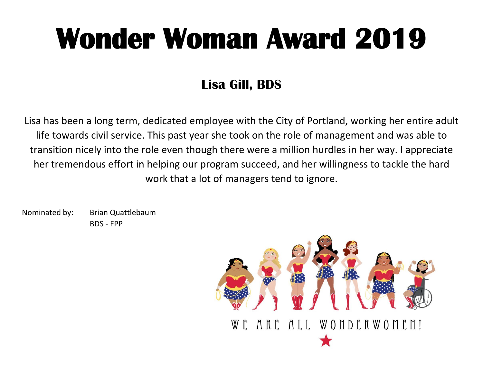### **Lisa Gill, BDS**

Lisa has been a long term, dedicated employee with the City of Portland, working her entire adult life towards civil service. This past year she took on the role of management and was able to transition nicely into the role even though there were a million hurdles in her way. I appreciate her tremendous effort in helping our program succeed, and her willingness to tackle the hard work that a lot of managers tend to ignore.

Nominated by: Brian Quattlebaum BDS - FPP

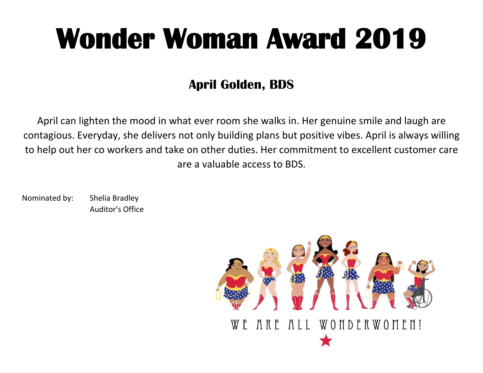#### **April Golden, BDS**

April can lighten the mood in what ever room she walks in. Her genuine smile and laugh are contagious. Everyday, she delivers not only building plans but positive vibes. April is always willing to help out her co workers and take on other duties. Her commitment to excellent customer care are a valuable access to BDS.

Nominated by: Shelia Bradley Auditor's Office

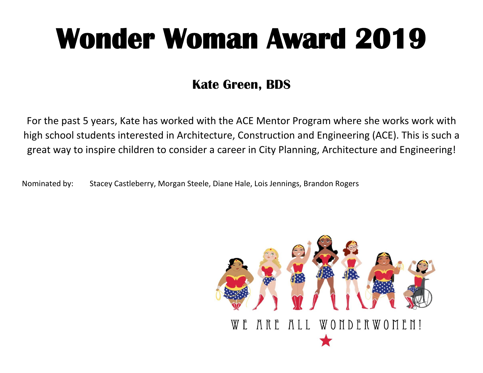#### **Kate Green, BDS**

For the past 5 years, Kate has worked with the ACE Mentor Program where she works work with high school students interested in Architecture, Construction and Engineering (ACE). This is such a great way to inspire children to consider a career in City Planning, Architecture and Engineering!

Nominated by: Stacey Castleberry, Morgan Steele, Diane Hale, Lois Jennings, Brandon Rogers

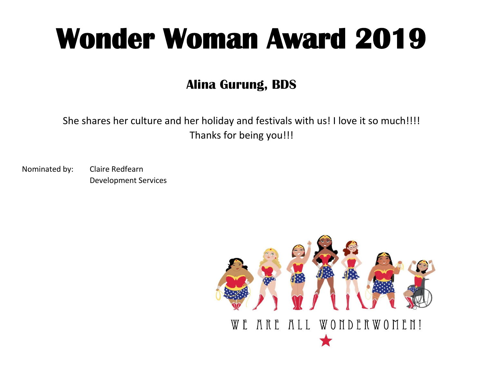#### **Alina Gurung, BDS**

She shares her culture and her holiday and festivals with us! I love it so much!!!! Thanks for being you!!!

Nominated by: Claire Redfearn Development Services

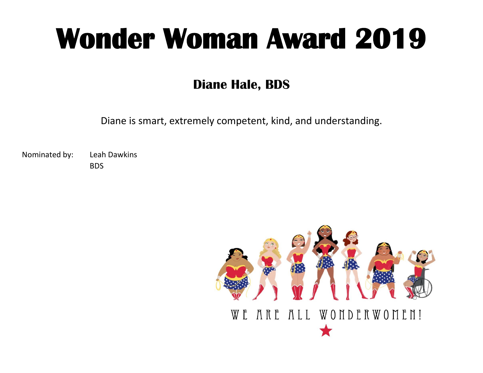#### **Diane Hale, BDS**

Diane is smart, extremely competent, kind, and understanding.

Nominated by: Leah Dawkins BDS

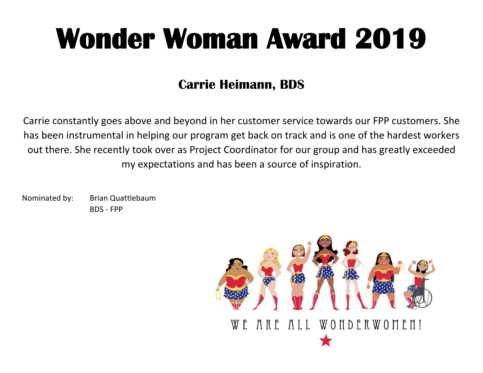#### **Carrie Heimann, BDS**

Carrie constantly goes above and beyond in her customer service towards our FPP customers. She has been instrumental in helping our program get back on track and is one of the hardest workers out there. She recently took over as Project Coordinator for our group and has greatly exceeded my expectations and has been a source of inspiration.

Nominated by: Brian Quattlebaum BDS - FPP

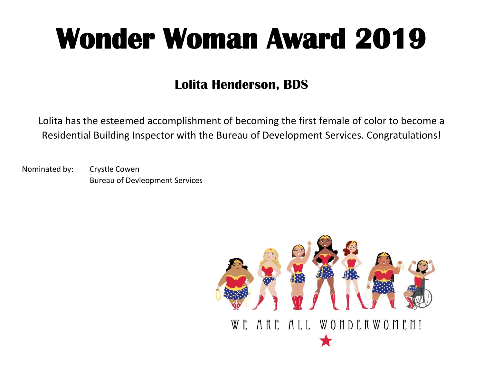#### **Lolita Henderson, BDS**

Lolita has the esteemed accomplishment of becoming the first female of color to become a Residential Building Inspector with the Bureau of Development Services. Congratulations!

Nominated by: Crystle Cowen Bureau of Devleopment Services

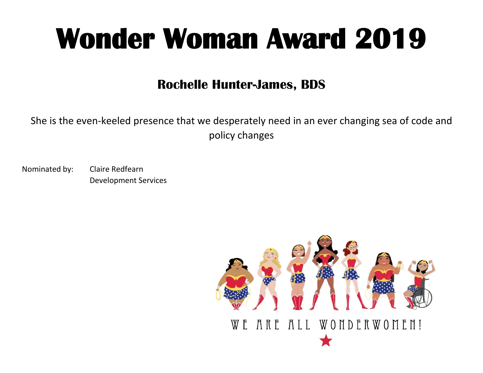#### **Rochelle Hunter-James, BDS**

She is the even-keeled presence that we desperately need in an ever changing sea of code and policy changes

Nominated by: Claire Redfearn Development Services

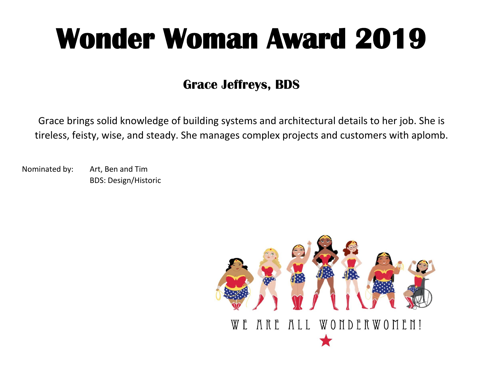#### **Grace Jeffreys, BDS**

Grace brings solid knowledge of building systems and architectural details to her job. She is tireless, feisty, wise, and steady. She manages complex projects and customers with aplomb.

Nominated by: Art, Ben and Tim BDS: Design/Historic

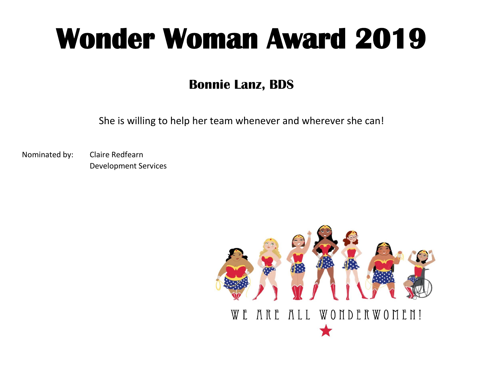#### **Bonnie Lanz, BDS**

She is willing to help her team whenever and wherever she can!

Nominated by: Claire Redfearn Development Services

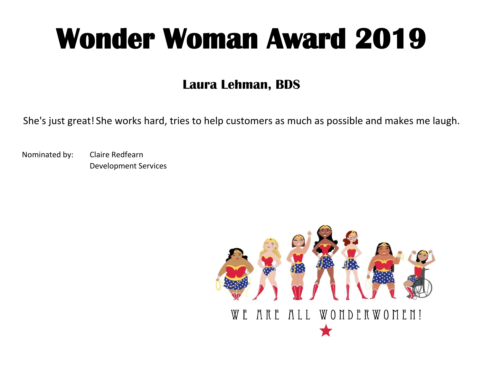#### **Laura Lehman, BDS**

She's just great! She works hard, tries to help customers as much as possible and makes me laugh.

Nominated by: Claire Redfearn Development Services

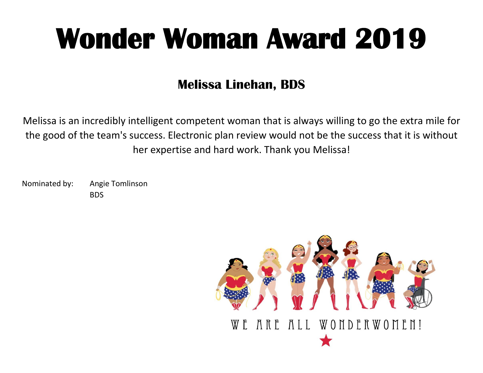#### **Melissa Linehan, BDS**

Melissa is an incredibly intelligent competent woman that is always willing to go the extra mile for the good of the team's success. Electronic plan review would not be the success that it is without her expertise and hard work. Thank you Melissa!

Nominated by: Angie Tomlinson BDS

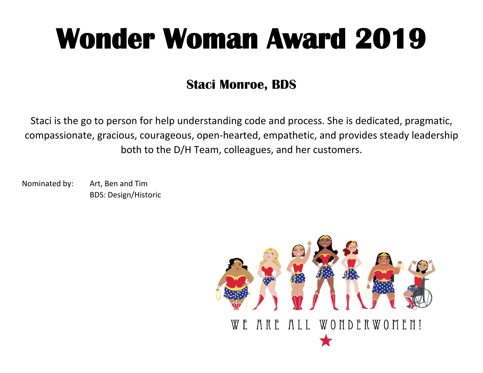### **Staci Monroe, BDS**

Staci is the go to person for help understanding code and process. She is dedicated, pragmatic, compassionate, gracious, courageous, open-hearted, empathetic, and provides steady leadership both to the D/H Team, colleagues, and her customers.

Nominated by: Art, Ben and Tim BDS: Design/Historic

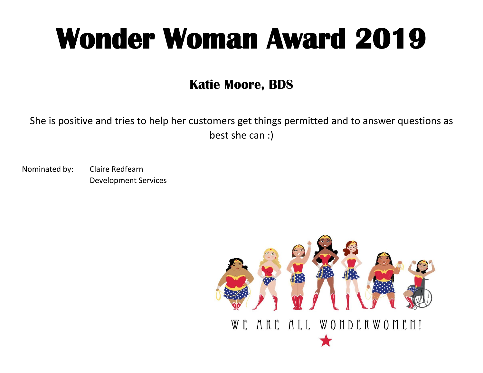#### **Katie Moore, BDS**

She is positive and tries to help her customers get things permitted and to answer questions as best she can :)

Nominated by: Claire Redfearn Development Services

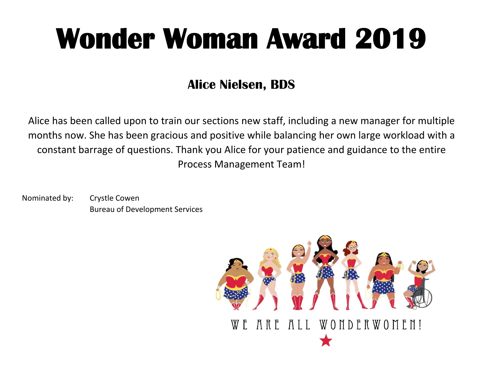### **Alice Nielsen, BDS**

Alice has been called upon to train our sections new staff, including a new manager for multiple months now. She has been gracious and positive while balancing her own large workload with a constant barrage of questions. Thank you Alice for your patience and guidance to the entire Process Management Team!

Nominated by: Crystle Cowen Bureau of Development Services

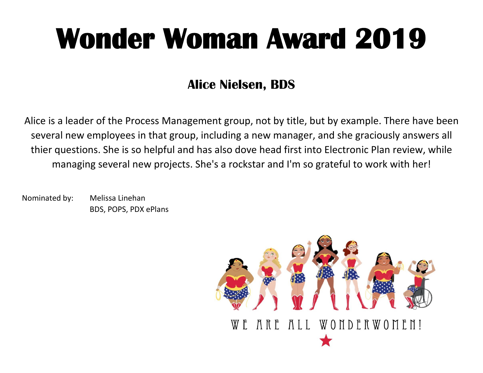#### **Alice Nielsen, BDS**

Alice is a leader of the Process Management group, not by title, but by example. There have been several new employees in that group, including a new manager, and she graciously answers all thier questions. She is so helpful and has also dove head first into Electronic Plan review, while managing several new projects. She's a rockstar and I'm so grateful to work with her!

Nominated by: Melissa Linehan BDS, POPS, PDX ePlans

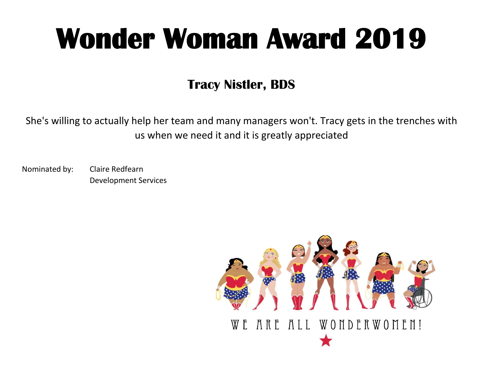#### **Tracy Nistler, BDS**

She's willing to actually help her team and many managers won't. Tracy gets in the trenches with us when we need it and it is greatly appreciated

Nominated by: Claire Redfearn Development Services

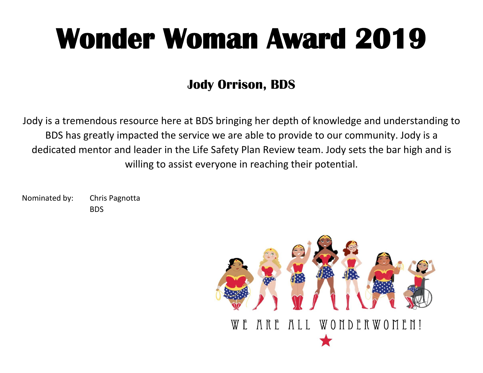### **Jody Orrison, BDS**

Jody is a tremendous resource here at BDS bringing her depth of knowledge and understanding to BDS has greatly impacted the service we are able to provide to our community. Jody is a dedicated mentor and leader in the Life Safety Plan Review team. Jody sets the bar high and is willing to assist everyone in reaching their potential.

Nominated by: Chris Pagnotta BDS

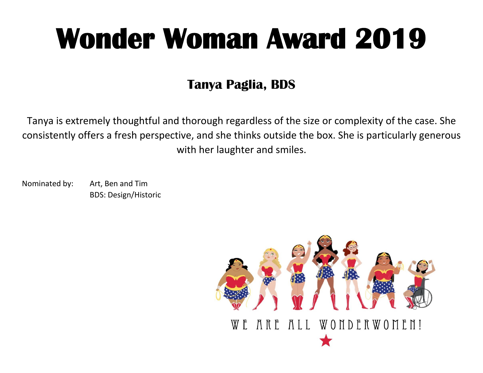### **Tanya Paglia, BDS**

Tanya is extremely thoughtful and thorough regardless of the size or complexity of the case. She consistently offers a fresh perspective, and she thinks outside the box. She is particularly generous with her laughter and smiles.

Nominated by: Art, Ben and Tim BDS: Design/Historic

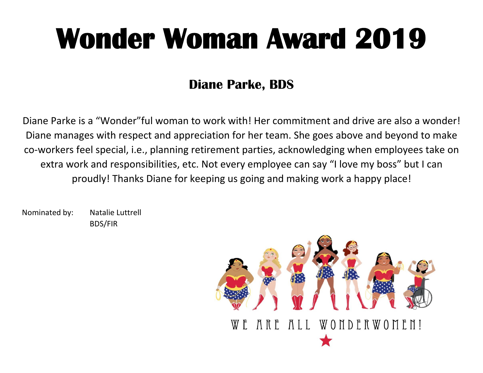### **Diane Parke, BDS**

Diane Parke is a "Wonder"ful woman to work with! Her commitment and drive are also a wonder! Diane manages with respect and appreciation for her team. She goes above and beyond to make co-workers feel special, i.e., planning retirement parties, acknowledging when employees take on extra work and responsibilities, etc. Not every employee can say "I love my boss" but I can proudly! Thanks Diane for keeping us going and making work a happy place!

Nominated by: Natalie Luttrell BDS/FIR

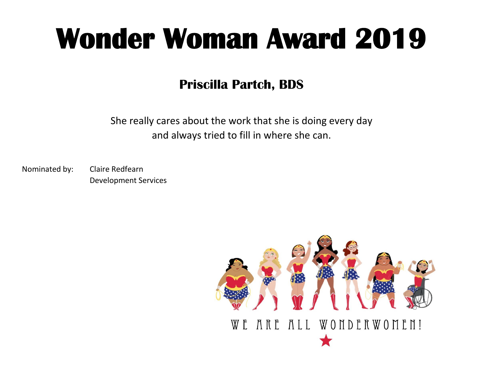#### **Priscilla Partch, BDS**

She really cares about the work that she is doing every day and always tried to fill in where she can.

Nominated by: Claire Redfearn

Development Services

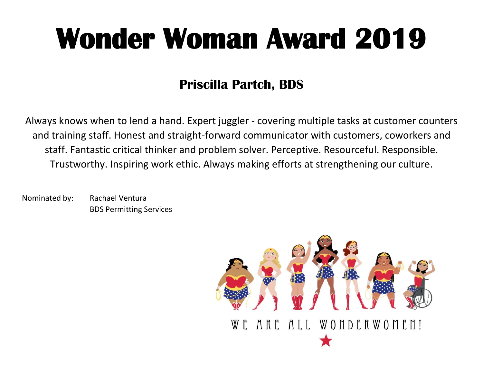### **Priscilla Partch, BDS**

Always knows when to lend a hand. Expert juggler - covering multiple tasks at customer counters and training staff. Honest and straight-forward communicator with customers, coworkers and staff. Fantastic critical thinker and problem solver. Perceptive. Resourceful. Responsible. Trustworthy. Inspiring work ethic. Always making efforts at strengthening our culture.

Nominated by: Rachael Ventura BDS Permitting Services

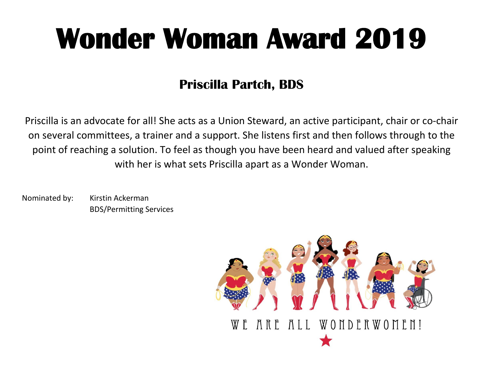### **Priscilla Partch, BDS**

Priscilla is an advocate for all! She acts as a Union Steward, an active participant, chair or co-chair on several committees, a trainer and a support. She listens first and then follows through to the point of reaching a solution. To feel as though you have been heard and valued after speaking with her is what sets Priscilla apart as a Wonder Woman.

Nominated by: Kirstin Ackerman BDS/Permitting Services

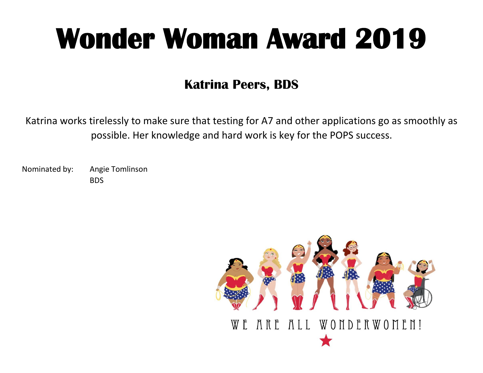#### **Katrina Peers, BDS**

Katrina works tirelessly to make sure that testing for A7 and other applications go as smoothly as possible. Her knowledge and hard work is key for the POPS success.

Nominated by: Angie Tomlinson BDS

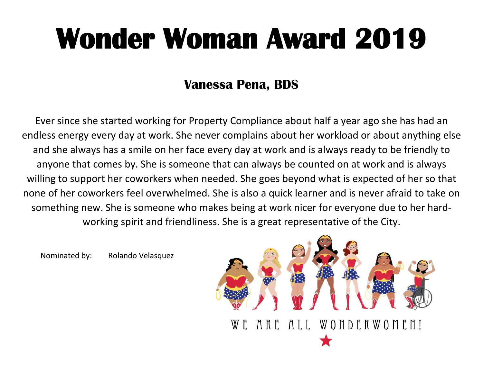#### **Vanessa Pena, BDS**

Ever since she started working for Property Compliance about half a year ago she has had an endless energy every day at work. She never complains about her workload or about anything else and she always has a smile on her face every day at work and is always ready to be friendly to anyone that comes by. She is someone that can always be counted on at work and is always willing to support her coworkers when needed. She goes beyond what is expected of her so that none of her coworkers feel overwhelmed. She is also a quick learner and is never afraid to take on something new. She is someone who makes being at work nicer for everyone due to her hardworking spirit and friendliness. She is a great representative of the City.

Nominated by: Rolando Velasquez

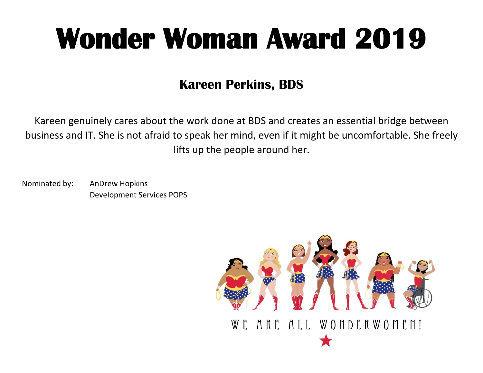#### **Kareen Perkins, BDS**

Kareen genuinely cares about the work done at BDS and creates an essential bridge between business and IT. She is not afraid to speak her mind, even if it might be uncomfortable. She freely lifts up the people around her.

Nominated by: AnDrew Hopkins Development Services POPS

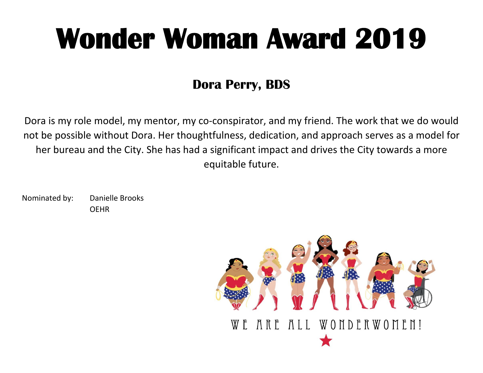### **Dora Perry, BDS**

Dora is my role model, my mentor, my co-conspirator, and my friend. The work that we do would not be possible without Dora. Her thoughtfulness, dedication, and approach serves as a model for her bureau and the City. She has had a significant impact and drives the City towards a more equitable future.

Nominated by: Danielle Brooks OEHR

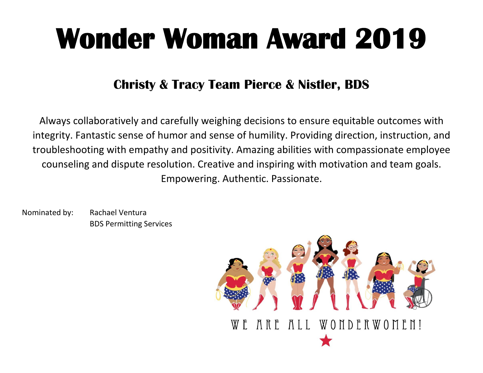#### **Christy & Tracy Team Pierce & Nistler, BDS**

Always collaboratively and carefully weighing decisions to ensure equitable outcomes with integrity. Fantastic sense of humor and sense of humility. Providing direction, instruction, and troubleshooting with empathy and positivity. Amazing abilities with compassionate employee counseling and dispute resolution. Creative and inspiring with motivation and team goals. Empowering. Authentic. Passionate.

Nominated by: Rachael Ventura BDS Permitting Services

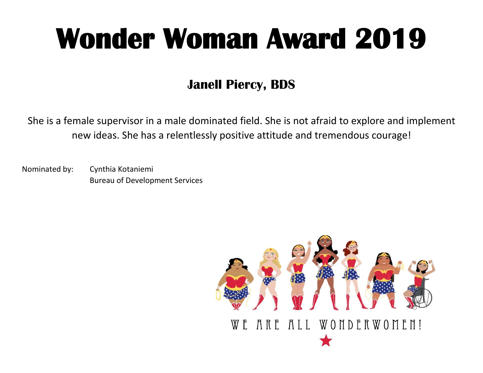### **Janell Piercy, BDS**

She is a female supervisor in a male dominated field. She is not afraid to explore and implement new ideas. She has a relentlessly positive attitude and tremendous courage!

Nominated by: Cynthia Kotaniemi Bureau of Development Services

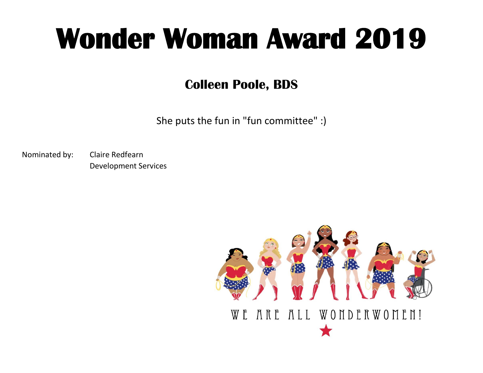#### **Colleen Poole, BDS**

She puts the fun in "fun committee" :)

Nominated by: Claire Redfearn Development Services

WE ARE ALL WONDERWOMEN!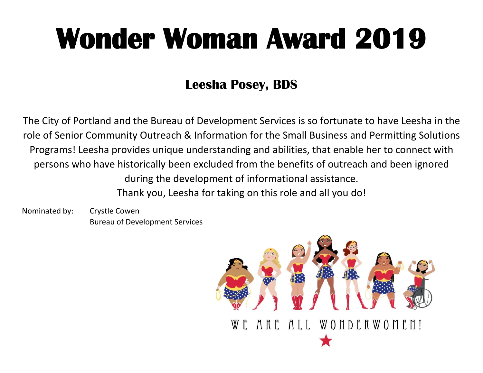### **Leesha Posey, BDS**

The City of Portland and the Bureau of Development Services is so fortunate to have Leesha in the role of Senior Community Outreach & Information for the Small Business and Permitting Solutions Programs! Leesha provides unique understanding and abilities, that enable her to connect with persons who have historically been excluded from the benefits of outreach and been ignored during the development of informational assistance. Thank you, Leesha for taking on this role and all you do!

Nominated by: Crystle Cowen Bureau of Development Services

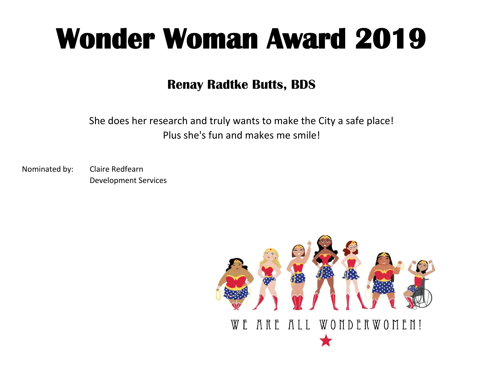#### **Renay Radtke Butts, BDS**

She does her research and truly wants to make the City a safe place! Plus she's fun and makes me smile!

Nominated by: Claire Redfearn Development Services

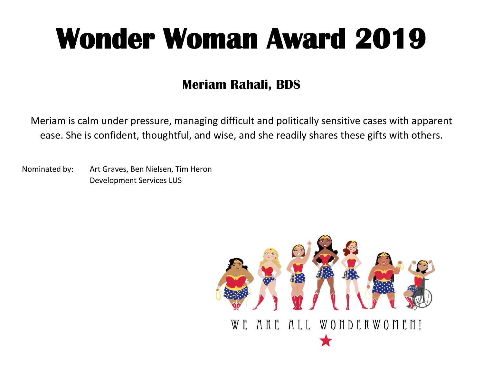#### **Meriam Rahali, BDS**

Meriam is calm under pressure, managing difficult and politically sensitive cases with apparent ease. She is confident, thoughtful, and wise, and she readily shares these gifts with others.

Nominated by: Art Graves, Ben Nielsen, Tim Heron Development Services LUS

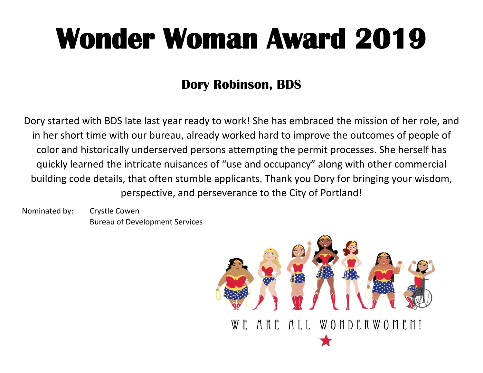### **Dory Robinson, BDS**

Dory started with BDS late last year ready to work! She has embraced the mission of her role, and in her short time with our bureau, already worked hard to improve the outcomes of people of color and historically underserved persons attempting the permit processes. She herself has quickly learned the intricate nuisances of "use and occupancy" along with other commercial building code details, that often stumble applicants. Thank you Dory for bringing your wisdom, perspective, and perseverance to the City of Portland!

Nominated by: Crystle Cowen Bureau of Development Services

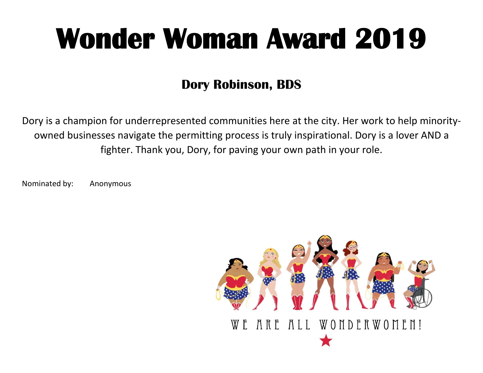### **Dory Robinson, BDS**

Dory is a champion for underrepresented communities here at the city. Her work to help minorityowned businesses navigate the permitting process is truly inspirational. Dory is a lover AND a fighter. Thank you, Dory, for paving your own path in your role.

Nominated by: Anonymous

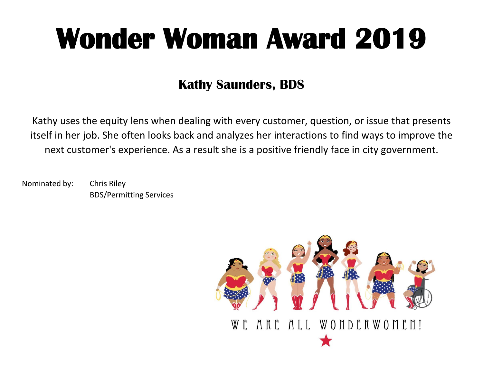#### **Kathy Saunders, BDS**

Kathy uses the equity lens when dealing with every customer, question, or issue that presents itself in her job. She often looks back and analyzes her interactions to find ways to improve the next customer's experience. As a result she is a positive friendly face in city government.

Nominated by: Chris Riley BDS/Permitting Services

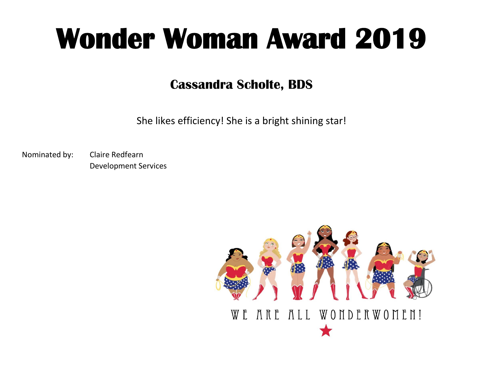#### **Cassandra Scholte, BDS**

She likes efficiency! She is a bright shining star!

Nominated by: Claire Redfearn

Development Services

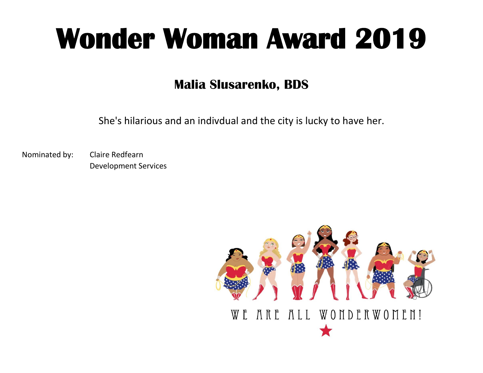#### **Malia Slusarenko, BDS**

She's hilarious and an indivdual and the city is lucky to have her.

Nominated by: Claire Redfearn Development Services

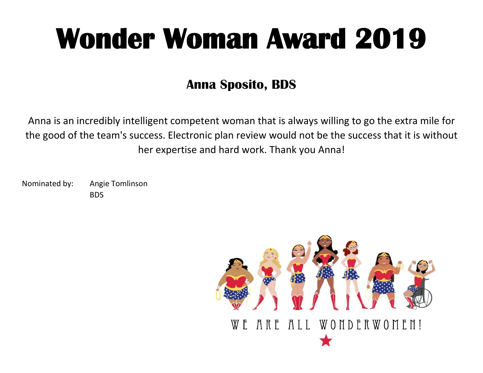### **Anna Sposito, BDS**

Anna is an incredibly intelligent competent woman that is always willing to go the extra mile for the good of the team's success. Electronic plan review would not be the success that it is without her expertise and hard work. Thank you Anna!

Nominated by: Angie Tomlinson BDS

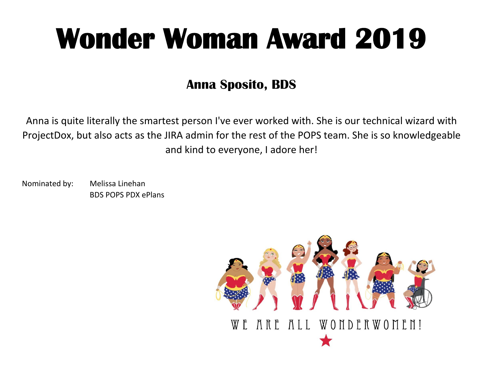### **Anna Sposito, BDS**

Anna is quite literally the smartest person I've ever worked with. She is our technical wizard with ProjectDox, but also acts as the JIRA admin for the rest of the POPS team. She is so knowledgeable and kind to everyone, I adore her!

Nominated by: Melissa Linehan BDS POPS PDX ePlans

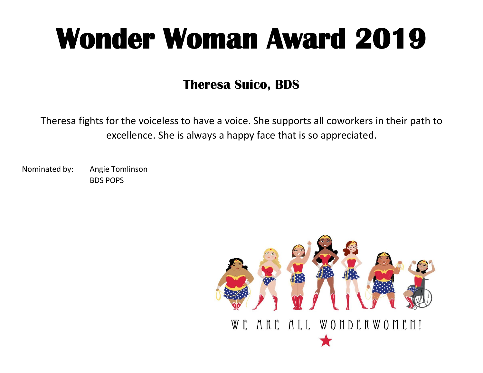#### **Theresa Suico, BDS**

Theresa fights for the voiceless to have a voice. She supports all coworkers in their path to excellence. She is always a happy face that is so appreciated.

Nominated by: Angie Tomlinson BDS POPS

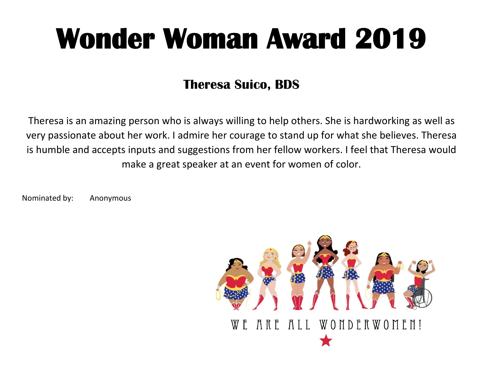#### **Theresa Suico, BDS**

Theresa is an amazing person who is always willing to help others. She is hardworking as well as very passionate about her work. I admire her courage to stand up for what she believes. Theresa is humble and accepts inputs and suggestions from her fellow workers. I feel that Theresa would make a great speaker at an event for women of color.

Nominated by: Anonymous

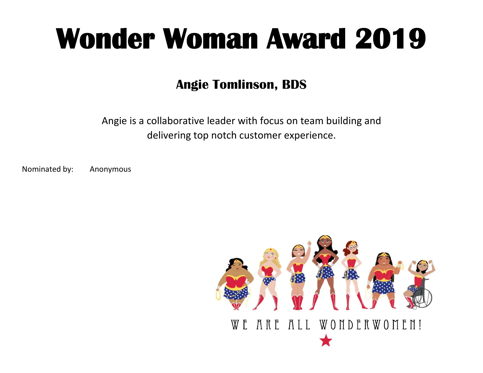#### **Angie Tomlinson, BDS**

Angie is a collaborative leader with focus on team building and delivering top notch customer experience.

Nominated by: Anonymous

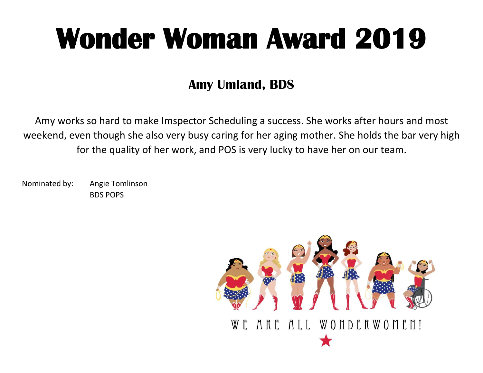#### **Amy Umland, BDS**

Amy works so hard to make Imspector Scheduling a success. She works after hours and most weekend, even though she also very busy caring for her aging mother. She holds the bar very high for the quality of her work, and POS is very lucky to have her on our team.

Nominated by: Angie Tomlinson BDS POPS

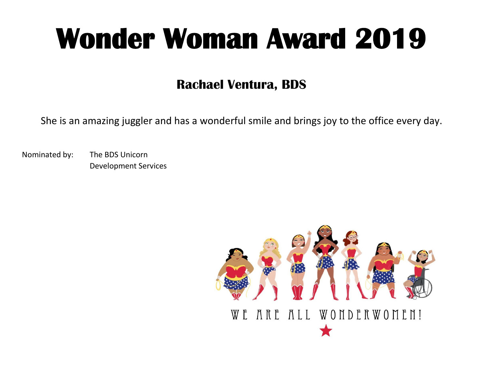#### **Rachael Ventura, BDS**

She is an amazing juggler and has a wonderful smile and brings joy to the office every day.

Nominated by: The BDS Unicorn Development Services

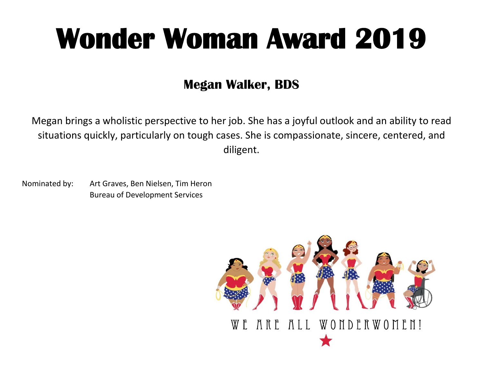#### **Megan Walker, BDS**

Megan brings a wholistic perspective to her job. She has a joyful outlook and an ability to read situations quickly, particularly on tough cases. She is compassionate, sincere, centered, and diligent.

Nominated by: Art Graves, Ben Nielsen, Tim Heron Bureau of Development Services

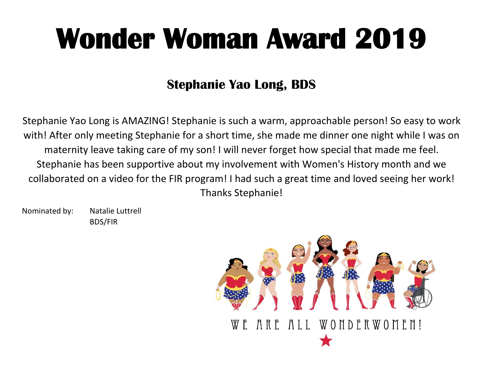#### **Stephanie Yao Long, BDS**

Stephanie Yao Long is AMAZING! Stephanie is such a warm, approachable person! So easy to work with! After only meeting Stephanie for a short time, she made me dinner one night while I was on maternity leave taking care of my son! I will never forget how special that made me feel. Stephanie has been supportive about my involvement with Women's History month and we collaborated on a video for the FIR program! I had such a great time and loved seeing her work! Thanks Stephanie!

Nominated by: Natalie Luttrell BDS/FIR

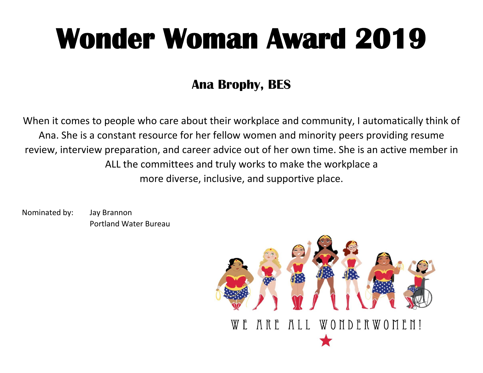### **Ana Brophy, BES**

When it comes to people who care about their workplace and community, I automatically think of Ana. She is a constant resource for her fellow women and minority peers providing resume review, interview preparation, and career advice out of her own time. She is an active member in ALL the committees and truly works to make the workplace a more diverse, inclusive, and supportive place.

Nominated by: Jay Brannon Portland Water Bureau

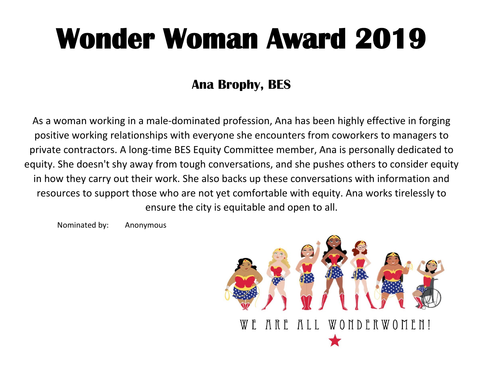### **Ana Brophy, BES**

As a woman working in a male-dominated profession, Ana has been highly effective in forging positive working relationships with everyone she encounters from coworkers to managers to private contractors. A long-time BES Equity Committee member, Ana is personally dedicated to equity. She doesn't shy away from tough conversations, and she pushes others to consider equity in how they carry out their work. She also backs up these conversations with information and resources to support those who are not yet comfortable with equity. Ana works tirelessly to ensure the city is equitable and open to all.

Nominated by: Anonymous

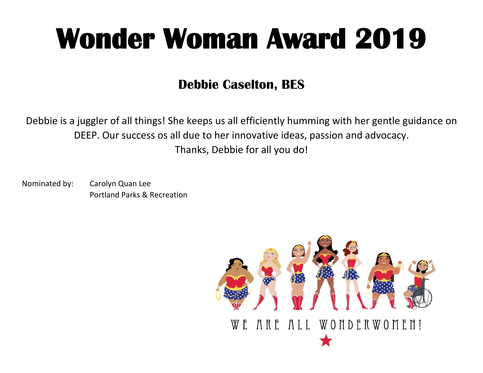#### **Debbie Caselton, BES**

Debbie is a juggler of all things! She keeps us all efficiently humming with her gentle guidance on DEEP. Our success os all due to her innovative ideas, passion and advocacy. Thanks, Debbie for all you do!

Nominated by: Carolyn Quan Lee Portland Parks & Recreation

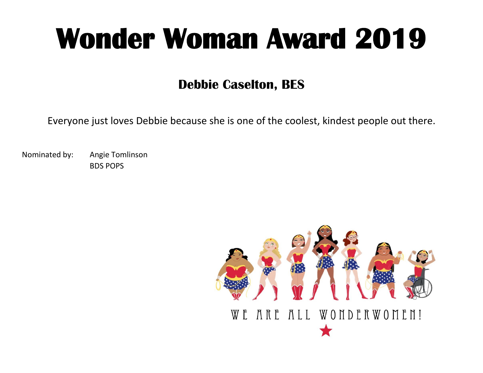#### **Debbie Caselton, BES**

Everyone just loves Debbie because she is one of the coolest, kindest people out there.

Nominated by: Angie Tomlinson BDS POPS

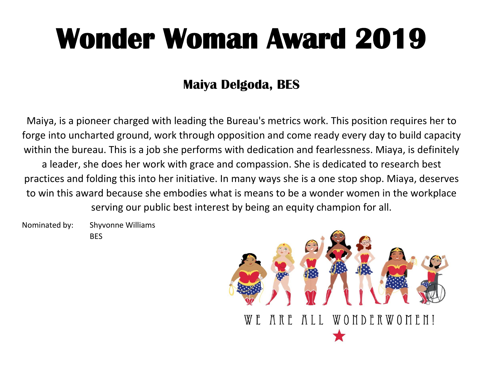## **Maiya Delgoda, BES**

Maiya, is a pioneer charged with leading the Bureau's metrics work. This position requires her to forge into uncharted ground, work through opposition and come ready every day to build capacity within the bureau. This is a job she performs with dedication and fearlessness. Miaya, is definitely a leader, she does her work with grace and compassion. She is dedicated to research best practices and folding this into her initiative. In many ways she is a one stop shop. Miaya, deserves to win this award because she embodies what is means to be a wonder women in the workplace serving our public best interest by being an equity champion for all.

Nominated by: Shyvonne Williams **BES** 

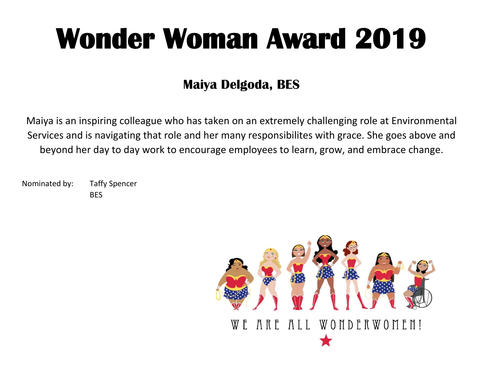## **Maiya Delgoda, BES**

Maiya is an inspiring colleague who has taken on an extremely challenging role at Environmental Services and is navigating that role and her many responsibilites with grace. She goes above and beyond her day to day work to encourage employees to learn, grow, and embrace change.

Nominated by: Taffy Spencer **BFS** 

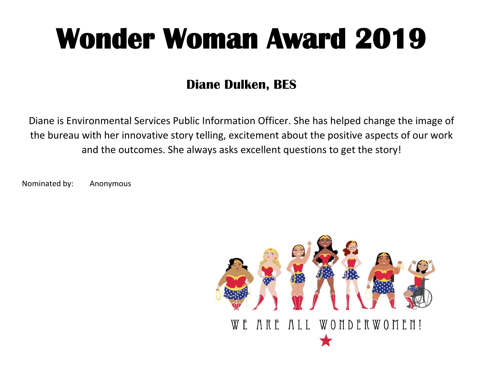### **Diane Dulken, BES**

Diane is Environmental Services Public Information Officer. She has helped change the image of the bureau with her innovative story telling, excitement about the positive aspects of our work and the outcomes. She always asks excellent questions to get the story!

Nominated by: Anonymous

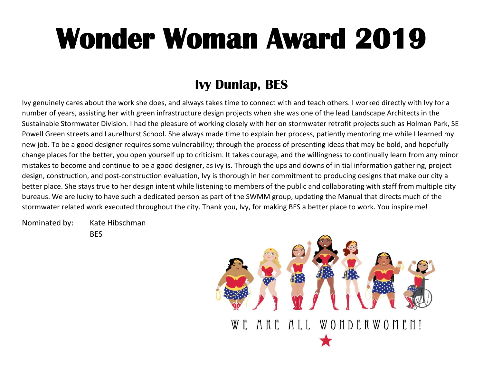#### **Ivy Dunlap, BES**

Ivy genuinely cares about the work she does, and always takes time to connect with and teach others. I worked directly with Ivy for a number of years, assisting her with green infrastructure design projects when she was one of the lead Landscape Architects in the Sustainable Stormwater Division. I had the pleasure of working closely with her on stormwater retrofit projects such as Holman Park, SE Powell Green streets and Laurelhurst School. She always made time to explain her process, patiently mentoring me while I learned my new job. To be a good designer requires some vulnerability; through the process of presenting ideas that may be bold, and hopefully change places for the better, you open yourself up to criticism. It takes courage, and the willingness to continually learn from any minor mistakes to become and continue to be a good designer, as ivy is. Through the ups and downs of initial information gathering, project design, construction, and post-construction evaluation, Ivy is thorough in her commitment to producing designs that make our city a better place. She stays true to her design intent while listening to members of the public and collaborating with staff from multiple city bureaus. We are lucky to have such a dedicated person as part of the SWMM group, updating the Manual that directs much of the stormwater related work executed throughout the city. Thank you, Ivy, for making BES a better place to work. You inspire me!

Nominated by: Kate Hibschman

**BES** 

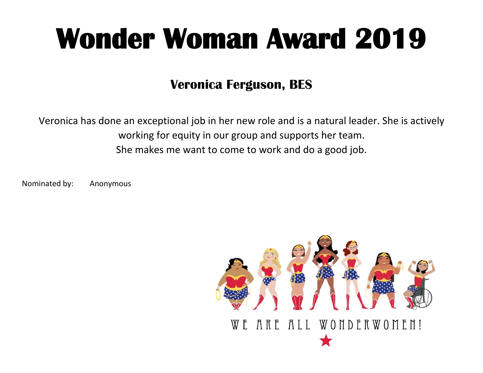### **Veronica Ferguson, BES**

Veronica has done an exceptional job in her new role and is a natural leader. She is actively working for equity in our group and supports her team. She makes me want to come to work and do a good job.

Nominated by: Anonymous

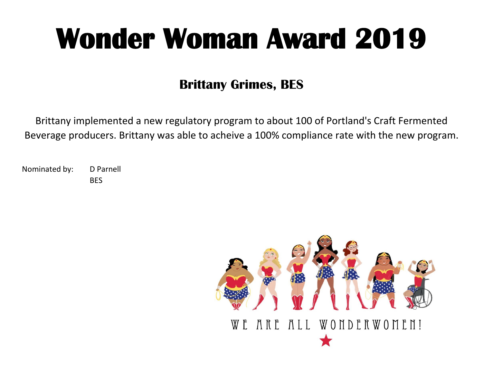### **Brittany Grimes, BES**

Brittany implemented a new regulatory program to about 100 of Portland's Craft Fermented Beverage producers. Brittany was able to acheive a 100% compliance rate with the new program.

Nominated by: D Parnell BES

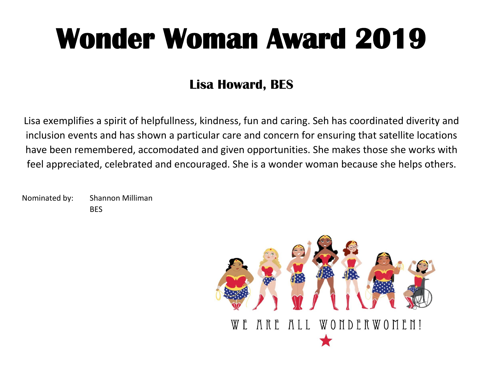### **Lisa Howard, BES**

Lisa exemplifies a spirit of helpfullness, kindness, fun and caring. Seh has coordinated diverity and inclusion events and has shown a particular care and concern for ensuring that satellite locations have been remembered, accomodated and given opportunities. She makes those she works with feel appreciated, celebrated and encouraged. She is a wonder woman because she helps others.

Nominated by: Shannon Milliman **BES** 

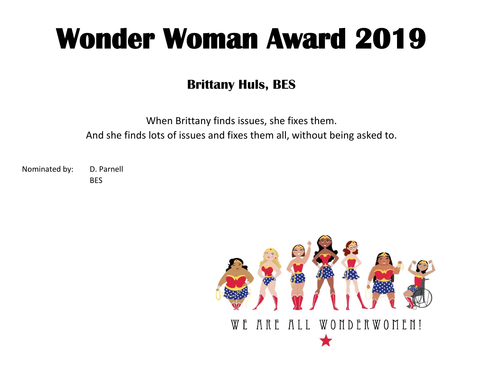### **Brittany Huls, BES**

When Brittany finds issues, she fixes them. And she finds lots of issues and fixes them all, without being asked to.

Nominated by: D. Parnell

BES

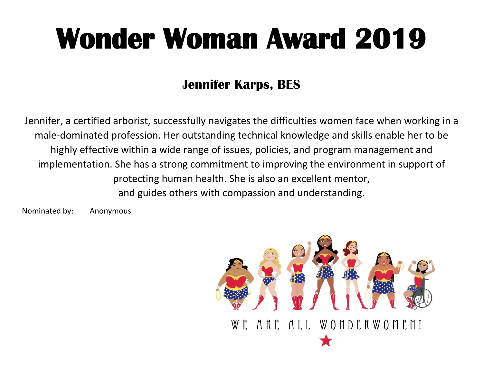### **Jennifer Karps, BES**

Jennifer, a certified arborist, successfully navigates the difficulties women face when working in a male-dominated profession. Her outstanding technical knowledge and skills enable her to be highly effective within a wide range of issues, policies, and program management and implementation. She has a strong commitment to improving the environment in support of protecting human health. She is also an excellent mentor, and guides others with compassion and understanding.

Nominated by: Anonymous

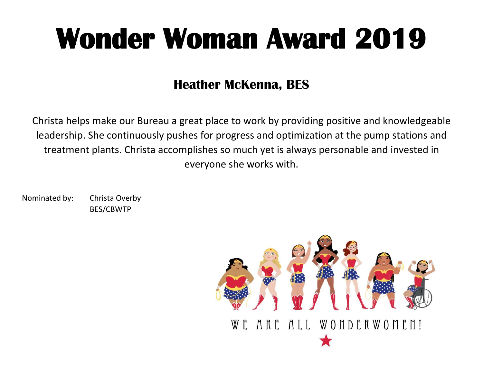### **Heather McKenna, BES**

Christa helps make our Bureau a great place to work by providing positive and knowledgeable leadership. She continuously pushes for progress and optimization at the pump stations and treatment plants. Christa accomplishes so much yet is always personable and invested in everyone she works with.

Nominated by: Christa Overby BES/CBWTP

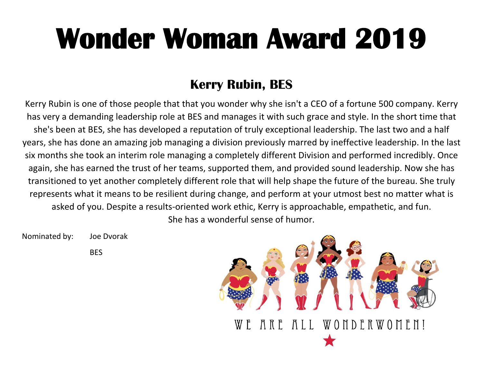#### **Kerry Rubin, BES**

Kerry Rubin is one of those people that that you wonder why she isn't a CEO of a fortune 500 company. Kerry has very a demanding leadership role at BES and manages it with such grace and style. In the short time that she's been at BES, she has developed a reputation of truly exceptional leadership. The last two and a half years, she has done an amazing job managing a division previously marred by ineffective leadership. In the last six months she took an interim role managing a completely different Division and performed incredibly. Once again, she has earned the trust of her teams, supported them, and provided sound leadership. Now she has transitioned to yet another completely different role that will help shape the future of the bureau. She truly represents what it means to be resilient during change, and perform at your utmost best no matter what is asked of you. Despite a results-oriented work ethic, Kerry is approachable, empathetic, and fun. She has a wonderful sense of humor.

Nominated by: Joe Dvorak

**BES** 

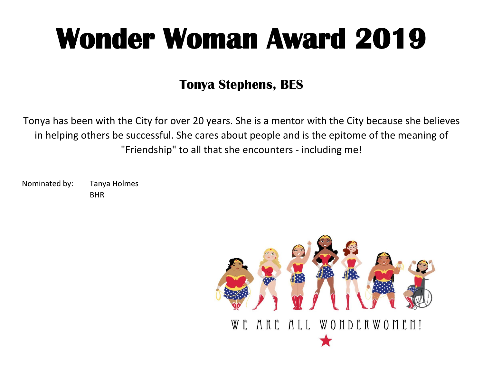### **Tonya Stephens, BES**

Tonya has been with the City for over 20 years. She is a mentor with the City because she believes in helping others be successful. She cares about people and is the epitome of the meaning of "Friendship" to all that she encounters - including me!

Nominated by: Tanya Holmes BHR

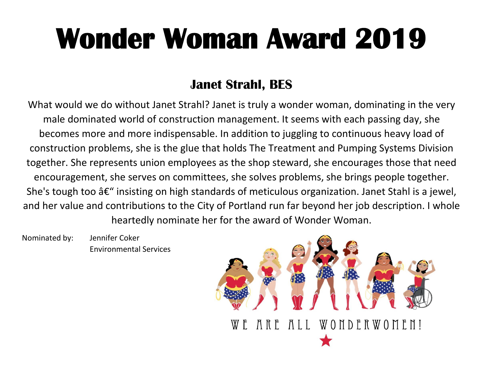#### **Janet Strahl, BES**

What would we do without Janet Strahl? Janet is truly a wonder woman, dominating in the very male dominated world of construction management. It seems with each passing day, she becomes more and more indispensable. In addition to juggling to continuous heavy load of construction problems, she is the glue that holds The Treatment and Pumping Systems Division together. She represents union employees as the shop steward, she encourages those that need encouragement, she serves on committees, she solves problems, she brings people together. She's tough too  $\hat{a}\epsilon$ " insisting on high standards of meticulous organization. Janet Stahl is a jewel, and her value and contributions to the City of Portland run far beyond her job description. I whole heartedly nominate her for the award of Wonder Woman.

Nominated by: Jennifer Coker Environmental Services

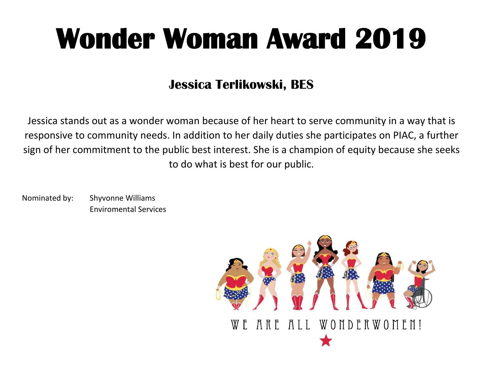### **Jessica Terlikowski, BES**

Jessica stands out as a wonder woman because of her heart to serve community in a way that is responsive to community needs. In addition to her daily duties she participates on PIAC, a further sign of her commitment to the public best interest. She is a champion of equity because she seeks to do what is best for our public.

Nominated by: Shyvonne Williams Enviromental Services

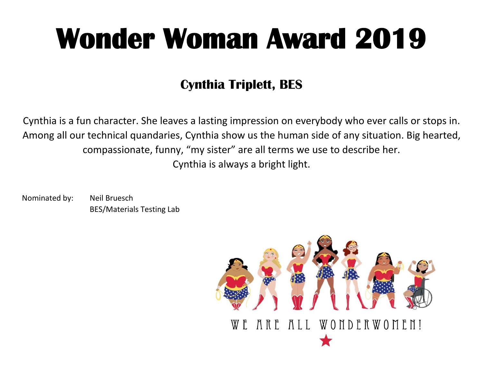## **Cynthia Triplett, BES**

Cynthia is a fun character. She leaves a lasting impression on everybody who ever calls or stops in. Among all our technical quandaries, Cynthia show us the human side of any situation. Big hearted, compassionate, funny, "my sister" are all terms we use to describe her. Cynthia is always a bright light.

Nominated by: Neil Bruesch BES/Materials Testing Lab

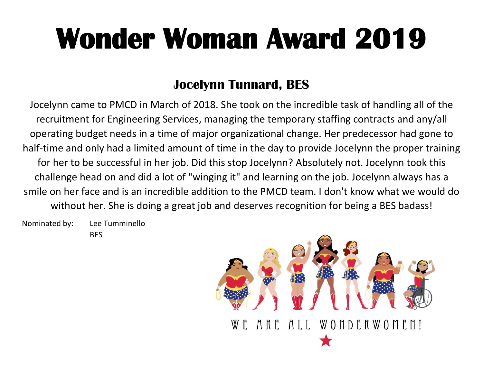### **Jocelynn Tunnard, BES**

Jocelynn came to PMCD in March of 2018. She took on the incredible task of handling all of the recruitment for Engineering Services, managing the temporary staffing contracts and any/all operating budget needs in a time of major organizational change. Her predecessor had gone to half-time and only had a limited amount of time in the day to provide Jocelynn the proper training for her to be successful in her job. Did this stop Jocelynn? Absolutely not. Jocelynn took this challenge head on and did a lot of "winging it" and learning on the job. Jocelynn always has a smile on her face and is an incredible addition to the PMCD team. I don't know what we would do without her. She is doing a great job and deserves recognition for being a BES badass!

Nominated by: Lee Tumminello **BES** 

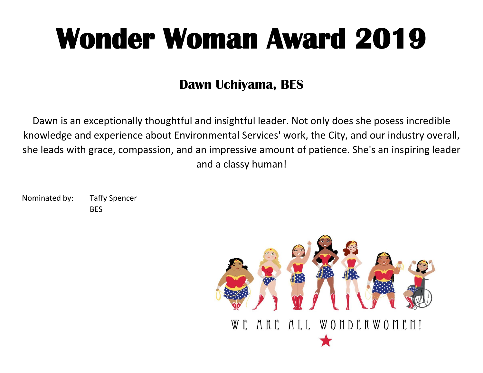## **Dawn Uchiyama, BES**

Dawn is an exceptionally thoughtful and insightful leader. Not only does she posess incredible knowledge and experience about Environmental Services' work, the City, and our industry overall, she leads with grace, compassion, and an impressive amount of patience. She's an inspiring leader and a classy human!

Nominated by: Taffy Spencer **BES** 

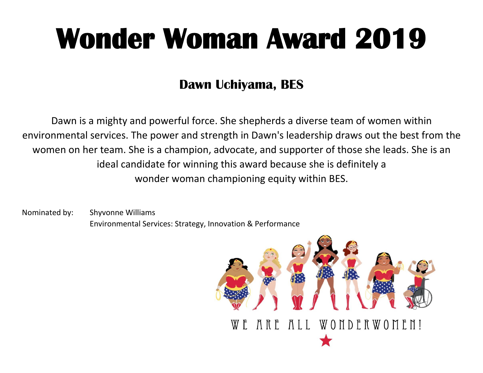### **Dawn Uchiyama, BES**

Dawn is a mighty and powerful force. She shepherds a diverse team of women within environmental services. The power and strength in Dawn's leadership draws out the best from the women on her team. She is a champion, advocate, and supporter of those she leads. She is an ideal candidate for winning this award because she is definitely a wonder woman championing equity within BES.

Nominated by: Shyvonne Williams Environmental Services: Strategy, Innovation & Performance

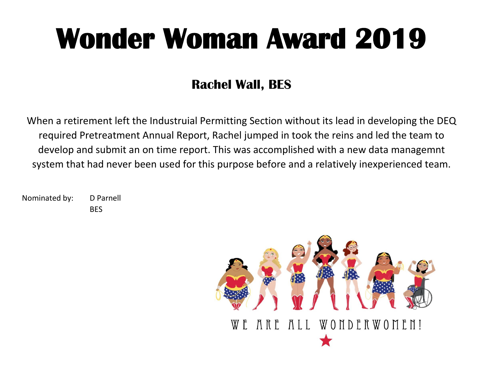## **Rachel Wall, BES**

When a retirement left the Industruial Permitting Section without its lead in developing the DEQ required Pretreatment Annual Report, Rachel jumped in took the reins and led the team to develop and submit an on time report. This was accomplished with a new data managemnt system that had never been used for this purpose before and a relatively inexperienced team.

Nominated by: D Parnell **BES** 

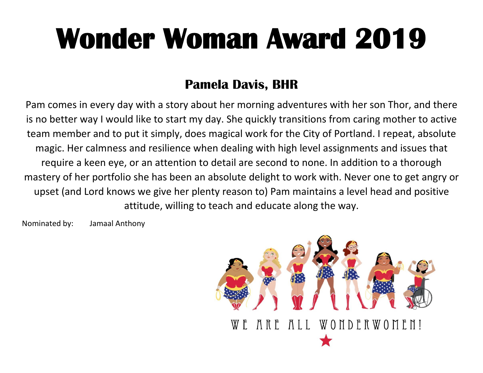### **Pamela Davis, BHR**

Pam comes in every day with a story about her morning adventures with her son Thor, and there is no better way I would like to start my day. She quickly transitions from caring mother to active team member and to put it simply, does magical work for the City of Portland. I repeat, absolute magic. Her calmness and resilience when dealing with high level assignments and issues that require a keen eye, or an attention to detail are second to none. In addition to a thorough mastery of her portfolio she has been an absolute delight to work with. Never one to get angry or upset (and Lord knows we give her plenty reason to) Pam maintains a level head and positive attitude, willing to teach and educate along the way.

Nominated by: Jamaal Anthony

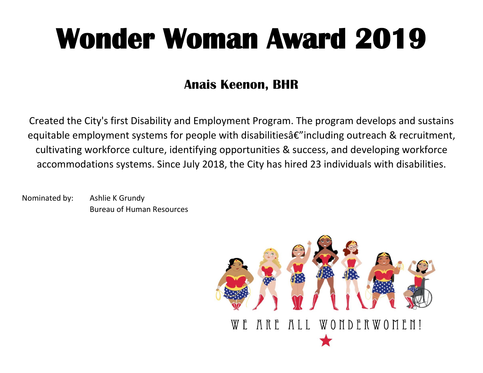### **Anais Keenon, BHR**

Created the City's first Disability and Employment Program. The program develops and sustains equitable employment systems for people with disabilities $\hat{a}\hat{\epsilon}$ "including outreach & recruitment, cultivating workforce culture, identifying opportunities & success, and developing workforce accommodations systems. Since July 2018, the City has hired 23 individuals with disabilities.

Nominated by: Ashlie K Grundy Bureau of Human Resources

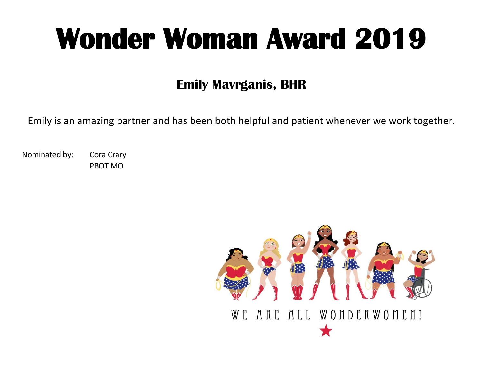### **Emily Mavrganis, BHR**

Emily is an amazing partner and has been both helpful and patient whenever we work together.

Nominated by: Cora Crary PBOT MO

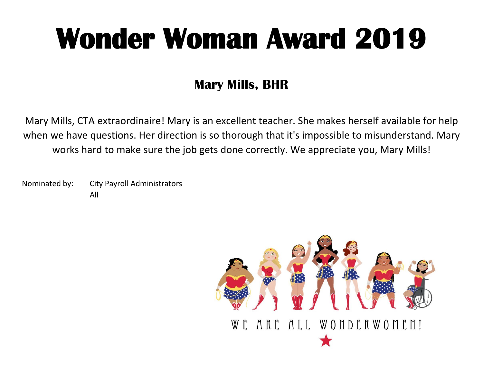## **Mary Mills, BHR**

Mary Mills, CTA extraordinaire! Mary is an excellent teacher. She makes herself available for help when we have questions. Her direction is so thorough that it's impossible to misunderstand. Mary works hard to make sure the job gets done correctly. We appreciate you, Mary Mills!

Nominated by: City Payroll Administrators All

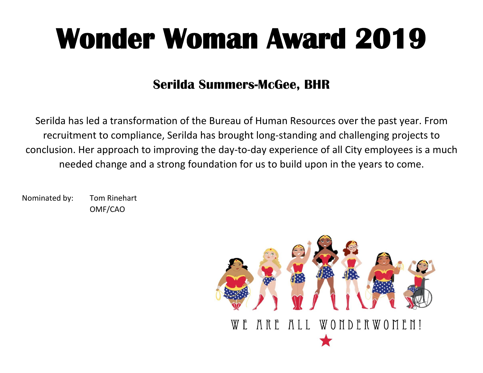#### **Serilda Summers-McGee, BHR**

Serilda has led a transformation of the Bureau of Human Resources over the past year. From recruitment to compliance, Serilda has brought long-standing and challenging projects to conclusion. Her approach to improving the day-to-day experience of all City employees is a much needed change and a strong foundation for us to build upon in the years to come.

Nominated by: Tom Rinehart OMF/CAO

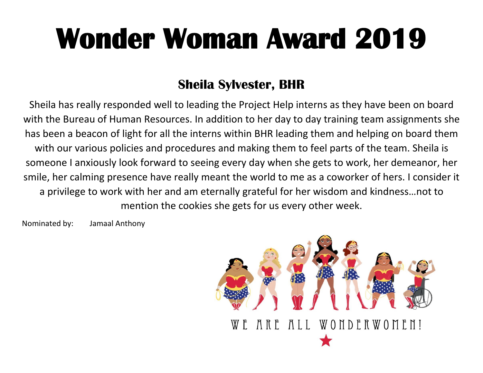#### **Sheila Sylvester, BHR**

Sheila has really responded well to leading the Project Help interns as they have been on board with the Bureau of Human Resources. In addition to her day to day training team assignments she has been a beacon of light for all the interns within BHR leading them and helping on board them with our various policies and procedures and making them to feel parts of the team. Sheila is someone I anxiously look forward to seeing every day when she gets to work, her demeanor, her smile, her calming presence have really meant the world to me as a coworker of hers. I consider it a privilege to work with her and am eternally grateful for her wisdom and kindness…not to mention the cookies she gets for us every other week.

Nominated by: Jamaal Anthony

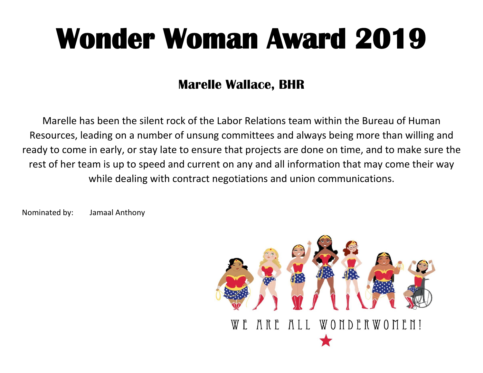### **Marelle Wallace, BHR**

Marelle has been the silent rock of the Labor Relations team within the Bureau of Human Resources, leading on a number of unsung committees and always being more than willing and ready to come in early, or stay late to ensure that projects are done on time, and to make sure the rest of her team is up to speed and current on any and all information that may come their way while dealing with contract negotiations and union communications.

Nominated by: Jamaal Anthony

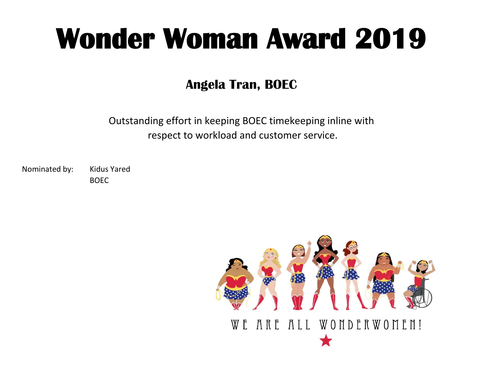### **Angela Tran, BOEC**

Outstanding effort in keeping BOEC timekeeping inline with respect to workload and customer service.

Nominated by: Kidus Yared

BOEC

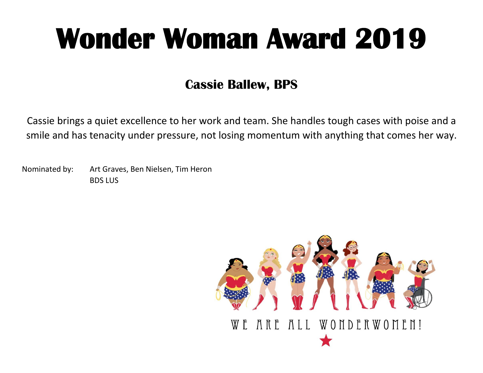### **Cassie Ballew, BPS**

Cassie brings a quiet excellence to her work and team. She handles tough cases with poise and a smile and has tenacity under pressure, not losing momentum with anything that comes her way.

Nominated by: Art Graves, Ben Nielsen, Tim Heron BDS LUS

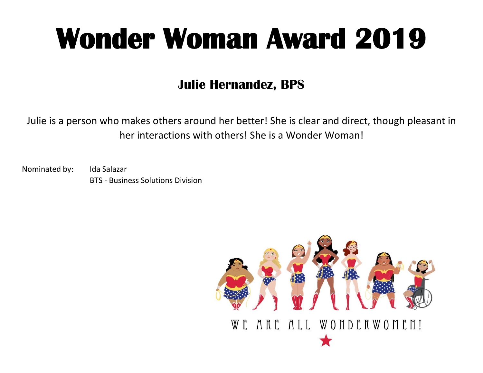#### **Julie Hernandez, BPS**

Julie is a person who makes others around her better! She is clear and direct, though pleasant in her interactions with others! She is a Wonder Woman!

Nominated by: Ida Salazar BTS - Business Solutions Division

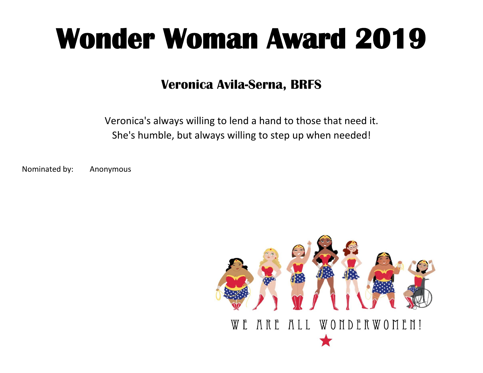#### **Veronica Avila-Serna, BRFS**

Veronica's always willing to lend a hand to those that need it. She's humble, but always willing to step up when needed!

Nominated by: Anonymous

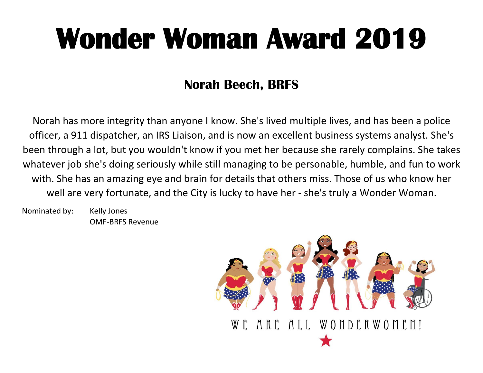### **Norah Beech, BRFS**

Norah has more integrity than anyone I know. She's lived multiple lives, and has been a police officer, a 911 dispatcher, an IRS Liaison, and is now an excellent business systems analyst. She's been through a lot, but you wouldn't know if you met her because she rarely complains. She takes whatever job she's doing seriously while still managing to be personable, humble, and fun to work with. She has an amazing eye and brain for details that others miss. Those of us who know her well are very fortunate, and the City is lucky to have her - she's truly a Wonder Woman.

Nominated by: Kelly Jones OMF-BRFS Revenue

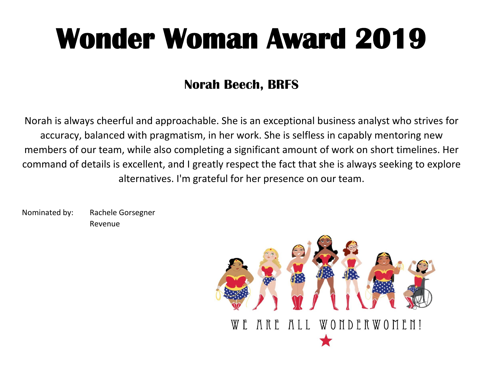### **Norah Beech, BRFS**

Norah is always cheerful and approachable. She is an exceptional business analyst who strives for accuracy, balanced with pragmatism, in her work. She is selfless in capably mentoring new members of our team, while also completing a significant amount of work on short timelines. Her command of details is excellent, and I greatly respect the fact that she is always seeking to explore alternatives. I'm grateful for her presence on our team.

Nominated by: Rachele Gorsegner Revenue

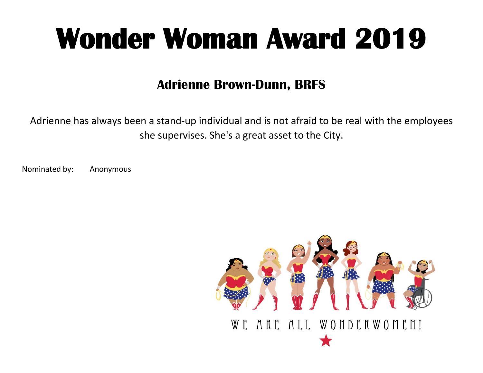#### **Adrienne Brown-Dunn, BRFS**

Adrienne has always been a stand-up individual and is not afraid to be real with the employees she supervises. She's a great asset to the City.

Nominated by: Anonymous

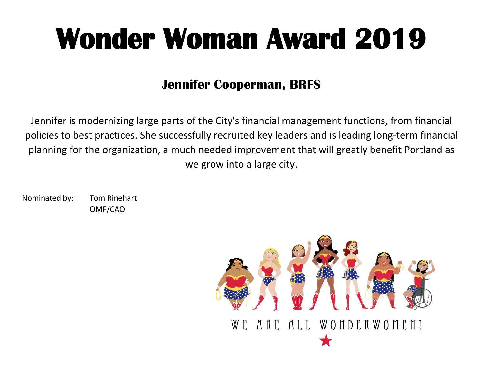#### **Jennifer Cooperman, BRFS**

Jennifer is modernizing large parts of the City's financial management functions, from financial policies to best practices. She successfully recruited key leaders and is leading long-term financial planning for the organization, a much needed improvement that will greatly benefit Portland as we grow into a large city.

Nominated by: Tom Rinehart OMF/CAO

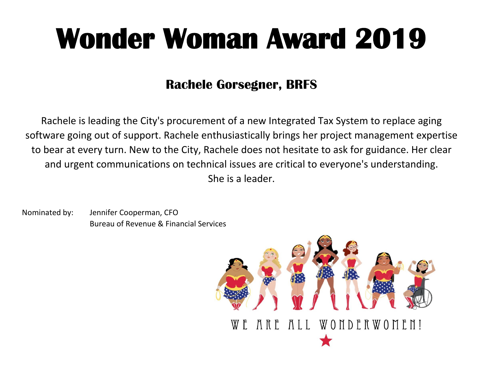#### **Rachele Gorsegner, BRFS**

Rachele is leading the City's procurement of a new Integrated Tax System to replace aging software going out of support. Rachele enthusiastically brings her project management expertise to bear at every turn. New to the City, Rachele does not hesitate to ask for guidance. Her clear and urgent communications on technical issues are critical to everyone's understanding. She is a leader.

Nominated by: Jennifer Cooperman, CFO Bureau of Revenue & Financial Services

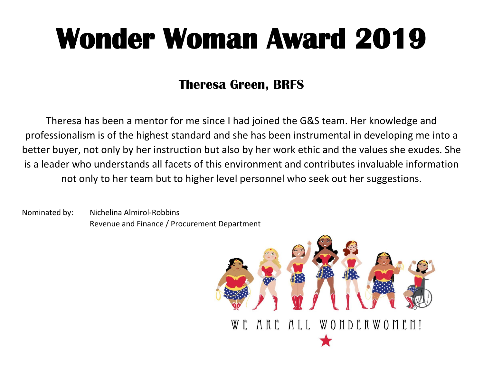#### **Theresa Green, BRFS**

Theresa has been a mentor for me since I had joined the G&S team. Her knowledge and professionalism is of the highest standard and she has been instrumental in developing me into a better buyer, not only by her instruction but also by her work ethic and the values she exudes. She is a leader who understands all facets of this environment and contributes invaluable information not only to her team but to higher level personnel who seek out her suggestions.

Nominated by: Nichelina Almirol-Robbins Revenue and Finance / Procurement Department

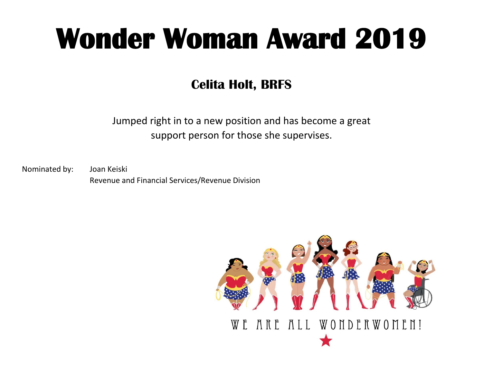### **Celita Holt, BRFS**

Jumped right in to a new position and has become a great support person for those she supervises.

Nominated by: Joan Keiski Revenue and Financial Services/Revenue Division

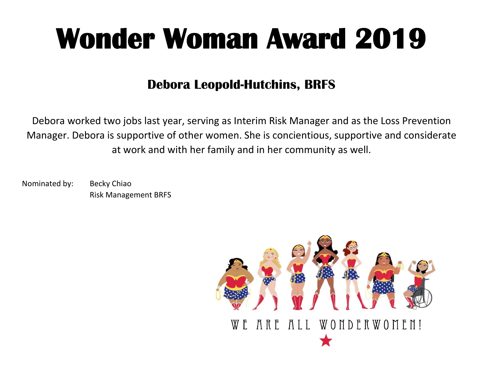#### **Debora Leopold-Hutchins, BRFS**

Debora worked two jobs last year, serving as Interim Risk Manager and as the Loss Prevention Manager. Debora is supportive of other women. She is concientious, supportive and considerate at work and with her family and in her community as well.

Nominated by: Becky Chiao Risk Management BRFS

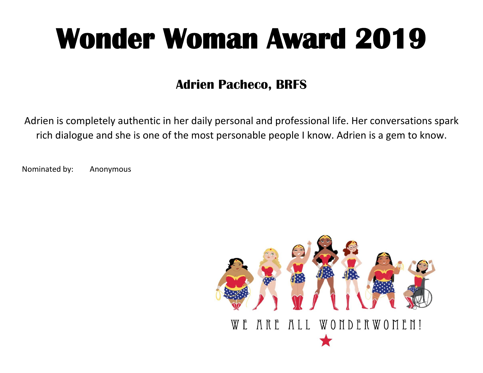#### **Adrien Pacheco, BRFS**

Adrien is completely authentic in her daily personal and professional life. Her conversations spark rich dialogue and she is one of the most personable people I know. Adrien is a gem to know.

Nominated by: Anonymous

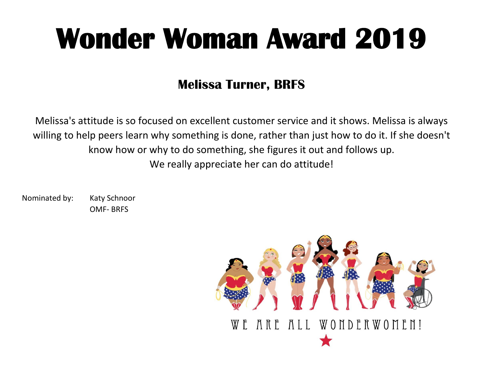### **Melissa Turner, BRFS**

Melissa's attitude is so focused on excellent customer service and it shows. Melissa is always willing to help peers learn why something is done, rather than just how to do it. If she doesn't know how or why to do something, she figures it out and follows up. We really appreciate her can do attitude!

Nominated by: Katy Schnoor OMF- BRFS

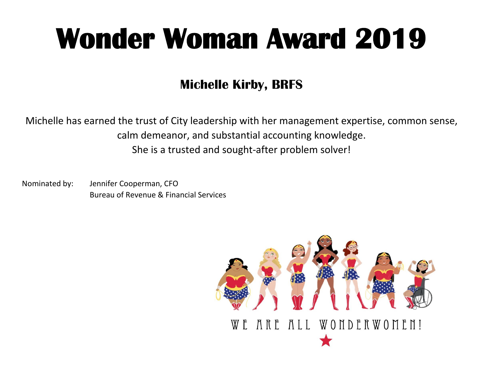### **Michelle Kirby, BRFS**

Michelle has earned the trust of City leadership with her management expertise, common sense, calm demeanor, and substantial accounting knowledge. She is a trusted and sought-after problem solver!

Nominated by: Jennifer Cooperman, CFO Bureau of Revenue & Financial Services

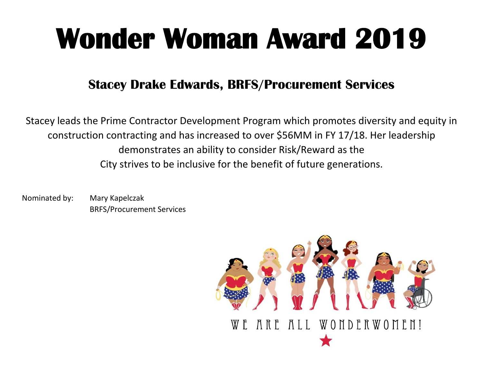#### **Stacey Drake Edwards, BRFS/Procurement Services**

Stacey leads the Prime Contractor Development Program which promotes diversity and equity in construction contracting and has increased to over \$56MM in FY 17/18. Her leadership demonstrates an ability to consider Risk/Reward as the City strives to be inclusive for the benefit of future generations.

Nominated by: Mary Kapelczak BRFS/Procurement Services

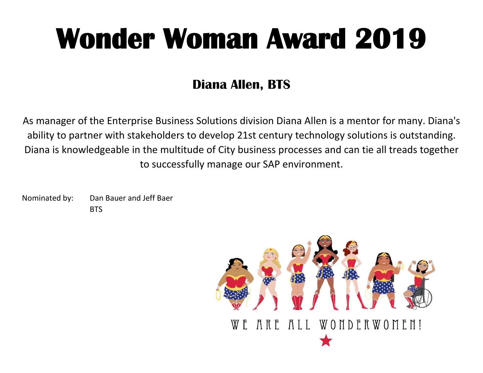### **Diana Allen, BTS**

As manager of the Enterprise Business Solutions division Diana Allen is a mentor for many. Diana's ability to partner with stakeholders to develop 21st century technology solutions is outstanding. Diana is knowledgeable in the multitude of City business processes and can tie all treads together to successfully manage our SAP environment.

Nominated by: Dan Bauer and Jeff Baer **BTS** 

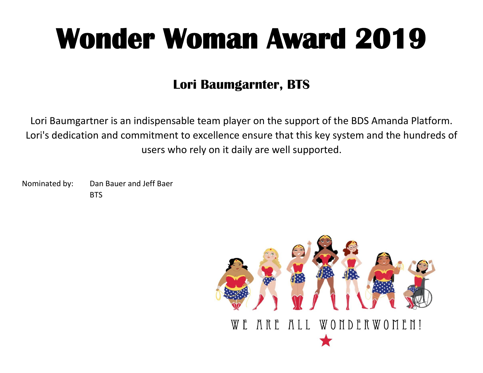### **Lori Baumgarnter, BTS**

Lori Baumgartner is an indispensable team player on the support of the BDS Amanda Platform. Lori's dedication and commitment to excellence ensure that this key system and the hundreds of users who rely on it daily are well supported.

Nominated by: Dan Bauer and Jeff Baer **BTS** 

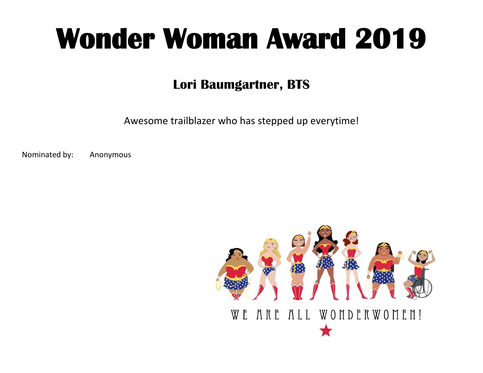#### **Lori Baumgartner, BTS**

Awesome trailblazer who has stepped up everytime!

Nominated by: Anonymous

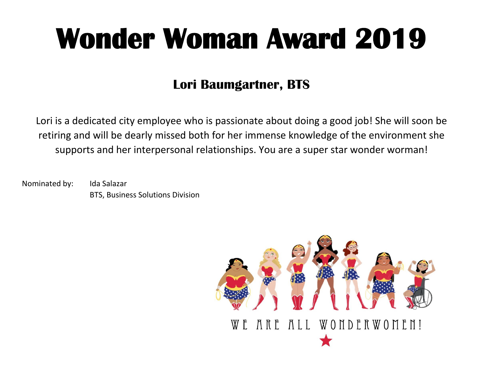### **Lori Baumgartner, BTS**

Lori is a dedicated city employee who is passionate about doing a good job! She will soon be retiring and will be dearly missed both for her immense knowledge of the environment she supports and her interpersonal relationships. You are a super star wonder worman!

Nominated by: Ida Salazar BTS, Business Solutions Division

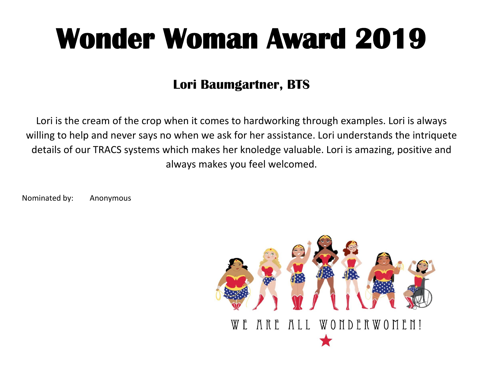### **Lori Baumgartner, BTS**

Lori is the cream of the crop when it comes to hardworking through examples. Lori is always willing to help and never says no when we ask for her assistance. Lori understands the intriquete details of our TRACS systems which makes her knoledge valuable. Lori is amazing, positive and always makes you feel welcomed.

Nominated by: Anonymous

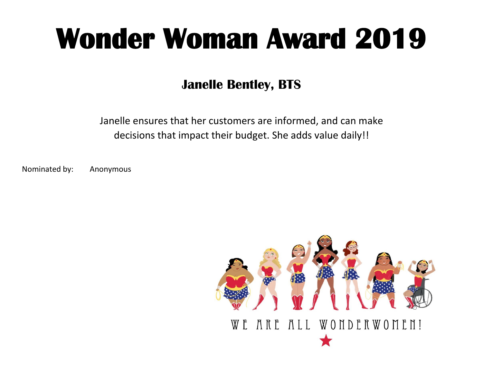#### **Janelle Bentley, BTS**

Janelle ensures that her customers are informed, and can make decisions that impact their budget. She adds value daily!!

Nominated by: Anonymous

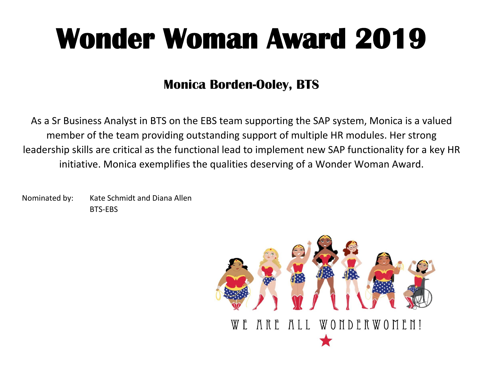#### **Monica Borden-Ooley, BTS**

As a Sr Business Analyst in BTS on the EBS team supporting the SAP system, Monica is a valued member of the team providing outstanding support of multiple HR modules. Her strong leadership skills are critical as the functional lead to implement new SAP functionality for a key HR initiative. Monica exemplifies the qualities deserving of a Wonder Woman Award.

Nominated by: Kate Schmidt and Diana Allen BTS-EBS

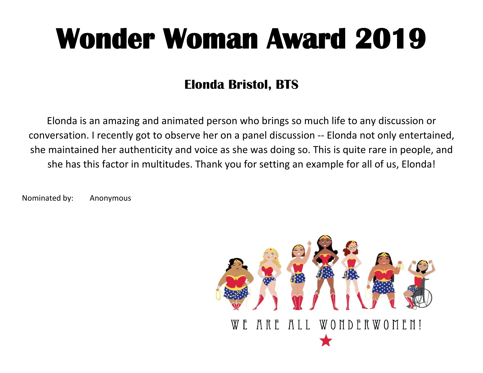### **Elonda Bristol, BTS**

Elonda is an amazing and animated person who brings so much life to any discussion or conversation. I recently got to observe her on a panel discussion -- Elonda not only entertained, she maintained her authenticity and voice as she was doing so. This is quite rare in people, and she has this factor in multitudes. Thank you for setting an example for all of us, Elonda!

Nominated by: Anonymous

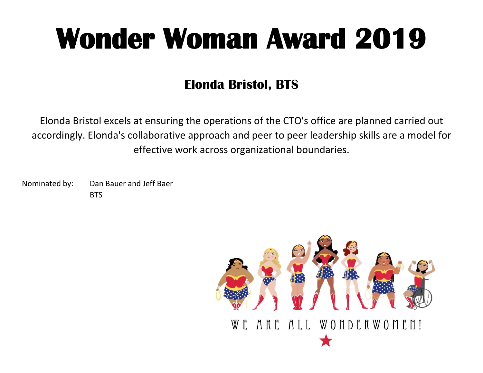### **Elonda Bristol, BTS**

Elonda Bristol excels at ensuring the operations of the CTO's office are planned carried out accordingly. Elonda's collaborative approach and peer to peer leadership skills are a model for effective work across organizational boundaries.

Nominated by: Dan Bauer and Jeff Baer **BTS** 

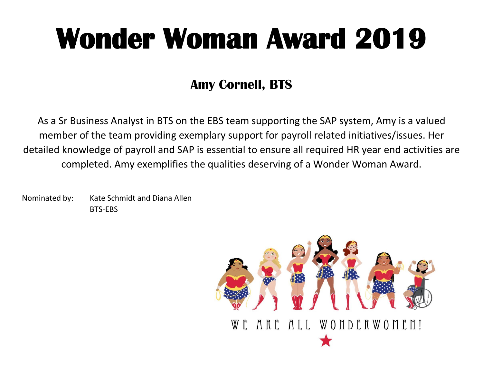### **Amy Cornell, BTS**

As a Sr Business Analyst in BTS on the EBS team supporting the SAP system, Amy is a valued member of the team providing exemplary support for payroll related initiatives/issues. Her detailed knowledge of payroll and SAP is essential to ensure all required HR year end activities are completed. Amy exemplifies the qualities deserving of a Wonder Woman Award.

Nominated by: Kate Schmidt and Diana Allen BTS-EBS

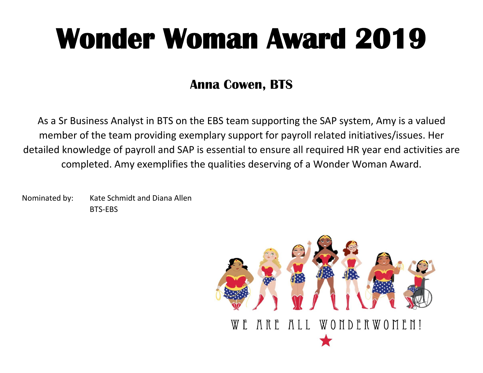#### **Anna Cowen, BTS**

As a Sr Business Analyst in BTS on the EBS team supporting the SAP system, Amy is a valued member of the team providing exemplary support for payroll related initiatives/issues. Her detailed knowledge of payroll and SAP is essential to ensure all required HR year end activities are completed. Amy exemplifies the qualities deserving of a Wonder Woman Award.

Nominated by: Kate Schmidt and Diana Allen BTS-EBS

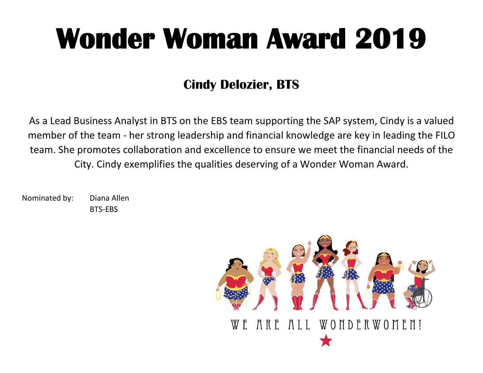### **Cindy Delozier, BTS**

As a Lead Business Analyst in BTS on the EBS team supporting the SAP system, Cindy is a valued member of the team - her strong leadership and financial knowledge are key in leading the FILO team. She promotes collaboration and excellence to ensure we meet the financial needs of the City. Cindy exemplifies the qualities deserving of a Wonder Woman Award.

Nominated by: Diana Allen BTS-EBS

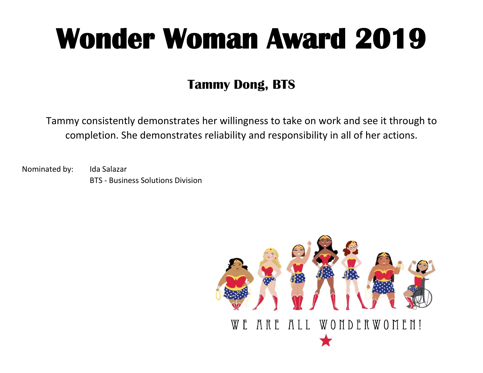### **Tammy Dong, BTS**

Tammy consistently demonstrates her willingness to take on work and see it through to completion. She demonstrates reliability and responsibility in all of her actions.

Nominated by: Ida Salazar BTS - Business Solutions Division

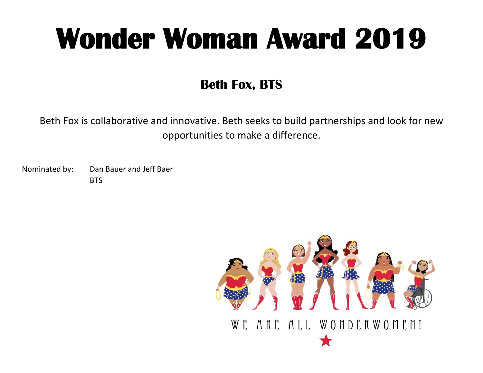### **Beth Fox, BTS**

Beth Fox is collaborative and innovative. Beth seeks to build partnerships and look for new opportunities to make a difference.

Nominated by: Dan Bauer and Jeff Baer **BTS** 

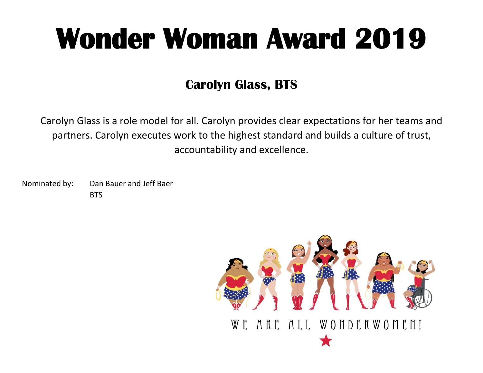### **Carolyn Glass, BTS**

Carolyn Glass is a role model for all. Carolyn provides clear expectations for her teams and partners. Carolyn executes work to the highest standard and builds a culture of trust, accountability and excellence.

Nominated by: Dan Bauer and Jeff Baer **BTS** 

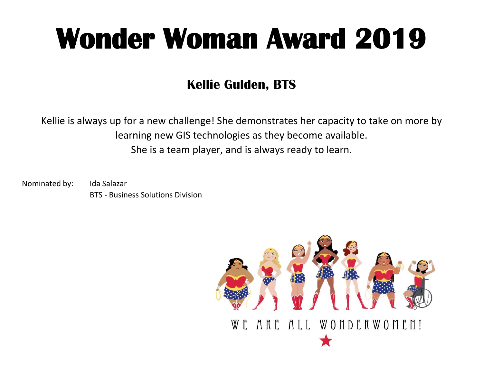### **Kellie Gulden, BTS**

Kellie is always up for a new challenge! She demonstrates her capacity to take on more by learning new GIS technologies as they become available. She is a team player, and is always ready to learn.

Nominated by: Ida Salazar BTS - Business Solutions Division

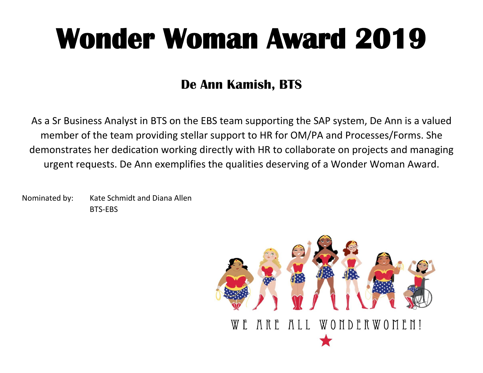#### **De Ann Kamish, BTS**

As a Sr Business Analyst in BTS on the EBS team supporting the SAP system, De Ann is a valued member of the team providing stellar support to HR for OM/PA and Processes/Forms. She demonstrates her dedication working directly with HR to collaborate on projects and managing urgent requests. De Ann exemplifies the qualities deserving of a Wonder Woman Award.

Nominated by: Kate Schmidt and Diana Allen BTS-EBS

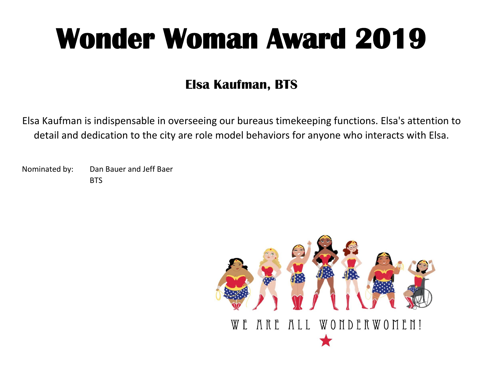### **Elsa Kaufman, BTS**

Elsa Kaufman is indispensable in overseeing our bureaus timekeeping functions. Elsa's attention to detail and dedication to the city are role model behaviors for anyone who interacts with Elsa.

Nominated by: Dan Bauer and Jeff Baer **BTS** 

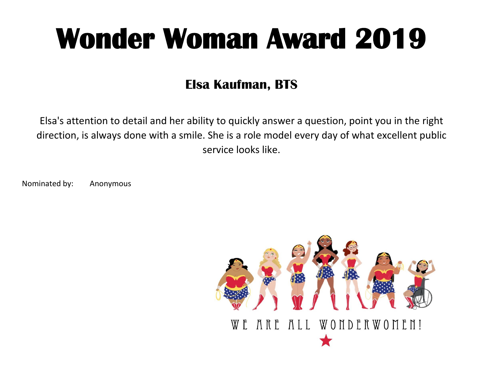### **Elsa Kaufman, BTS**

Elsa's attention to detail and her ability to quickly answer a question, point you in the right direction, is always done with a smile. She is a role model every day of what excellent public service looks like.

Nominated by: Anonymous

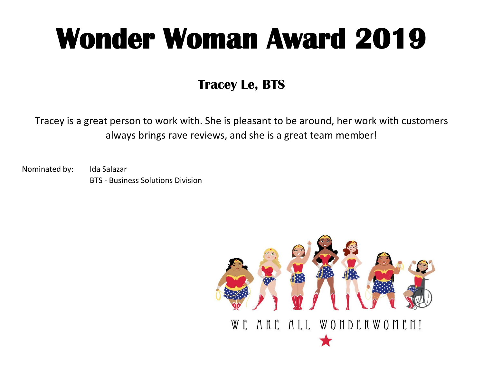### **Tracey Le, BTS**

Tracey is a great person to work with. She is pleasant to be around, her work with customers always brings rave reviews, and she is a great team member!

Nominated by: Ida Salazar BTS - Business Solutions Division

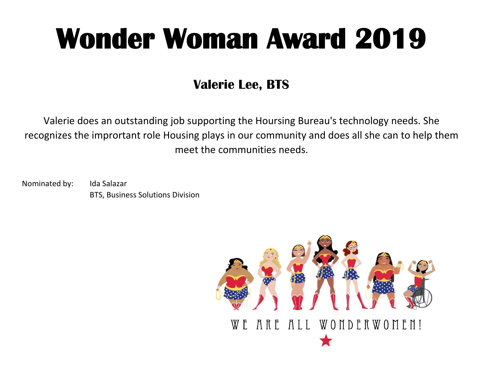### **Valerie Lee, BTS**

Valerie does an outstanding job supporting the Hoursing Bureau's technology needs. She recognizes the imprortant role Housing plays in our community and does all she can to help them meet the communities needs.

Nominated by: Ida Salazar BTS, Business Solutions Division

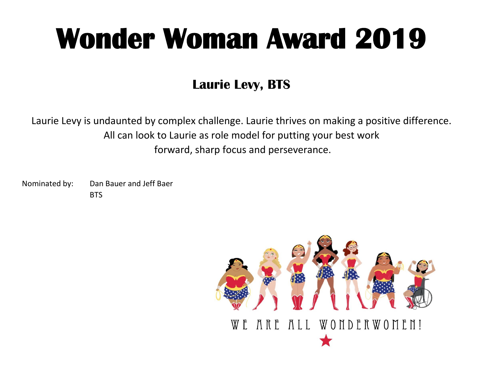### **Laurie Levy, BTS**

Laurie Levy is undaunted by complex challenge. Laurie thrives on making a positive difference. All can look to Laurie as role model for putting your best work forward, sharp focus and perseverance.

Nominated by: Dan Bauer and Jeff Baer **BTS** 

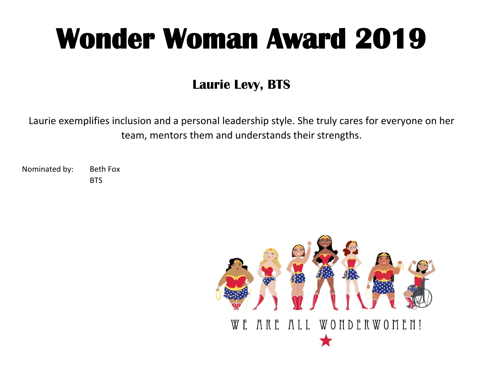### **Laurie Levy, BTS**

Laurie exemplifies inclusion and a personal leadership style. She truly cares for everyone on her team, mentors them and understands their strengths.

Nominated by: Beth Fox **BTS** 

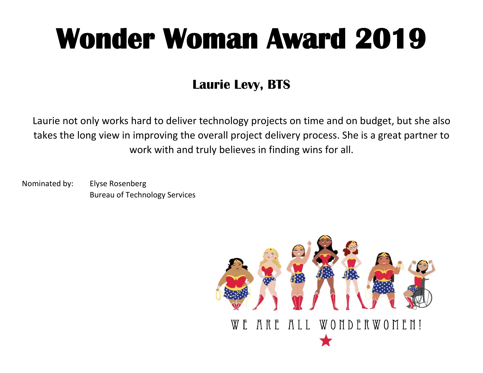### **Laurie Levy, BTS**

Laurie not only works hard to deliver technology projects on time and on budget, but she also takes the long view in improving the overall project delivery process. She is a great partner to work with and truly believes in finding wins for all.

Nominated by: Elyse Rosenberg Bureau of Technology Services

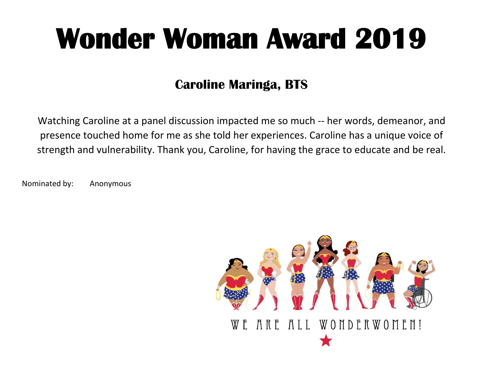#### **Caroline Maringa, BTS**

Watching Caroline at a panel discussion impacted me so much -- her words, demeanor, and presence touched home for me as she told her experiences. Caroline has a unique voice of strength and vulnerability. Thank you, Caroline, for having the grace to educate and be real.

Nominated by: Anonymous

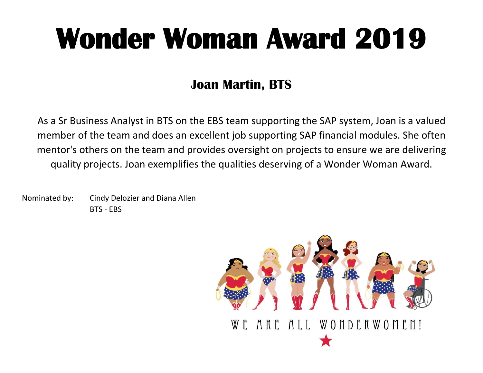### **Joan Martin, BTS**

As a Sr Business Analyst in BTS on the EBS team supporting the SAP system, Joan is a valued member of the team and does an excellent job supporting SAP financial modules. She often mentor's others on the team and provides oversight on projects to ensure we are delivering quality projects. Joan exemplifies the qualities deserving of a Wonder Woman Award.

Nominated by: Cindy Delozier and Diana Allen BTS - EBS

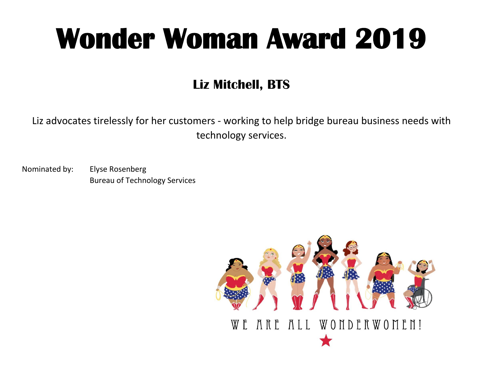### **Liz Mitchell, BTS**

Liz advocates tirelessly for her customers - working to help bridge bureau business needs with technology services.

Nominated by: Elyse Rosenberg Bureau of Technology Services

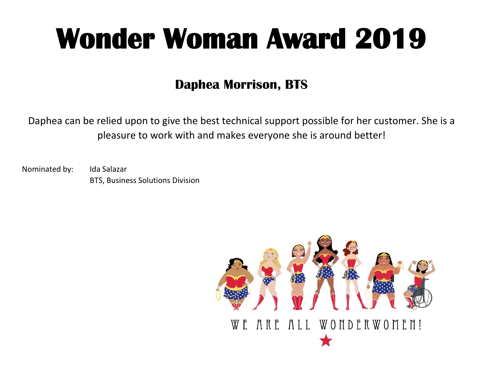#### **Daphea Morrison, BTS**

Daphea can be relied upon to give the best technical support possible for her customer. She is a pleasure to work with and makes everyone she is around better!

Nominated by: Ida Salazar BTS, Business Solutions Division

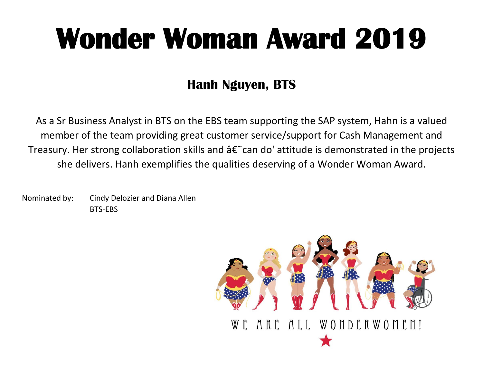### **Hanh Nguyen, BTS**

As a Sr Business Analyst in BTS on the EBS team supporting the SAP system, Hahn is a valued member of the team providing great customer service/support for Cash Management and Treasury. Her strong collaboration skills and  $\hat{a}\hat{\epsilon}$  can do' attitude is demonstrated in the projects she delivers. Hanh exemplifies the qualities deserving of a Wonder Woman Award.

Nominated by: Cindy Delozier and Diana Allen BTS-EBS

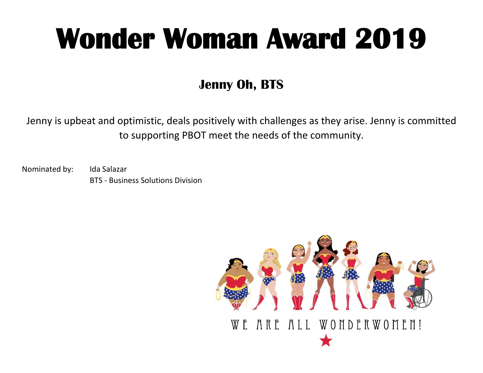### **Jenny Oh, BTS**

Jenny is upbeat and optimistic, deals positively with challenges as they arise. Jenny is committed to supporting PBOT meet the needs of the community.

Nominated by: Ida Salazar BTS - Business Solutions Division

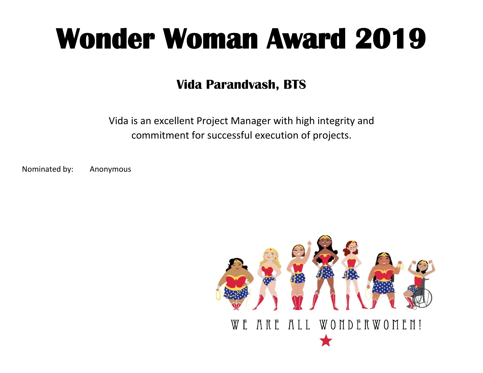#### **Vida Parandvash, BTS**

Vida is an excellent Project Manager with high integrity and commitment for successful execution of projects.

Nominated by: Anonymous

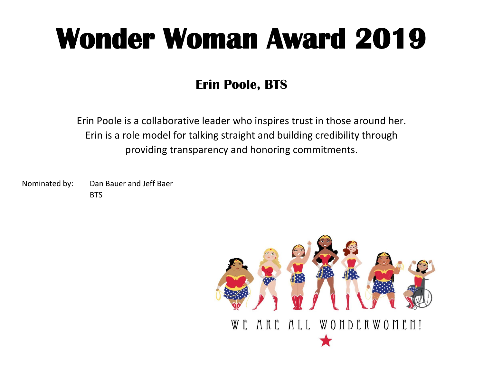### **Erin Poole, BTS**

Erin Poole is a collaborative leader who inspires trust in those around her. Erin is a role model for talking straight and building credibility through providing transparency and honoring commitments.

Nominated by: Dan Bauer and Jeff Baer **BTS** 

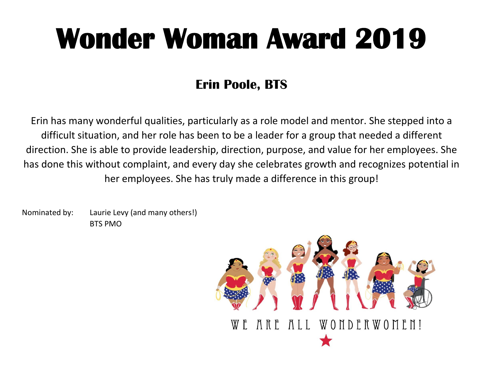### **Erin Poole, BTS**

Erin has many wonderful qualities, particularly as a role model and mentor. She stepped into a difficult situation, and her role has been to be a leader for a group that needed a different direction. She is able to provide leadership, direction, purpose, and value for her employees. She has done this without complaint, and every day she celebrates growth and recognizes potential in her employees. She has truly made a difference in this group!

Nominated by: Laurie Levy (and many others!) BTS PMO

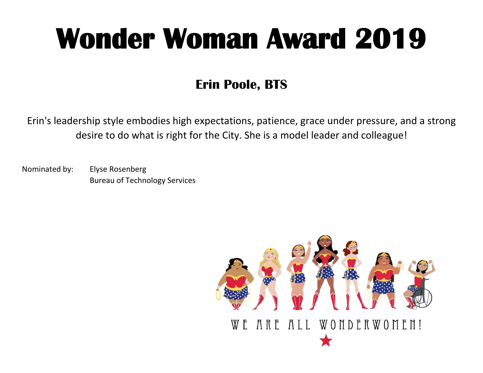### **Erin Poole, BTS**

Erin's leadership style embodies high expectations, patience, grace under pressure, and a strong desire to do what is right for the City. She is a model leader and colleague!

Nominated by: Elyse Rosenberg Bureau of Technology Services

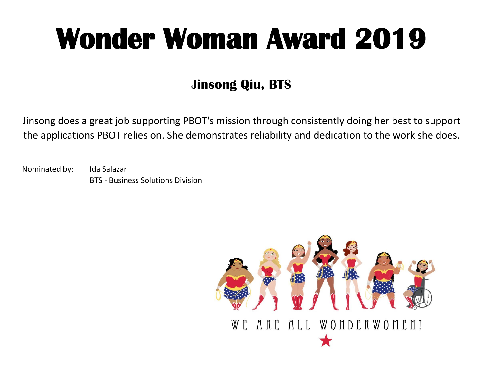### **Jinsong Qiu, BTS**

Jinsong does a great job supporting PBOT's mission through consistently doing her best to support the applications PBOT relies on. She demonstrates reliability and dedication to the work she does.

Nominated by: Ida Salazar BTS - Business Solutions Division

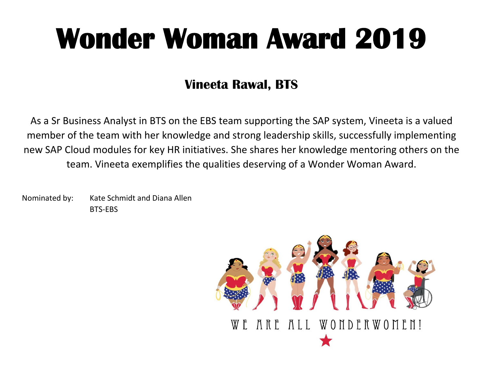### **Vineeta Rawal, BTS**

As a Sr Business Analyst in BTS on the EBS team supporting the SAP system, Vineeta is a valued member of the team with her knowledge and strong leadership skills, successfully implementing new SAP Cloud modules for key HR initiatives. She shares her knowledge mentoring others on the team. Vineeta exemplifies the qualities deserving of a Wonder Woman Award.

Nominated by: Kate Schmidt and Diana Allen BTS-EBS

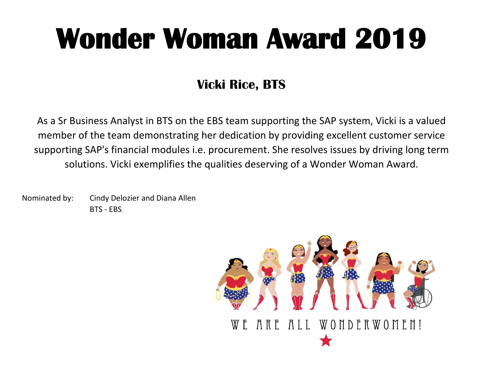### **Vicki Rice, BTS**

As a Sr Business Analyst in BTS on the EBS team supporting the SAP system, Vicki is a valued member of the team demonstrating her dedication by providing excellent customer service supporting SAP's financial modules i.e. procurement. She resolves issues by driving long term solutions. Vicki exemplifies the qualities deserving of a Wonder Woman Award.

Nominated by: Cindy Delozier and Diana Allen BTS - EBS

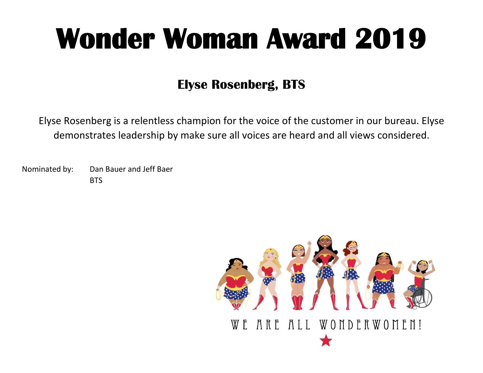### **Elyse Rosenberg, BTS**

Elyse Rosenberg is a relentless champion for the voice of the customer in our bureau. Elyse demonstrates leadership by make sure all voices are heard and all views considered.

Nominated by: Dan Bauer and Jeff Baer **BTS** 

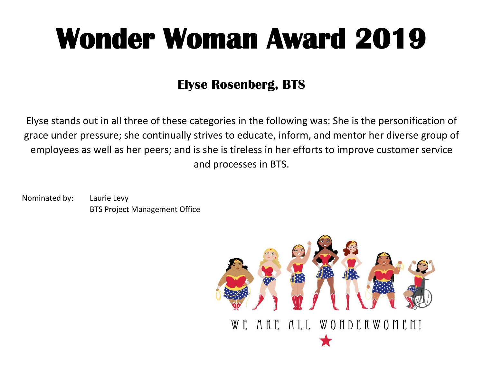### **Elyse Rosenberg, BTS**

Elyse stands out in all three of these categories in the following was: She is the personification of grace under pressure; she continually strives to educate, inform, and mentor her diverse group of employees as well as her peers; and is she is tireless in her efforts to improve customer service and processes in BTS.

Nominated by: Laurie Levy BTS Project Management Office

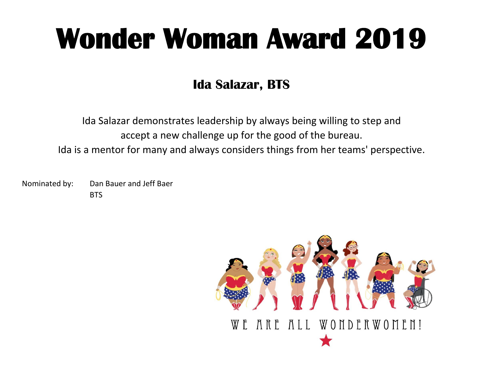### **Ida Salazar, BTS**

Ida Salazar demonstrates leadership by always being willing to step and accept a new challenge up for the good of the bureau. Ida is a mentor for many and always considers things from her teams' perspective.

Nominated by: Dan Bauer and Jeff Baer **BTS** 

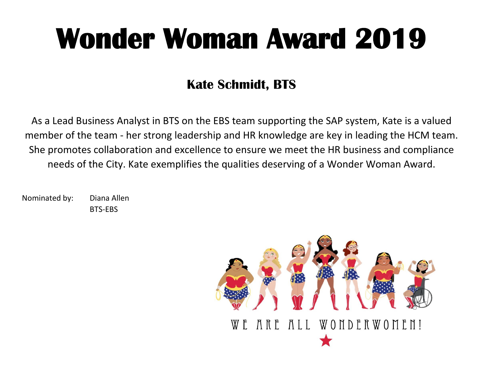### **Kate Schmidt, BTS**

As a Lead Business Analyst in BTS on the EBS team supporting the SAP system, Kate is a valued member of the team - her strong leadership and HR knowledge are key in leading the HCM team. She promotes collaboration and excellence to ensure we meet the HR business and compliance needs of the City. Kate exemplifies the qualities deserving of a Wonder Woman Award.

Nominated by: Diana Allen BTS-EBS

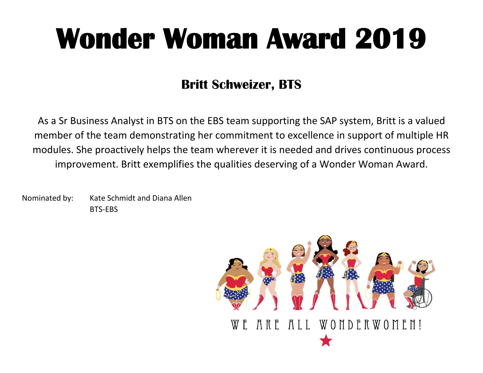### **Britt Schweizer, BTS**

As a Sr Business Analyst in BTS on the EBS team supporting the SAP system, Britt is a valued member of the team demonstrating her commitment to excellence in support of multiple HR modules. She proactively helps the team wherever it is needed and drives continuous process improvement. Britt exemplifies the qualities deserving of a Wonder Woman Award.

Nominated by: Kate Schmidt and Diana Allen BTS-EBS

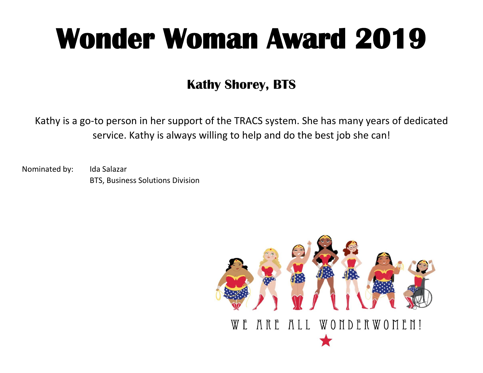### **Kathy Shorey, BTS**

Kathy is a go-to person in her support of the TRACS system. She has many years of dedicated service. Kathy is always willing to help and do the best job she can!

Nominated by: Ida Salazar BTS, Business Solutions Division

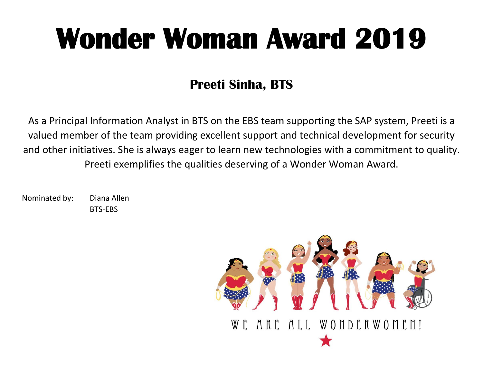### **Preeti Sinha, BTS**

As a Principal Information Analyst in BTS on the EBS team supporting the SAP system, Preeti is a valued member of the team providing excellent support and technical development for security and other initiatives. She is always eager to learn new technologies with a commitment to quality. Preeti exemplifies the qualities deserving of a Wonder Woman Award.

Nominated by: Diana Allen BTS-EBS

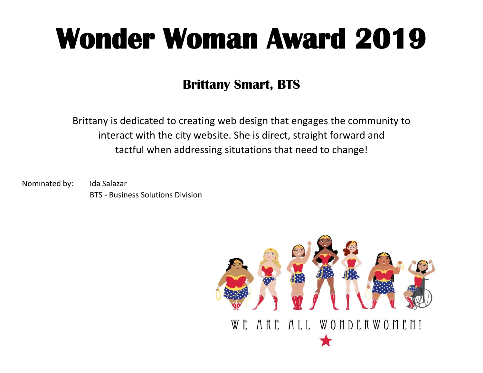### **Brittany Smart, BTS**

Brittany is dedicated to creating web design that engages the community to interact with the city website. She is direct, straight forward and tactful when addressing situtations that need to change!

Nominated by: Ida Salazar BTS - Business Solutions Division

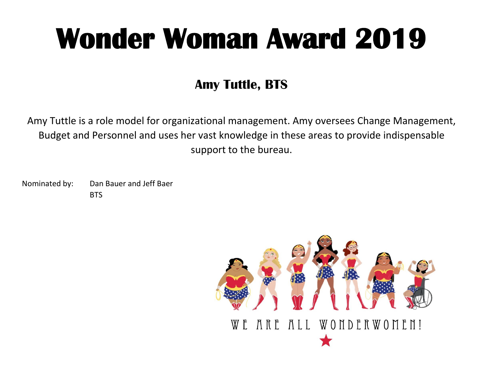### **Amy Tuttle, BTS**

Amy Tuttle is a role model for organizational management. Amy oversees Change Management, Budget and Personnel and uses her vast knowledge in these areas to provide indispensable support to the bureau.

Nominated by: Dan Bauer and Jeff Baer **BTS** 

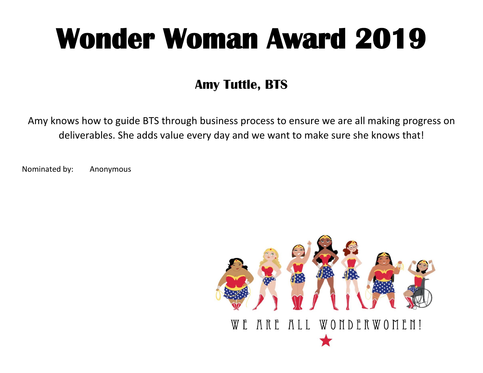### **Amy Tuttle, BTS**

Amy knows how to guide BTS through business process to ensure we are all making progress on deliverables. She adds value every day and we want to make sure she knows that!

Nominated by: Anonymous

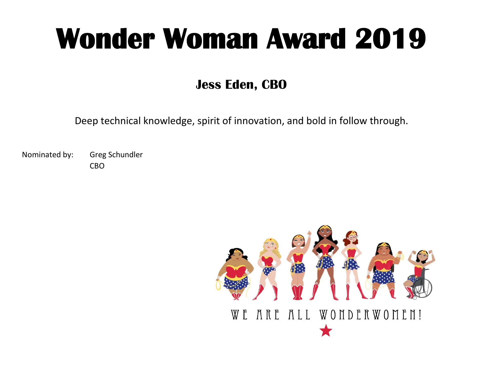### **Jess Eden, CBO**

Deep technical knowledge, spirit of innovation, and bold in follow through.

Nominated by: Greg Schundler CBO

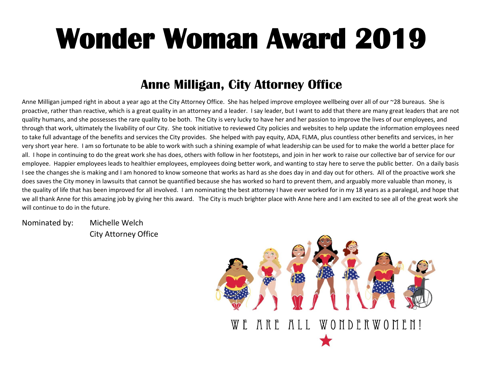#### **Anne Milligan, City Attorney Office**

Anne Milligan jumped right in about a year ago at the City Attorney Office. She has helped improve employee wellbeing over all of our ~28 bureaus. She is proactive, rather than reactive, which is a great quality in an attorney and a leader. I say leader, but I want to add that there are many great leaders that are not quality humans, and she possesses the rare quality to be both. The City is very lucky to have her and her passion to improve the lives of our employees, and through that work, ultimately the livability of our City. She took initiative to reviewed City policies and websites to help update the information employees need to take full advantage of the benefits and services the City provides. She helped with pay equity, ADA, FLMA, plus countless other benefits and services, in her very short year here. I am so fortunate to be able to work with such a shining example of what leadership can be used for to make the world a better place for all. I hope in continuing to do the great work she has does, others with follow in her footsteps, and join in her work to raise our collective bar of service for our employee. Happier employees leads to healthier employees, employees doing better work, and wanting to stay here to serve the public better. On a daily basis I see the changes she is making and I am honored to know someone that works as hard as she does day in and day out for others. All of the proactive work she does saves the City money in lawsuits that cannot be quantified because she has worked so hard to prevent them, and arguably more valuable than money, is the quality of life that has been improved for all involved. I am nominating the best attorney I have ever worked for in my 18 years as a paralegal, and hope that we all thank Anne for this amazing job by giving her this award. The City is much brighter place with Anne here and I am excited to see all of the great work she will continue to do in the future.

Nominated by: Michelle Welch

City Attorney Office

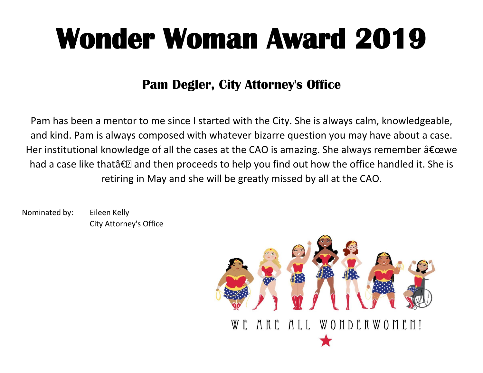#### **Pam Degler, City Attorney's Office**

Pam has been a mentor to me since I started with the City. She is always calm, knowledgeable, and kind. Pam is always composed with whatever bizarre question you may have about a case. Her institutional knowledge of all the cases at the CAO is amazing. She always remember  $\hat{a} \hat{\epsilon}$  cewe had a case like thatâ€<sup>[2]</sup> and then proceeds to help you find out how the office handled it. She is retiring in May and she will be greatly missed by all at the CAO.

Nominated by: Eileen Kelly City Attorney's Office

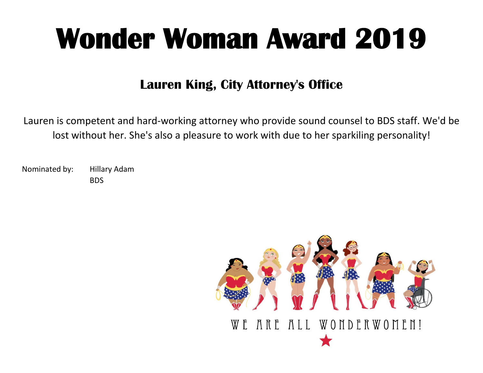#### **Lauren King, City Attorney's Office**

Lauren is competent and hard-working attorney who provide sound counsel to BDS staff. We'd be lost without her. She's also a pleasure to work with due to her sparkiling personality!

Nominated by: Hillary Adam BDS

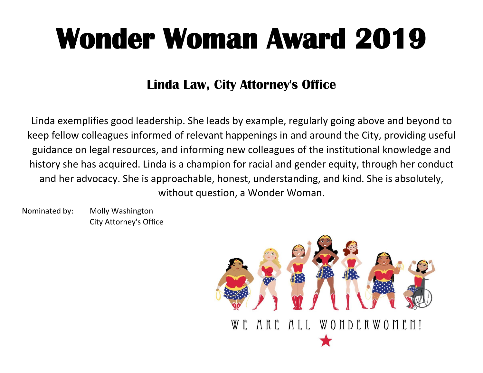### **Linda Law, City Attorney's Office**

Linda exemplifies good leadership. She leads by example, regularly going above and beyond to keep fellow colleagues informed of relevant happenings in and around the City, providing useful guidance on legal resources, and informing new colleagues of the institutional knowledge and history she has acquired. Linda is a champion for racial and gender equity, through her conduct and her advocacy. She is approachable, honest, understanding, and kind. She is absolutely, without question, a Wonder Woman.

Nominated by: Molly Washington City Attorney's Office

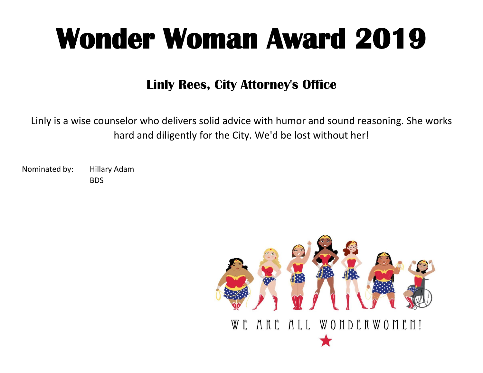#### **Linly Rees, City Attorney's Office**

Linly is a wise counselor who delivers solid advice with humor and sound reasoning. She works hard and diligently for the City. We'd be lost without her!

Nominated by: Hillary Adam BDS

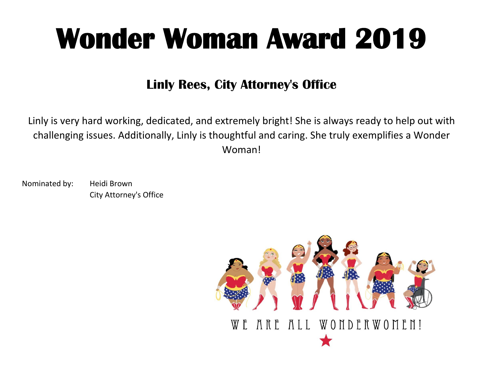#### **Linly Rees, City Attorney's Office**

Linly is very hard working, dedicated, and extremely bright! She is always ready to help out with challenging issues. Additionally, Linly is thoughtful and caring. She truly exemplifies a Wonder Woman!

Nominated by: Heidi Brown City Attorney's Office

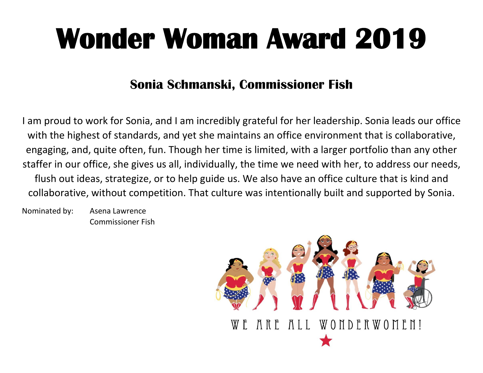#### **Sonia Schmanski, Commissioner Fish**

I am proud to work for Sonia, and I am incredibly grateful for her leadership. Sonia leads our office with the highest of standards, and yet she maintains an office environment that is collaborative, engaging, and, quite often, fun. Though her time is limited, with a larger portfolio than any other staffer in our office, she gives us all, individually, the time we need with her, to address our needs, flush out ideas, strategize, or to help guide us. We also have an office culture that is kind and collaborative, without competition. That culture was intentionally built and supported by Sonia.

Nominated by: Asena Lawrence Commissioner Fish

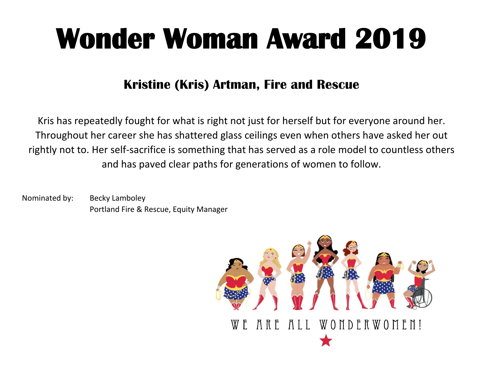#### **Kristine (Kris) Artman, Fire and Rescue**

Kris has repeatedly fought for what is right not just for herself but for everyone around her. Throughout her career she has shattered glass ceilings even when others have asked her out rightly not to. Her self-sacrifice is something that has served as a role model to countless others and has paved clear paths for generations of women to follow.

Nominated by: Becky Lamboley Portland Fire & Rescue, Equity Manager

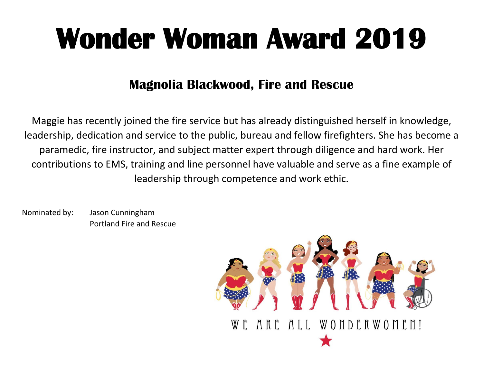#### **Magnolia Blackwood, Fire and Rescue**

Maggie has recently joined the fire service but has already distinguished herself in knowledge, leadership, dedication and service to the public, bureau and fellow firefighters. She has become a paramedic, fire instructor, and subject matter expert through diligence and hard work. Her contributions to EMS, training and line personnel have valuable and serve as a fine example of leadership through competence and work ethic.

Nominated by: Jason Cunningham Portland Fire and Rescue

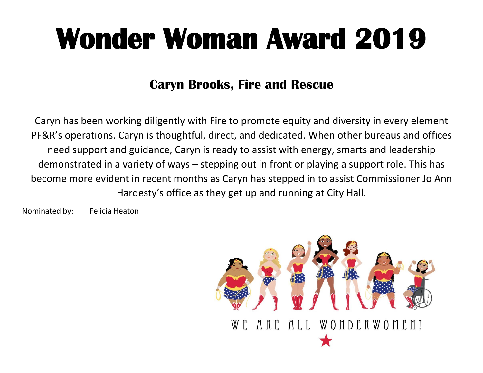#### **Caryn Brooks, Fire and Rescue**

Caryn has been working diligently with Fire to promote equity and diversity in every element PF&R's operations. Caryn is thoughtful, direct, and dedicated. When other bureaus and offices need support and guidance, Caryn is ready to assist with energy, smarts and leadership demonstrated in a variety of ways – stepping out in front or playing a support role. This has become more evident in recent months as Caryn has stepped in to assist Commissioner Jo Ann Hardesty's office as they get up and running at City Hall.

Nominated by: Felicia Heaton

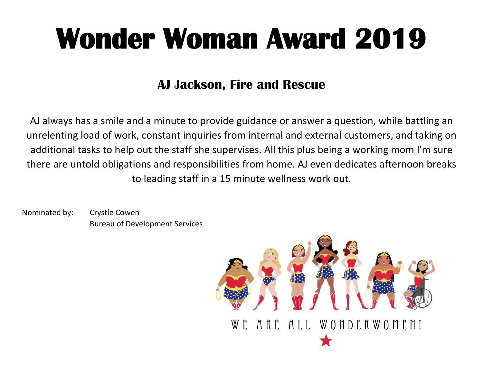#### **AJ Jackson, Fire and Rescue**

AJ always has a smile and a minute to provide guidance or answer a question, while battling an unrelenting load of work, constant inquiries from internal and external customers, and taking on additional tasks to help out the staff she supervises. All this plus being a working mom I'm sure there are untold obligations and responsibilities from home. AJ even dedicates afternoon breaks to leading staff in a 15 minute wellness work out.

Nominated by: Crystle Cowen Bureau of Development Services

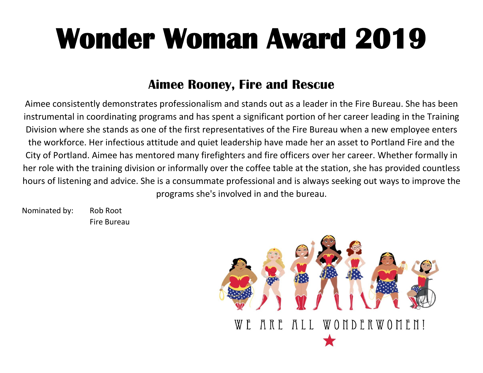#### **Aimee Rooney, Fire and Rescue**

Aimee consistently demonstrates professionalism and stands out as a leader in the Fire Bureau. She has been instrumental in coordinating programs and has spent a significant portion of her career leading in the Training Division where she stands as one of the first representatives of the Fire Bureau when a new employee enters the workforce. Her infectious attitude and quiet leadership have made her an asset to Portland Fire and the City of Portland. Aimee has mentored many firefighters and fire officers over her career. Whether formally in her role with the training division or informally over the coffee table at the station, she has provided countless hours of listening and advice. She is a consummate professional and is always seeking out ways to improve the programs she's involved in and the bureau.

Nominated by: Rob Root Fire Bureau

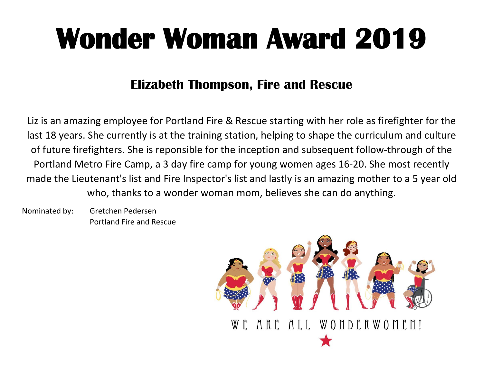#### **Elizabeth Thompson, Fire and Rescue**

Liz is an amazing employee for Portland Fire & Rescue starting with her role as firefighter for the last 18 years. She currently is at the training station, helping to shape the curriculum and culture of future firefighters. She is reponsible for the inception and subsequent follow-through of the Portland Metro Fire Camp, a 3 day fire camp for young women ages 16-20. She most recently made the Lieutenant's list and Fire Inspector's list and lastly is an amazing mother to a 5 year old who, thanks to a wonder woman mom, believes she can do anything.

Nominated by: Gretchen Pedersen Portland Fire and Rescue

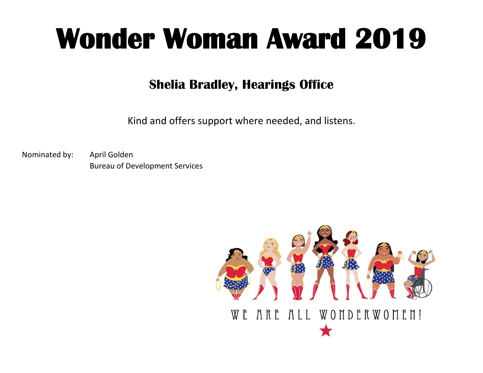#### **Shelia Bradley, Hearings Office**

Kind and offers support where needed, and listens.

Nominated by: April Golden Bureau of Development Services

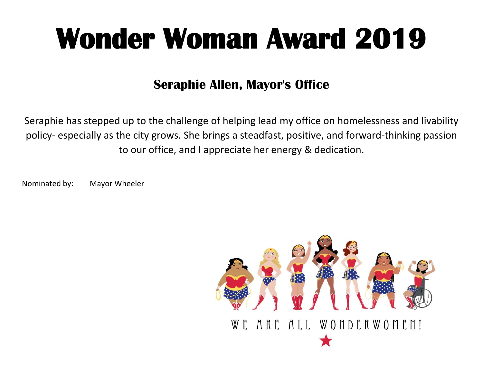#### **Seraphie Allen, Mayor's Office**

Seraphie has stepped up to the challenge of helping lead my office on homelessness and livability policy- especially as the city grows. She brings a steadfast, positive, and forward-thinking passion to our office, and I appreciate her energy & dedication.

Nominated by: Mayor Wheeler

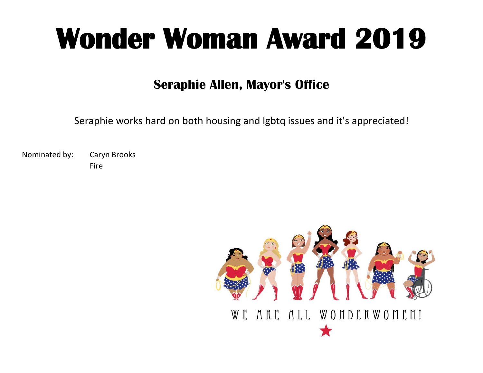#### **Seraphie Allen, Mayor's Office**

Seraphie works hard on both housing and lgbtq issues and it's appreciated!

Nominated by: Caryn Brooks Fire

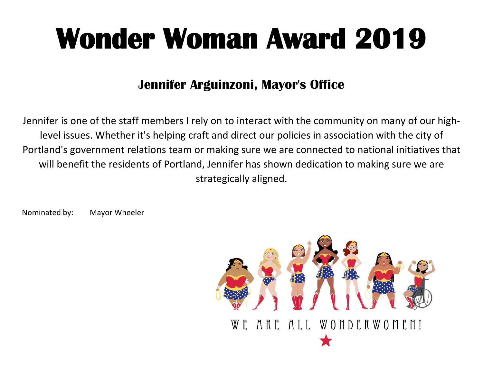#### **Jennifer Arguinzoni, Mayor's Office**

Jennifer is one of the staff members I rely on to interact with the community on many of our highlevel issues. Whether it's helping craft and direct our policies in association with the city of Portland's government relations team or making sure we are connected to national initiatives that will benefit the residents of Portland, Jennifer has shown dedication to making sure we are strategically aligned.

Nominated by: Mayor Wheeler

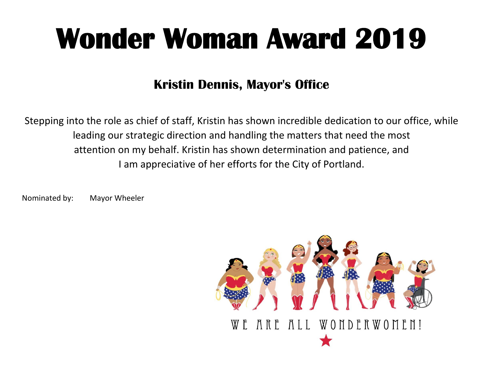#### **Kristin Dennis, Mayor's Office**

Stepping into the role as chief of staff, Kristin has shown incredible dedication to our office, while leading our strategic direction and handling the matters that need the most attention on my behalf. Kristin has shown determination and patience, and I am appreciative of her efforts for the City of Portland.

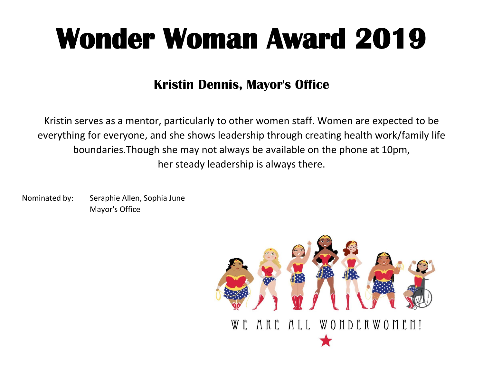#### **Kristin Dennis, Mayor's Office**

Kristin serves as a mentor, particularly to other women staff. Women are expected to be everything for everyone, and she shows leadership through creating health work/family life boundaries.Though she may not always be available on the phone at 10pm, her steady leadership is always there.

Nominated by: Seraphie Allen, Sophia June Mayor's Office

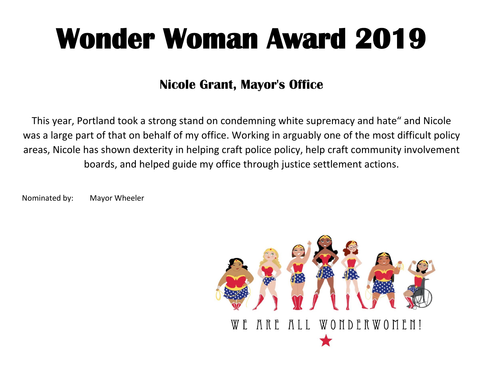#### **Nicole Grant, Mayor's Office**

This year, Portland took a strong stand on condemning white supremacy and hate" and Nicole was a large part of that on behalf of my office. Working in arguably one of the most difficult policy areas, Nicole has shown dexterity in helping craft police policy, help craft community involvement boards, and helped guide my office through justice settlement actions.

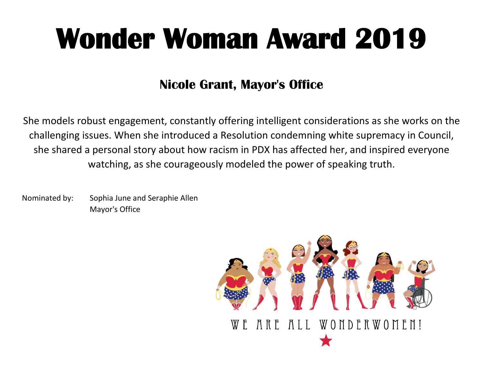#### **Nicole Grant, Mayor's Office**

She models robust engagement, constantly offering intelligent considerations as she works on the challenging issues. When she introduced a Resolution condemning white supremacy in Council, she shared a personal story about how racism in PDX has affected her, and inspired everyone watching, as she courageously modeled the power of speaking truth.

Nominated by: Sophia June and Seraphie Allen Mayor's Office

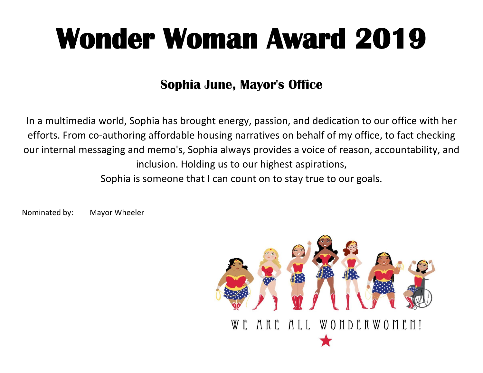### **Sophia June, Mayor's Office**

In a multimedia world, Sophia has brought energy, passion, and dedication to our office with her efforts. From co-authoring affordable housing narratives on behalf of my office, to fact checking our internal messaging and memo's, Sophia always provides a voice of reason, accountability, and inclusion. Holding us to our highest aspirations,

Sophia is someone that I can count on to stay true to our goals.

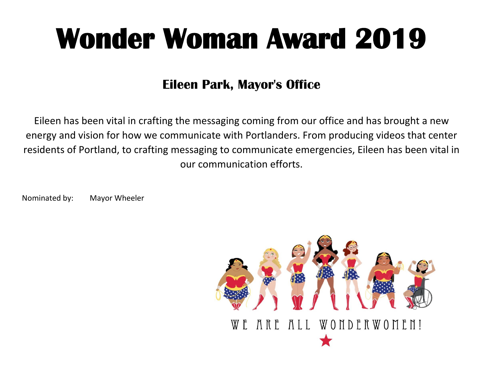#### **Eileen Park, Mayor's Office**

Eileen has been vital in crafting the messaging coming from our office and has brought a new energy and vision for how we communicate with Portlanders. From producing videos that center residents of Portland, to crafting messaging to communicate emergencies, Eileen has been vital in our communication efforts.

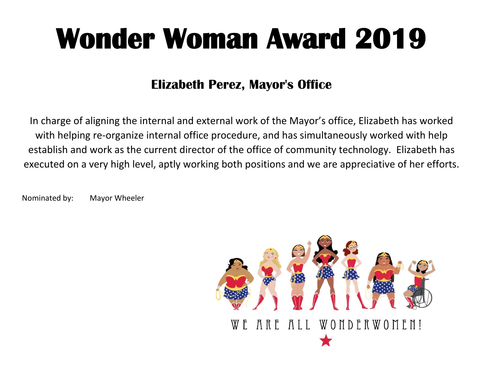#### **Elizabeth Perez, Mayor's Office**

In charge of aligning the internal and external work of the Mayor's office, Elizabeth has worked with helping re-organize internal office procedure, and has simultaneously worked with help establish and work as the current director of the office of community technology. Elizabeth has executed on a very high level, aptly working both positions and we are appreciative of her efforts.

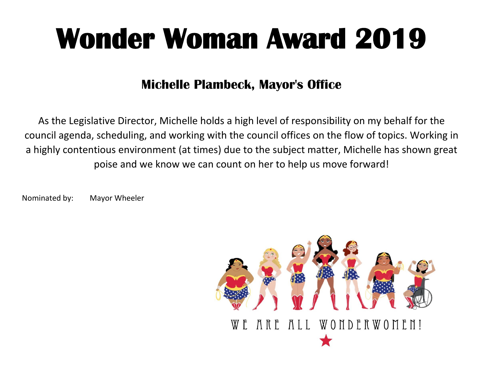#### **Michelle Plambeck, Mayor's Office**

As the Legislative Director, Michelle holds a high level of responsibility on my behalf for the council agenda, scheduling, and working with the council offices on the flow of topics. Working in a highly contentious environment (at times) due to the subject matter, Michelle has shown great poise and we know we can count on her to help us move forward!

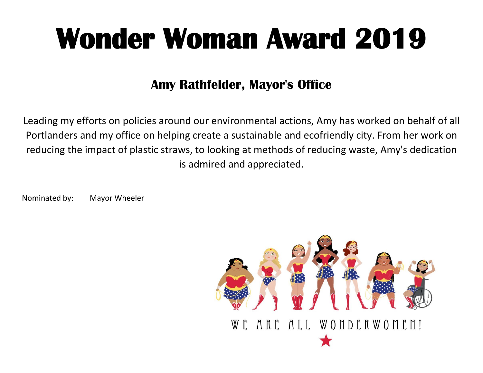#### **Amy Rathfelder, Mayor's Office**

Leading my efforts on policies around our environmental actions, Amy has worked on behalf of all Portlanders and my office on helping create a sustainable and ecofriendly city. From her work on reducing the impact of plastic straws, to looking at methods of reducing waste, Amy's dedication is admired and appreciated.

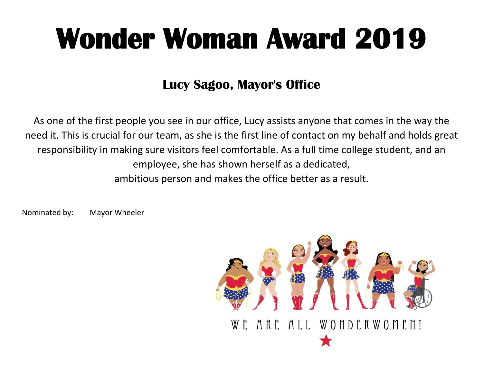#### **Lucy Sagoo, Mayor's Office**

As one of the first people you see in our office, Lucy assists anyone that comes in the way the need it. This is crucial for our team, as she is the first line of contact on my behalf and holds great responsibility in making sure visitors feel comfortable. As a full time college student, and an employee, she has shown herself as a dedicated, ambitious person and makes the office better as a result.

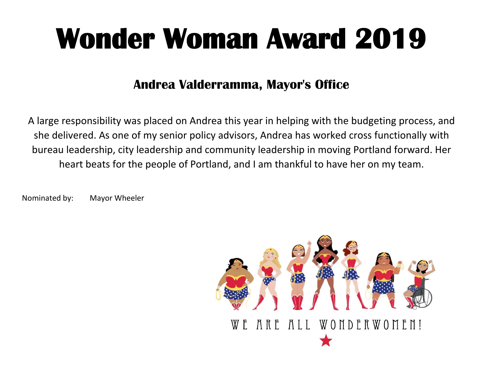#### **Andrea Valderramma, Mayor's Office**

A large responsibility was placed on Andrea this year in helping with the budgeting process, and she delivered. As one of my senior policy advisors, Andrea has worked cross functionally with bureau leadership, city leadership and community leadership in moving Portland forward. Her heart beats for the people of Portland, and I am thankful to have her on my team.

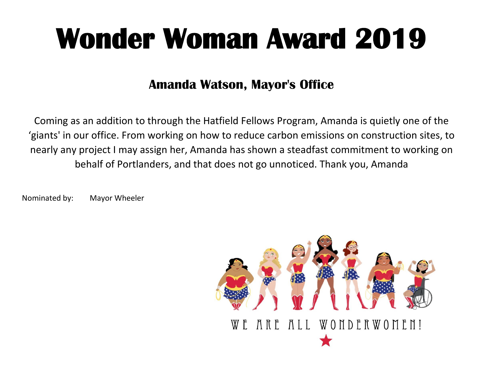#### **Amanda Watson, Mayor's Office**

Coming as an addition to through the Hatfield Fellows Program, Amanda is quietly one of the 'giants' in our office. From working on how to reduce carbon emissions on construction sites, to nearly any project I may assign her, Amanda has shown a steadfast commitment to working on behalf of Portlanders, and that does not go unnoticed. Thank you, Amanda

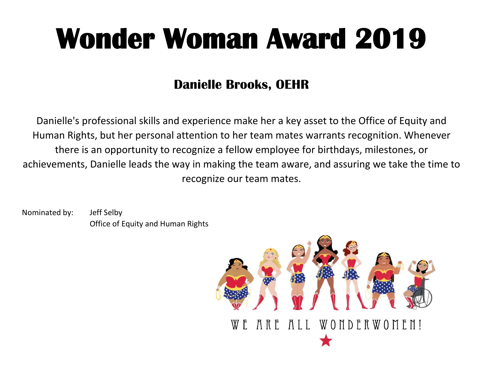#### **Danielle Brooks, OEHR**

Danielle's professional skills and experience make her a key asset to the Office of Equity and Human Rights, but her personal attention to her team mates warrants recognition. Whenever there is an opportunity to recognize a fellow employee for birthdays, milestones, or achievements, Danielle leads the way in making the team aware, and assuring we take the time to recognize our team mates.

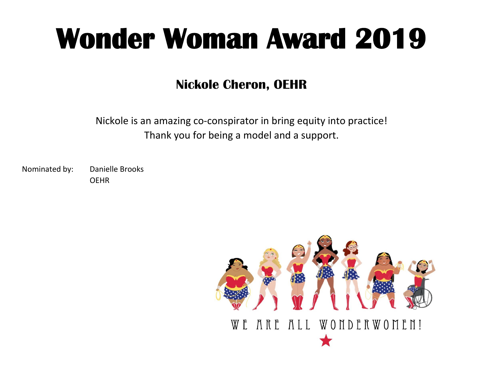#### **Nickole Cheron, OEHR**

Nickole is an amazing co-conspirator in bring equity into practice! Thank you for being a model and a support.

Nominated by: Danielle Brooks

OEHR

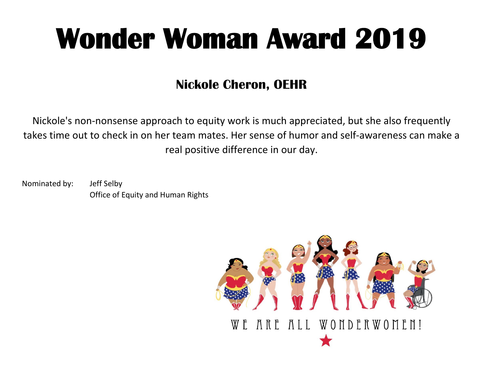### **Nickole Cheron, OEHR**

Nickole's non-nonsense approach to equity work is much appreciated, but she also frequently takes time out to check in on her team mates. Her sense of humor and self-awareness can make a real positive difference in our day.

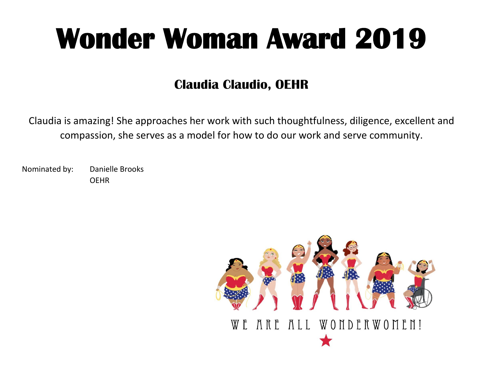### **Claudia Claudio, OEHR**

Claudia is amazing! She approaches her work with such thoughtfulness, diligence, excellent and compassion, she serves as a model for how to do our work and serve community.

Nominated by: Danielle Brooks OEHR

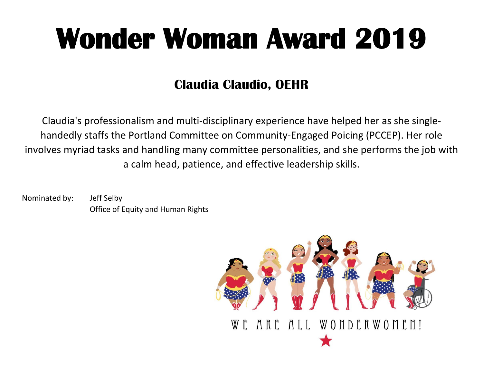### **Claudia Claudio, OEHR**

Claudia's professionalism and multi-disciplinary experience have helped her as she singlehandedly staffs the Portland Committee on Community-Engaged Poicing (PCCEP). Her role involves myriad tasks and handling many committee personalities, and she performs the job with a calm head, patience, and effective leadership skills.

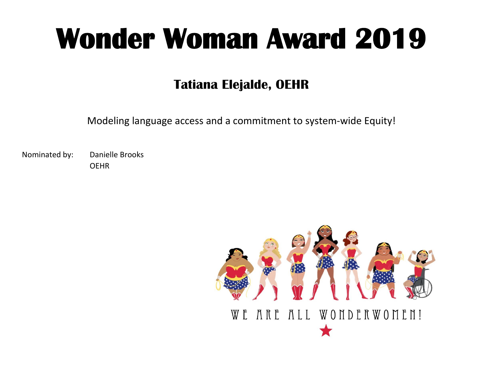### **Tatiana Elejalde, OEHR**

Modeling language access and a commitment to system-wide Equity!

Nominated by: Danielle Brooks OEHR

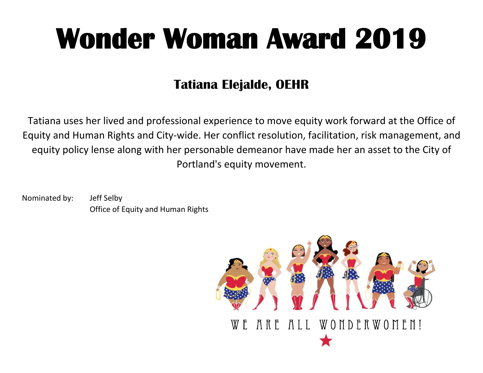### **Tatiana Elejalde, OEHR**

Tatiana uses her lived and professional experience to move equity work forward at the Office of Equity and Human Rights and City-wide. Her conflict resolution, facilitation, risk management, and equity policy lense along with her personable demeanor have made her an asset to the City of Portland's equity movement.

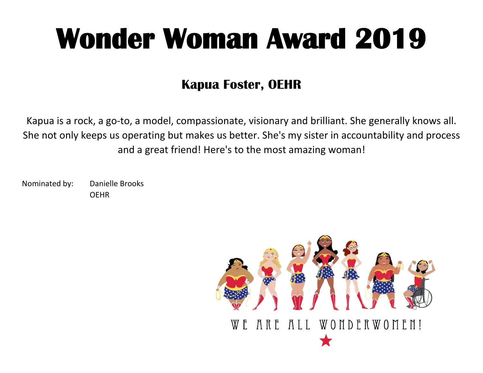### **Kapua Foster, OEHR**

Kapua is a rock, a go-to, a model, compassionate, visionary and brilliant. She generally knows all. She not only keeps us operating but makes us better. She's my sister in accountability and process and a great friend! Here's to the most amazing woman!

Nominated by: Danielle Brooks OEHR

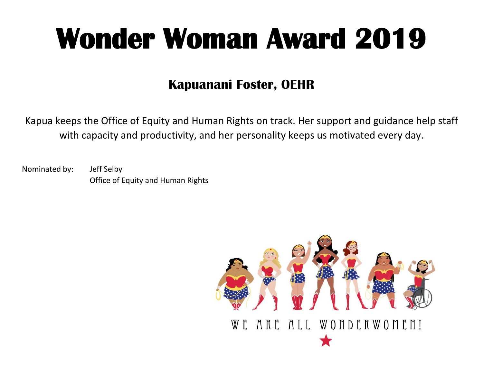#### **Kapuanani Foster, OEHR**

Kapua keeps the Office of Equity and Human Rights on track. Her support and guidance help staff with capacity and productivity, and her personality keeps us motivated every day.

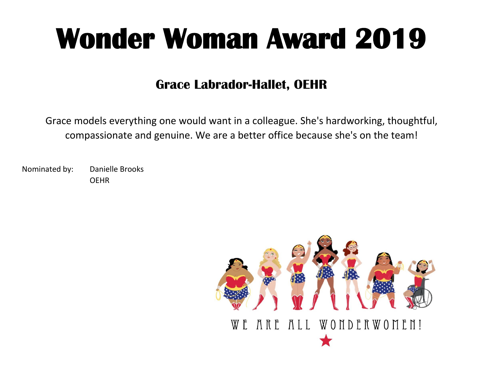#### **Grace Labrador-Hallet, OEHR**

Grace models everything one would want in a colleague. She's hardworking, thoughtful, compassionate and genuine. We are a better office because she's on the team!

Nominated by: Danielle Brooks OEHR

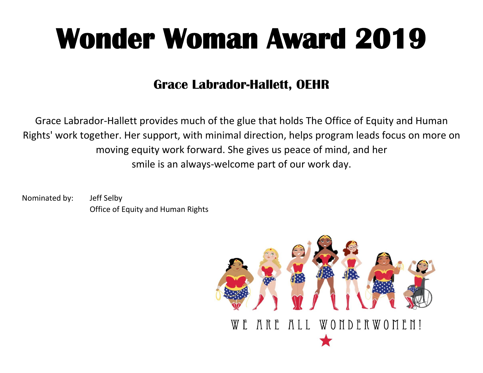### **Grace Labrador-Hallett, OEHR**

Grace Labrador-Hallett provides much of the glue that holds The Office of Equity and Human Rights' work together. Her support, with minimal direction, helps program leads focus on more on moving equity work forward. She gives us peace of mind, and her smile is an always-welcome part of our work day.

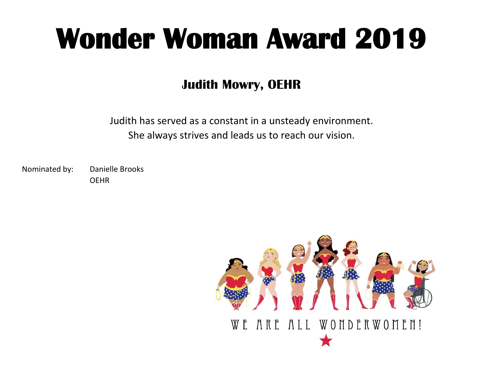### **Judith Mowry, OEHR**

Judith has served as a constant in a unsteady environment. She always strives and leads us to reach our vision.

Nominated by: Danielle Brooks

OEHR

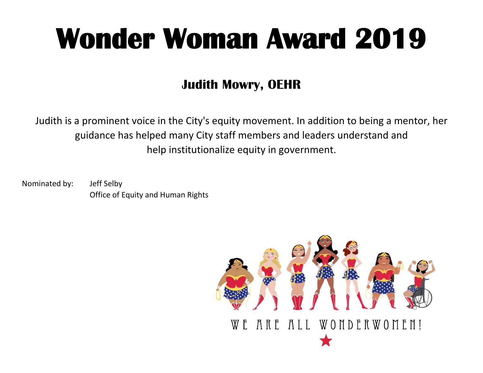### **Judith Mowry, OEHR**

Judith is a prominent voice in the City's equity movement. In addition to being a mentor, her guidance has helped many City staff members and leaders understand and help institutionalize equity in government.

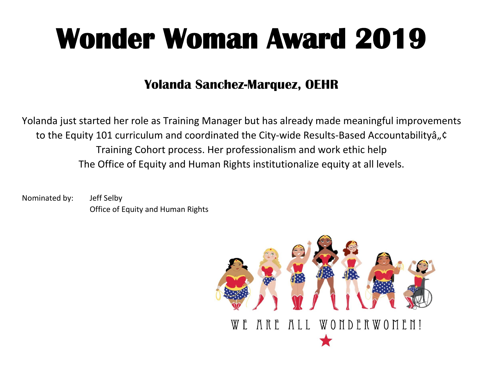#### **Yolanda Sanchez-Marquez, OEHR**

Yolanda just started her role as Training Manager but has already made meaningful improvements to the Equity 101 curriculum and coordinated the City-wide Results-Based Accountabilityâ,, c Training Cohort process. Her professionalism and work ethic help The Office of Equity and Human Rights institutionalize equity at all levels.

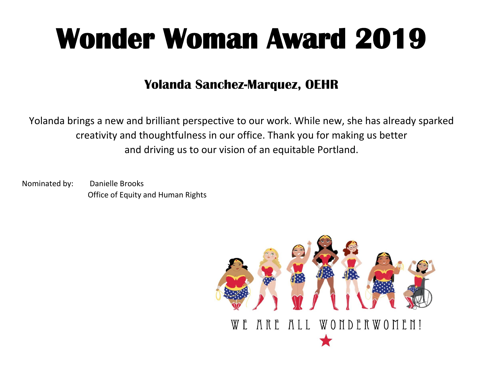#### **Yolanda Sanchez-Marquez, OEHR**

Yolanda brings a new and brilliant perspective to our work. While new, she has already sparked creativity and thoughtfulness in our office. Thank you for making us better and driving us to our vision of an equitable Portland.

Nominated by: Danielle Brooks Office of Equity and Human Rights

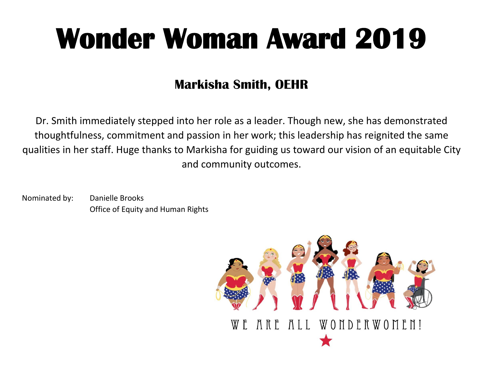### **Markisha Smith, OEHR**

Dr. Smith immediately stepped into her role as a leader. Though new, she has demonstrated thoughtfulness, commitment and passion in her work; this leadership has reignited the same qualities in her staff. Huge thanks to Markisha for guiding us toward our vision of an equitable City and community outcomes.

Nominated by: Danielle Brooks Office of Equity and Human Rights

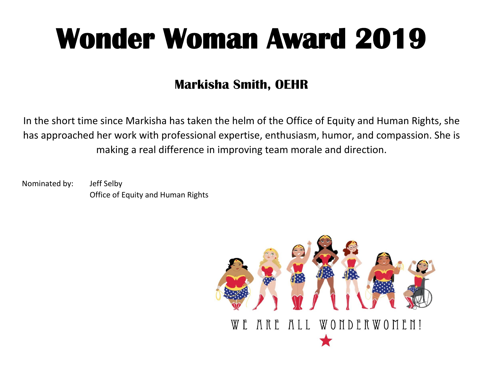### **Markisha Smith, OEHR**

In the short time since Markisha has taken the helm of the Office of Equity and Human Rights, she has approached her work with professional expertise, enthusiasm, humor, and compassion. She is making a real difference in improving team morale and direction.

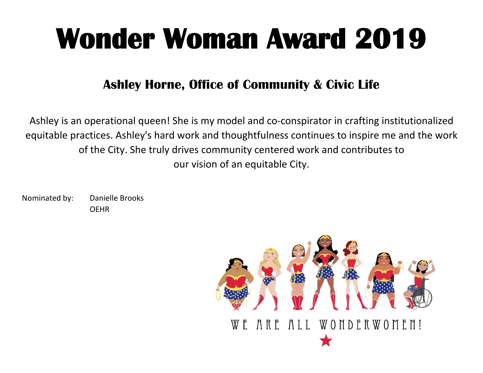#### **Ashley Horne, Office of Community & Civic Life**

Ashley is an operational queen! She is my model and co-conspirator in crafting institutionalized equitable practices. Ashley's hard work and thoughtfulness continues to inspire me and the work of the City. She truly drives community centered work and contributes to our vision of an equitable City.

Nominated by: Danielle Brooks OEHR

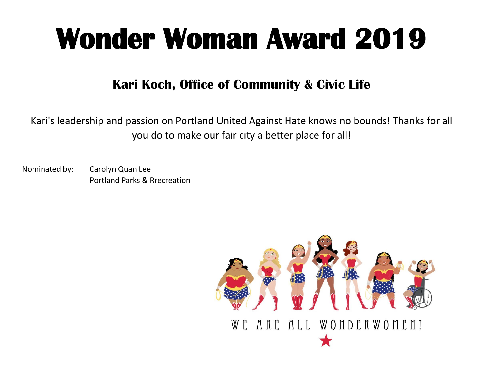**Kari Koch, Office of Community & Civic Life**

Kari's leadership and passion on Portland United Against Hate knows no bounds! Thanks for all you do to make our fair city a better place for all!

Nominated by: Carolyn Quan Lee Portland Parks & Rrecreation

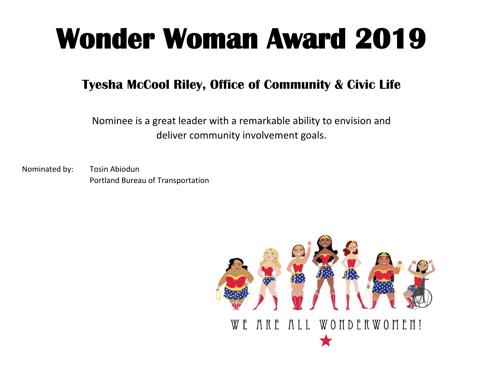#### **Tyesha McCool Riley, Office of Community & Civic Life**

Nominee is a great leader with a remarkable ability to envision and deliver community involvement goals.

Nominated by: Tosin Abiodun Portland Bureau of Transportation

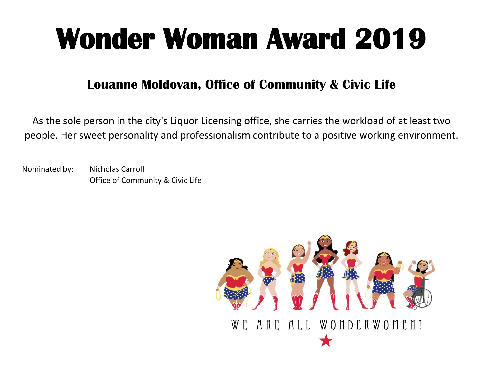#### **Louanne Moldovan, Office of Community & Civic Life**

As the sole person in the city's Liquor Licensing office, she carries the workload of at least two people. Her sweet personality and professionalism contribute to a positive working environment.

Nominated by: Nicholas Carroll Office of Community & Civic Life

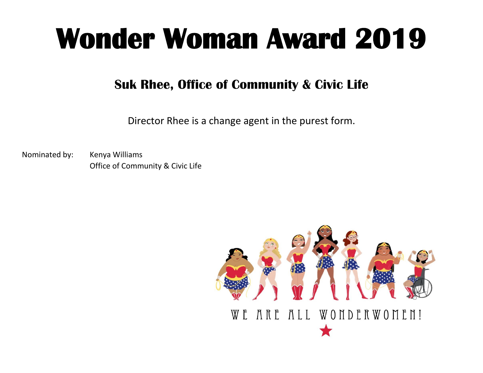#### **Suk Rhee, Office of Community & Civic Life**

Director Rhee is a change agent in the purest form.

Nominated by: Kenya Williams Office of Community & Civic Life

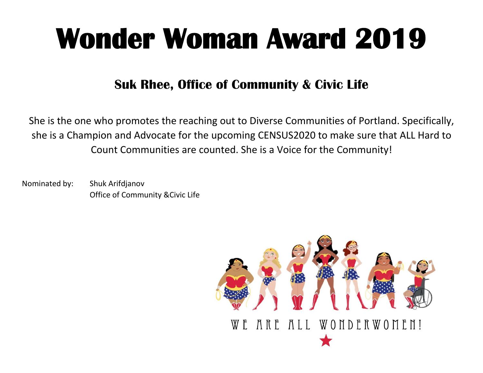#### **Suk Rhee, Office of Community & Civic Life**

She is the one who promotes the reaching out to Diverse Communities of Portland. Specifically, she is a Champion and Advocate for the upcoming CENSUS2020 to make sure that ALL Hard to Count Communities are counted. She is a Voice for the Community!

Nominated by: Shuk Arifdjanov Office of Community &Civic Life

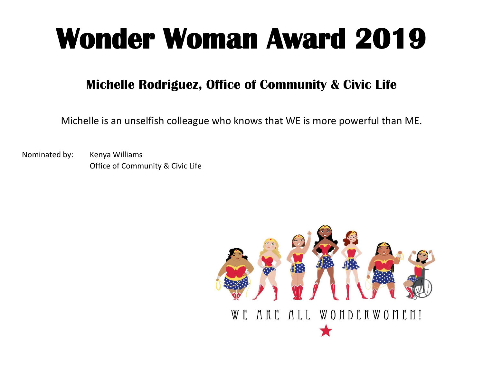#### **Michelle Rodriguez, Office of Community & Civic Life**

Michelle is an unselfish colleague who knows that WE is more powerful than ME.

Nominated by: Kenya Williams Office of Community & Civic Life

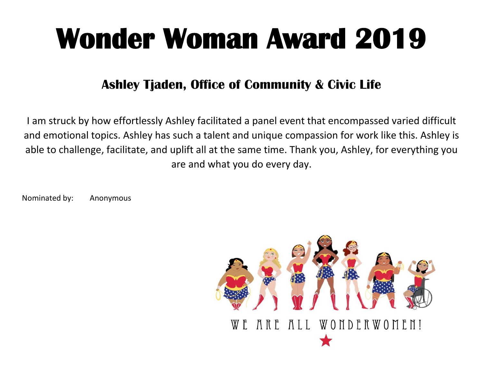#### **Ashley Tjaden, Office of Community & Civic Life**

I am struck by how effortlessly Ashley facilitated a panel event that encompassed varied difficult and emotional topics. Ashley has such a talent and unique compassion for work like this. Ashley is able to challenge, facilitate, and uplift all at the same time. Thank you, Ashley, for everything you are and what you do every day.

Nominated by: Anonymous

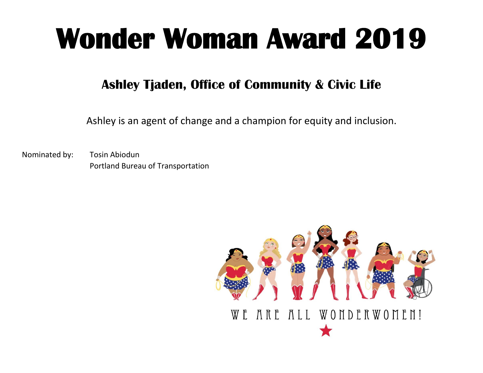#### **Ashley Tjaden, Office of Community & Civic Life**

Ashley is an agent of change and a champion for equity and inclusion.

Nominated by: Tosin Abiodun Portland Bureau of Transportation

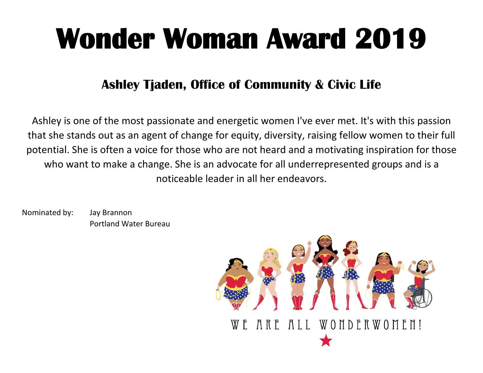#### **Ashley Tjaden, Office of Community & Civic Life**

Ashley is one of the most passionate and energetic women I've ever met. It's with this passion that she stands out as an agent of change for equity, diversity, raising fellow women to their full potential. She is often a voice for those who are not heard and a motivating inspiration for those who want to make a change. She is an advocate for all underrepresented groups and is a noticeable leader in all her endeavors.

Nominated by: Jay Brannon Portland Water Bureau

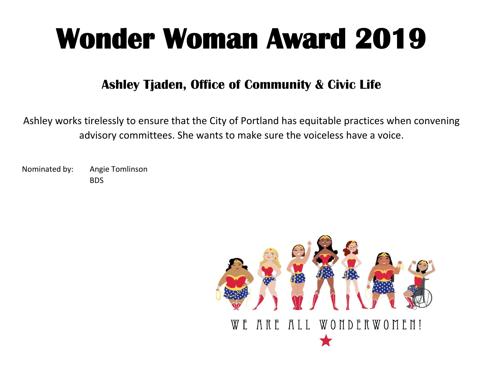#### **Ashley Tjaden, Office of Community & Civic Life**

Ashley works tirelessly to ensure that the City of Portland has equitable practices when convening advisory committees. She wants to make sure the voiceless have a voice.

Nominated by: Angie Tomlinson BDS

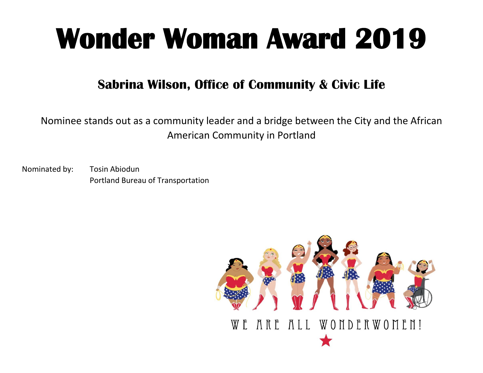#### **Sabrina Wilson, Office of Community & Civic Life**

Nominee stands out as a community leader and a bridge between the City and the African American Community in Portland

Nominated by: Tosin Abiodun Portland Bureau of Transportation

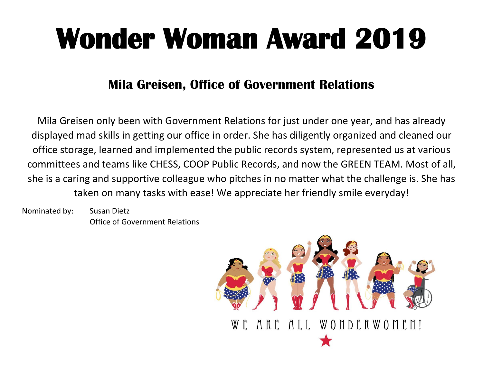#### **Mila Greisen, Office of Government Relations**

Mila Greisen only been with Government Relations for just under one year, and has already displayed mad skills in getting our office in order. She has diligently organized and cleaned our office storage, learned and implemented the public records system, represented us at various committees and teams like CHESS, COOP Public Records, and now the GREEN TEAM. Most of all, she is a caring and supportive colleague who pitches in no matter what the challenge is. She has taken on many tasks with ease! We appreciate her friendly smile everyday!

Nominated by: Susan Dietz Office of Government Relations

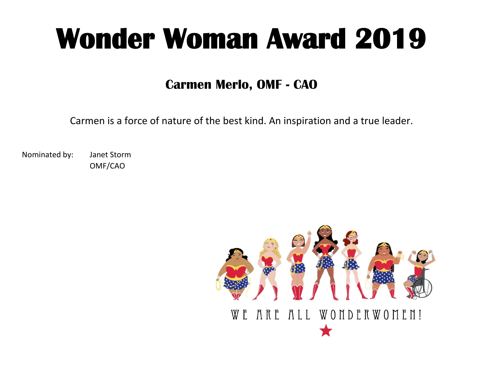#### **Carmen Merlo, OMF - CAO**

Carmen is a force of nature of the best kind. An inspiration and a true leader.

Nominated by: Janet Storm OMF/CAO

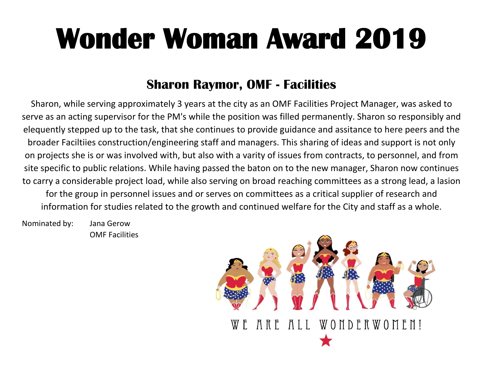#### **Sharon Raymor, OMF - Facilities**

Sharon, while serving approximately 3 years at the city as an OMF Facilities Project Manager, was asked to serve as an acting supervisor for the PM's while the position was filled permanently. Sharon so responsibly and elequently stepped up to the task, that she continues to provide guidance and assitance to here peers and the broader Faciltiies construction/engineering staff and managers. This sharing of ideas and support is not only on projects she is or was involved with, but also with a varity of issues from contracts, to personnel, and from site specific to public relations. While having passed the baton on to the new manager, Sharon now continues to carry a considerable project load, while also serving on broad reaching committees as a strong lead, a lasion for the group in personnel issues and or serves on committees as a critical supplier of research and information for studies related to the growth and continued welfare for the City and staff as a whole.

Nominated by: Jana Gerow OMF Facilities

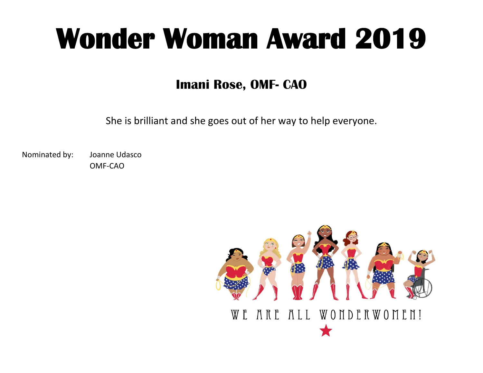#### **Imani Rose, OMF- CAO**

She is brilliant and she goes out of her way to help everyone.

Nominated by: Joanne Udasco OMF-CAO

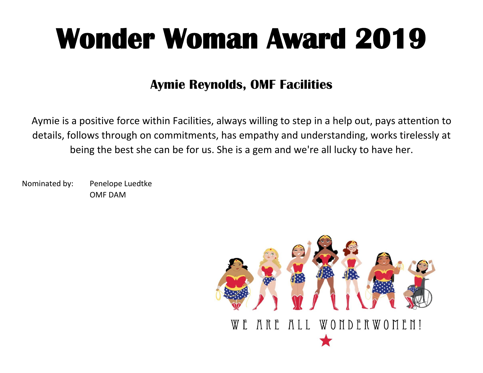#### **Aymie Reynolds, OMF Facilities**

Aymie is a positive force within Facilities, always willing to step in a help out, pays attention to details, follows through on commitments, has empathy and understanding, works tirelessly at being the best she can be for us. She is a gem and we're all lucky to have her.

Nominated by: Penelope Luedtke OMF DAM

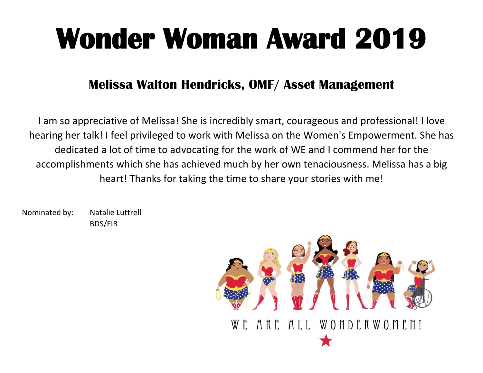#### **Melissa Walton Hendricks, OMF/ Asset Management**

I am so appreciative of Melissa! She is incredibly smart, courageous and professional! I love hearing her talk! I feel privileged to work with Melissa on the Women's Empowerment. She has dedicated a lot of time to advocating for the work of WE and I commend her for the accomplishments which she has achieved much by her own tenaciousness. Melissa has a big heart! Thanks for taking the time to share your stories with me!

Nominated by: Natalie Luttrell BDS/FIR

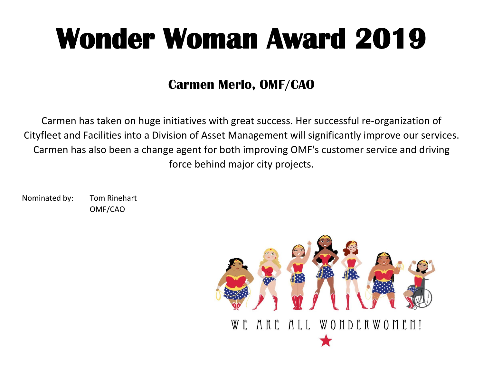#### **Carmen Merlo, OMF/CAO**

Carmen has taken on huge initiatives with great success. Her successful re-organization of Cityfleet and Facilities into a Division of Asset Management will significantly improve our services. Carmen has also been a change agent for both improving OMF's customer service and driving force behind major city projects.

Nominated by: Tom Rinehart OMF/CAO

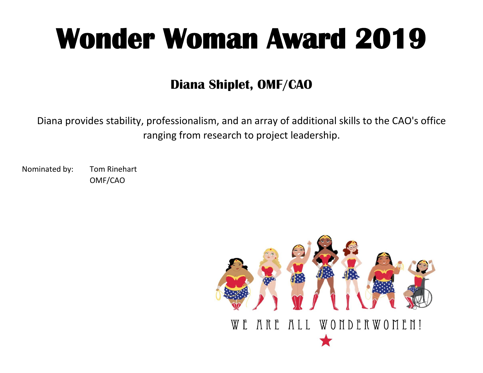### **Diana Shiplet, OMF/CAO**

Diana provides stability, professionalism, and an array of additional skills to the CAO's office ranging from research to project leadership.

Nominated by: Tom Rinehart OMF/CAO

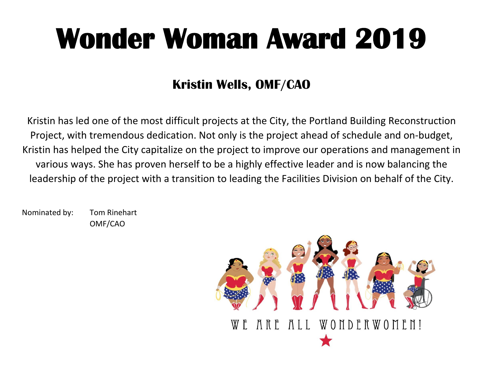### **Kristin Wells, OMF/CAO**

Kristin has led one of the most difficult projects at the City, the Portland Building Reconstruction Project, with tremendous dedication. Not only is the project ahead of schedule and on-budget, Kristin has helped the City capitalize on the project to improve our operations and management in various ways. She has proven herself to be a highly effective leader and is now balancing the leadership of the project with a transition to leading the Facilities Division on behalf of the City.

Nominated by: Tom Rinehart OMF/CAO

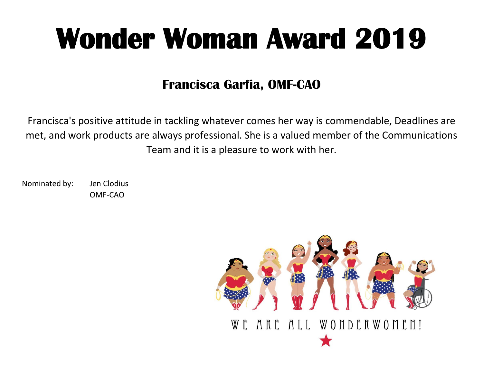#### **Francisca Garfia, OMF-CAO**

Francisca's positive attitude in tackling whatever comes her way is commendable, Deadlines are met, and work products are always professional. She is a valued member of the Communications Team and it is a pleasure to work with her.

Nominated by: Jen Clodius OMF-CAO

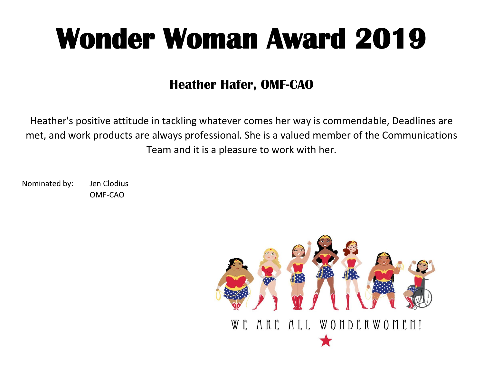#### **Heather Hafer, OMF-CAO**

Heather's positive attitude in tackling whatever comes her way is commendable, Deadlines are met, and work products are always professional. She is a valued member of the Communications Team and it is a pleasure to work with her.

Nominated by: Jen Clodius OMF-CAO

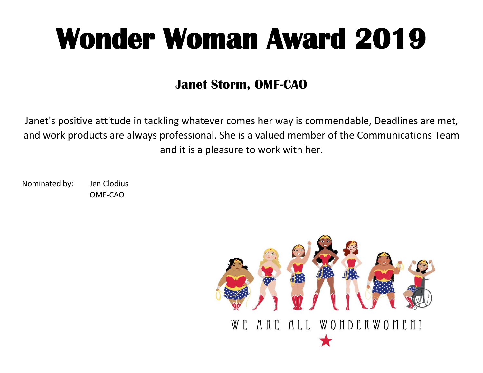#### **Janet Storm, OMF-CAO**

Janet's positive attitude in tackling whatever comes her way is commendable, Deadlines are met, and work products are always professional. She is a valued member of the Communications Team and it is a pleasure to work with her.

Nominated by: Jen Clodius OMF-CAO

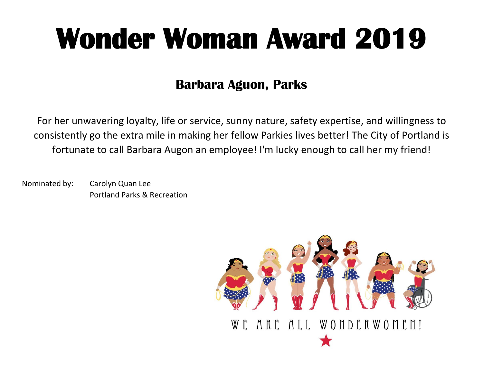#### **Barbara Aguon, Parks**

For her unwavering loyalty, life or service, sunny nature, safety expertise, and willingness to consistently go the extra mile in making her fellow Parkies lives better! The City of Portland is fortunate to call Barbara Augon an employee! I'm lucky enough to call her my friend!

Nominated by: Carolyn Quan Lee Portland Parks & Recreation

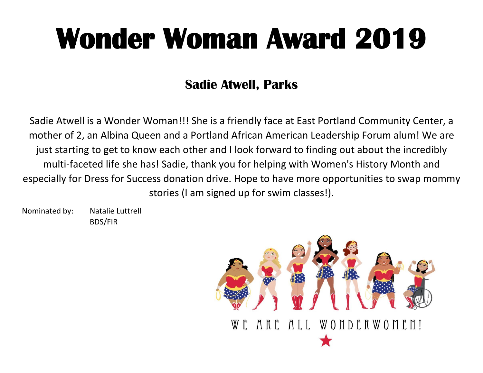### **Sadie Atwell, Parks**

Sadie Atwell is a Wonder Woman!!! She is a friendly face at East Portland Community Center, a mother of 2, an Albina Queen and a Portland African American Leadership Forum alum! We are just starting to get to know each other and I look forward to finding out about the incredibly multi-faceted life she has! Sadie, thank you for helping with Women's History Month and especially for Dress for Success donation drive. Hope to have more opportunities to swap mommy stories (I am signed up for swim classes!).

Nominated by: Natalie Luttrell BDS/FIR

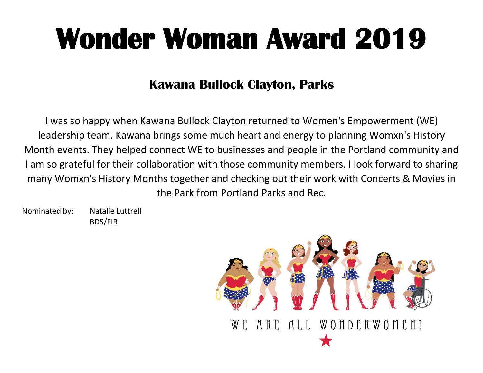#### **Kawana Bullock Clayton, Parks**

I was so happy when Kawana Bullock Clayton returned to Women's Empowerment (WE) leadership team. Kawana brings some much heart and energy to planning Womxn's History Month events. They helped connect WE to businesses and people in the Portland community and I am so grateful for their collaboration with those community members. I look forward to sharing many Womxn's History Months together and checking out their work with Concerts & Movies in the Park from Portland Parks and Rec.

Nominated by: Natalie Luttrell BDS/FIR

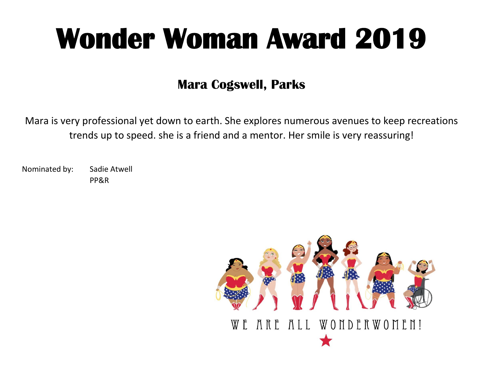#### **Mara Cogswell, Parks**

Mara is very professional yet down to earth. She explores numerous avenues to keep recreations trends up to speed. she is a friend and a mentor. Her smile is very reassuring!

Nominated by: Sadie Atwell PP&R

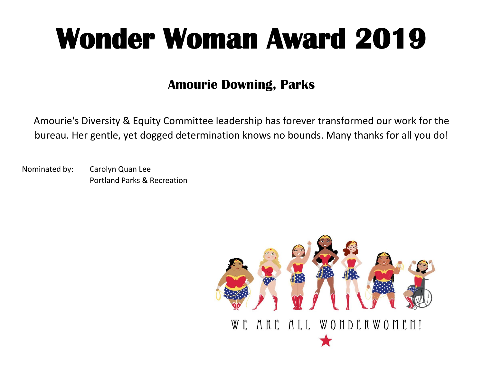#### **Amourie Downing, Parks**

Amourie's Diversity & Equity Committee leadership has forever transformed our work for the bureau. Her gentle, yet dogged determination knows no bounds. Many thanks for all you do!

Nominated by: Carolyn Quan Lee Portland Parks & Recreation

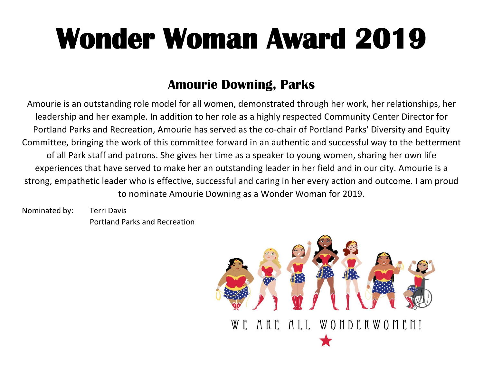#### **Amourie Downing, Parks**

Amourie is an outstanding role model for all women, demonstrated through her work, her relationships, her leadership and her example. In addition to her role as a highly respected Community Center Director for Portland Parks and Recreation, Amourie has served as the co-chair of Portland Parks' Diversity and Equity Committee, bringing the work of this committee forward in an authentic and successful way to the betterment of all Park staff and patrons. She gives her time as a speaker to young women, sharing her own life experiences that have served to make her an outstanding leader in her field and in our city. Amourie is a strong, empathetic leader who is effective, successful and caring in her every action and outcome. I am proud to nominate Amourie Downing as a Wonder Woman for 2019.

Nominated by: Terri Davis Portland Parks and Recreation

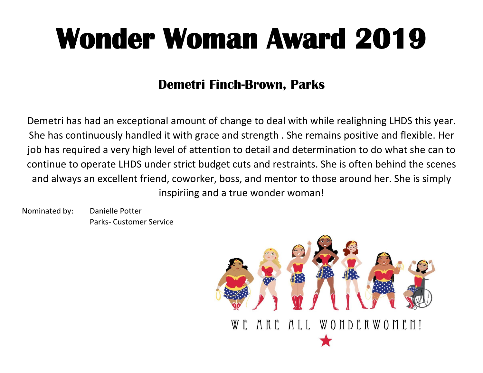#### **Demetri Finch-Brown, Parks**

Demetri has had an exceptional amount of change to deal with while realighning LHDS this year. She has continuously handled it with grace and strength . She remains positive and flexible. Her job has required a very high level of attention to detail and determination to do what she can to continue to operate LHDS under strict budget cuts and restraints. She is often behind the scenes and always an excellent friend, coworker, boss, and mentor to those around her. She is simply inspiriing and a true wonder woman!

Nominated by: Danielle Potter Parks- Customer Service

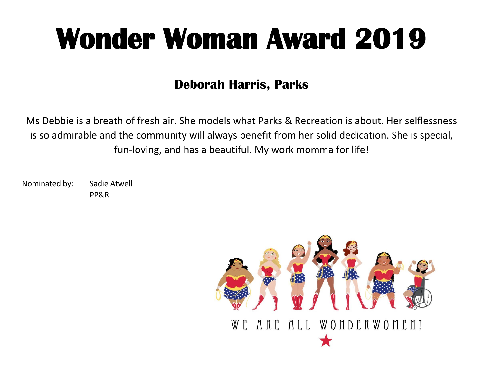#### **Deborah Harris, Parks**

Ms Debbie is a breath of fresh air. She models what Parks & Recreation is about. Her selflessness is so admirable and the community will always benefit from her solid dedication. She is special, fun-loving, and has a beautiful. My work momma for life!

Nominated by: Sadie Atwell PP&R

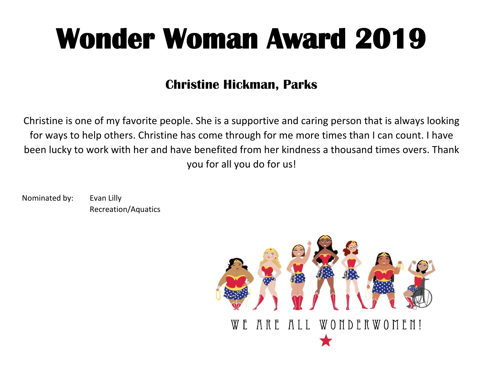#### **Christine Hickman, Parks**

Christine is one of my favorite people. She is a supportive and caring person that is always looking for ways to help others. Christine has come through for me more times than I can count. I have been lucky to work with her and have benefited from her kindness a thousand times overs. Thank you for all you do for us!

Nominated by: Evan Lilly Recreation/Aquatics

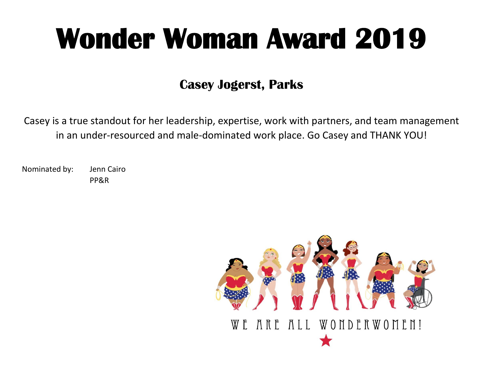#### **Casey Jogerst, Parks**

Casey is a true standout for her leadership, expertise, work with partners, and team management in an under-resourced and male-dominated work place. Go Casey and THANK YOU!

Nominated by: Jenn Cairo PP&R

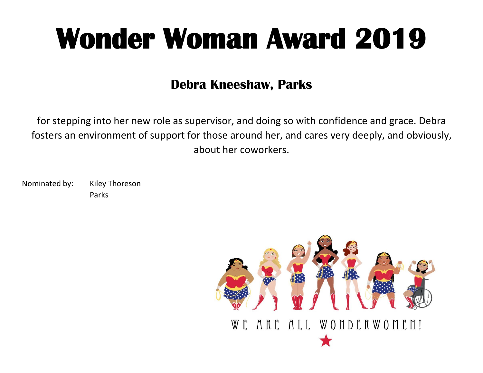#### **Debra Kneeshaw, Parks**

for stepping into her new role as supervisor, and doing so with confidence and grace. Debra fosters an environment of support for those around her, and cares very deeply, and obviously, about her coworkers.

Nominated by: Kiley Thoreson Parks

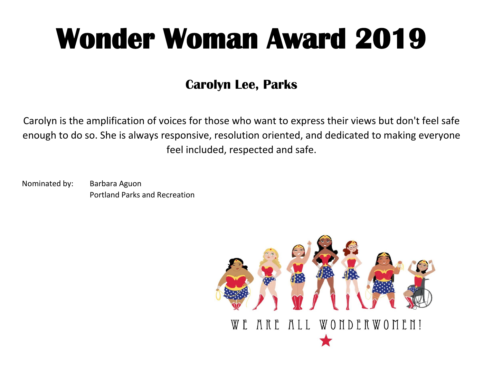### **Carolyn Lee, Parks**

Carolyn is the amplification of voices for those who want to express their views but don't feel safe enough to do so. She is always responsive, resolution oriented, and dedicated to making everyone feel included, respected and safe.

Nominated by: Barbara Aguon Portland Parks and Recreation

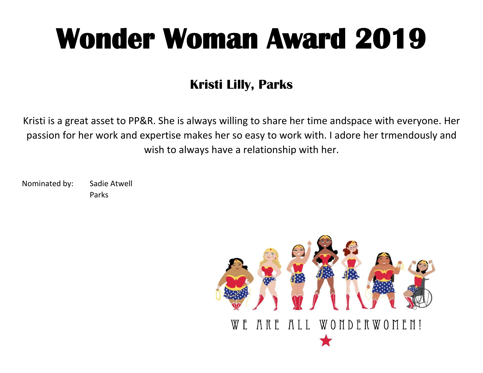### **Kristi Lilly, Parks**

Kristi is a great asset to PP&R. She is always willing to share her time andspace with everyone. Her passion for her work and expertise makes her so easy to work with. I adore her trmendously and wish to always have a relationship with her.

Nominated by: Sadie Atwell Parks

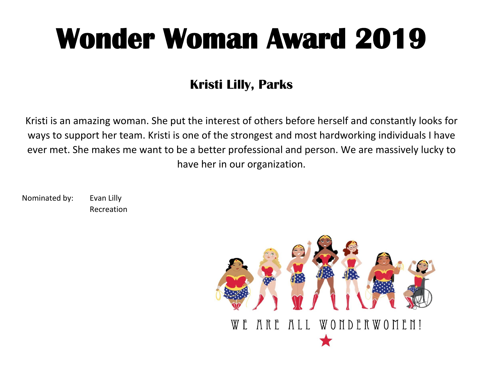### **Kristi Lilly, Parks**

Kristi is an amazing woman. She put the interest of others before herself and constantly looks for ways to support her team. Kristi is one of the strongest and most hardworking individuals I have ever met. She makes me want to be a better professional and person. We are massively lucky to have her in our organization.

Nominated by: Evan Lilly Recreation

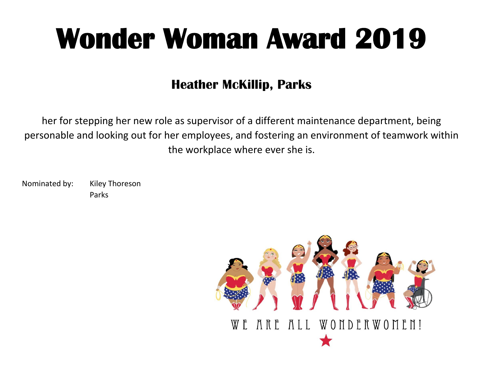### **Heather McKillip, Parks**

her for stepping her new role as supervisor of a different maintenance department, being personable and looking out for her employees, and fostering an environment of teamwork within the workplace where ever she is.

Nominated by: Kiley Thoreson Parks

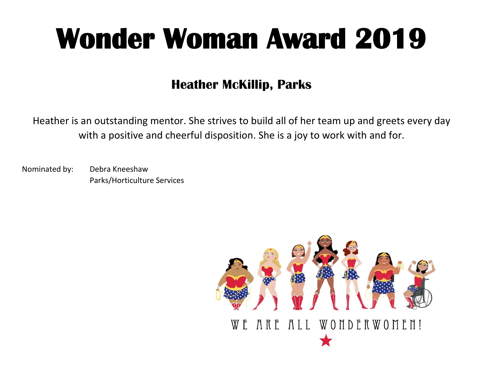### **Heather McKillip, Parks**

Heather is an outstanding mentor. She strives to build all of her team up and greets every day with a positive and cheerful disposition. She is a joy to work with and for.

Nominated by: Debra Kneeshaw Parks/Horticulture Services

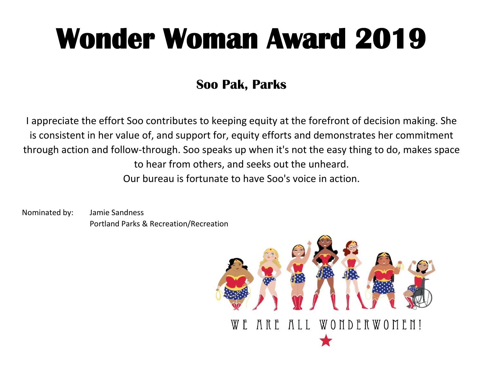### **Soo Pak, Parks**

I appreciate the effort Soo contributes to keeping equity at the forefront of decision making. She is consistent in her value of, and support for, equity efforts and demonstrates her commitment through action and follow-through. Soo speaks up when it's not the easy thing to do, makes space to hear from others, and seeks out the unheard.

Our bureau is fortunate to have Soo's voice in action.

Nominated by: Jamie Sandness Portland Parks & Recreation/Recreation

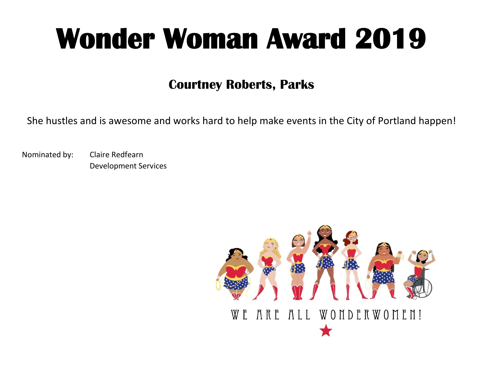#### **Courtney Roberts, Parks**

She hustles and is awesome and works hard to help make events in the City of Portland happen!

Nominated by: Claire Redfearn Development Services

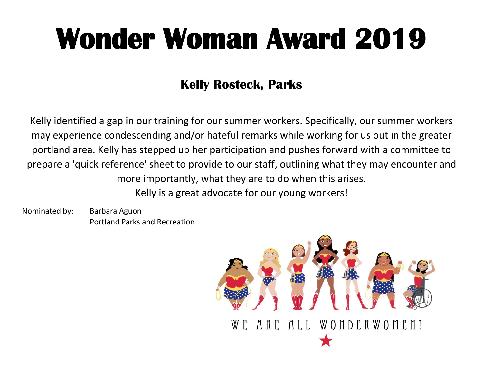### **Kelly Rosteck, Parks**

Kelly identified a gap in our training for our summer workers. Specifically, our summer workers may experience condescending and/or hateful remarks while working for us out in the greater portland area. Kelly has stepped up her participation and pushes forward with a committee to prepare a 'quick reference' sheet to provide to our staff, outlining what they may encounter and more importantly, what they are to do when this arises. Kelly is a great advocate for our young workers!

Nominated by: Barbara Aguon Portland Parks and Recreation

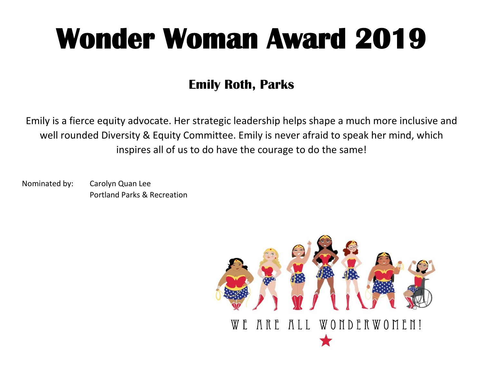#### **Emily Roth, Parks**

Emily is a fierce equity advocate. Her strategic leadership helps shape a much more inclusive and well rounded Diversity & Equity Committee. Emily is never afraid to speak her mind, which inspires all of us to do have the courage to do the same!

Nominated by: Carolyn Quan Lee Portland Parks & Recreation

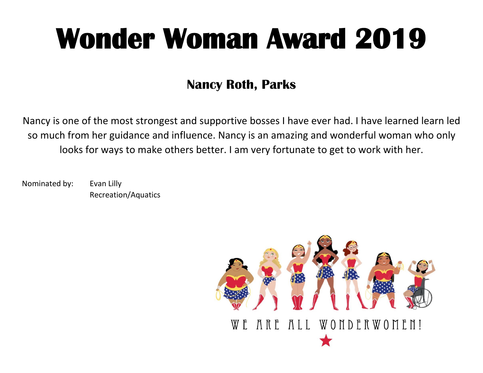#### **Nancy Roth, Parks**

Nancy is one of the most strongest and supportive bosses I have ever had. I have learned learn led so much from her guidance and influence. Nancy is an amazing and wonderful woman who only looks for ways to make others better. I am very fortunate to get to work with her.

Nominated by: Evan Lilly Recreation/Aquatics

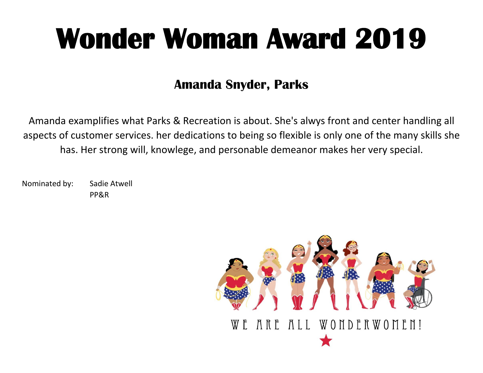#### **Amanda Snyder, Parks**

Amanda examplifies what Parks & Recreation is about. She's alwys front and center handling all aspects of customer services. her dedications to being so flexible is only one of the many skills she has. Her strong will, knowlege, and personable demeanor makes her very special.

Nominated by: Sadie Atwell PP&R

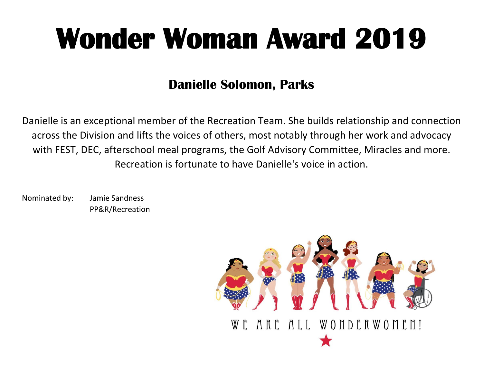#### **Danielle Solomon, Parks**

Danielle is an exceptional member of the Recreation Team. She builds relationship and connection across the Division and lifts the voices of others, most notably through her work and advocacy with FEST, DEC, afterschool meal programs, the Golf Advisory Committee, Miracles and more. Recreation is fortunate to have Danielle's voice in action.

Nominated by: Jamie Sandness PP&R/Recreation

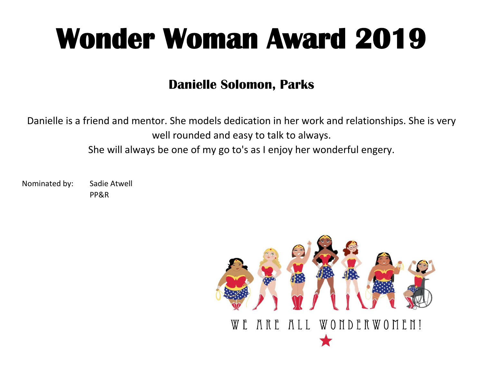#### **Danielle Solomon, Parks**

Danielle is a friend and mentor. She models dedication in her work and relationships. She is very well rounded and easy to talk to always.

She will always be one of my go to's as I enjoy her wonderful engery.

Nominated by: Sadie Atwell PP&R

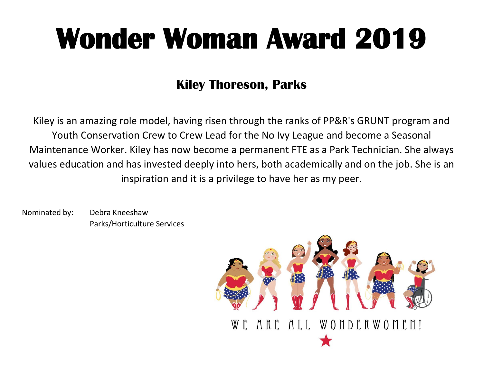#### **Kiley Thoreson, Parks**

Kiley is an amazing role model, having risen through the ranks of PP&R's GRUNT program and Youth Conservation Crew to Crew Lead for the No Ivy League and become a Seasonal Maintenance Worker. Kiley has now become a permanent FTE as a Park Technician. She always values education and has invested deeply into hers, both academically and on the job. She is an inspiration and it is a privilege to have her as my peer.

Nominated by: Debra Kneeshaw Parks/Horticulture Services

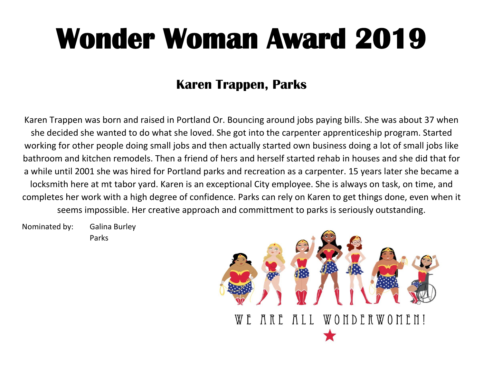#### **Karen Trappen, Parks**

Karen Trappen was born and raised in Portland Or. Bouncing around jobs paying bills. She was about 37 when she decided she wanted to do what she loved. She got into the carpenter apprenticeship program. Started working for other people doing small jobs and then actually started own business doing a lot of small jobs like bathroom and kitchen remodels. Then a friend of hers and herself started rehab in houses and she did that for a while until 2001 she was hired for Portland parks and recreation as a carpenter. 15 years later she became a locksmith here at mt tabor yard. Karen is an exceptional City employee. She is always on task, on time, and completes her work with a high degree of confidence. Parks can rely on Karen to get things done, even when it seems impossible. Her creative approach and committment to parks is seriously outstanding.

Nominated by: Galina Burley Parks

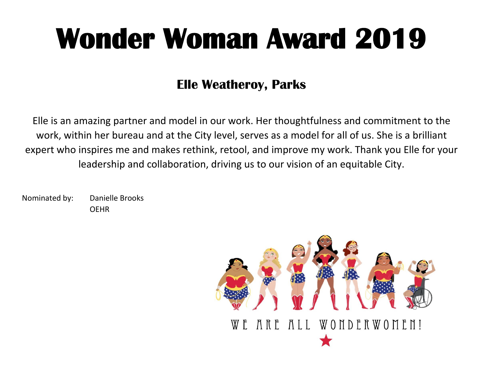#### **Elle Weatheroy, Parks**

Elle is an amazing partner and model in our work. Her thoughtfulness and commitment to the work, within her bureau and at the City level, serves as a model for all of us. She is a brilliant expert who inspires me and makes rethink, retool, and improve my work. Thank you Elle for your leadership and collaboration, driving us to our vision of an equitable City.

Nominated by: Danielle Brooks OEHR

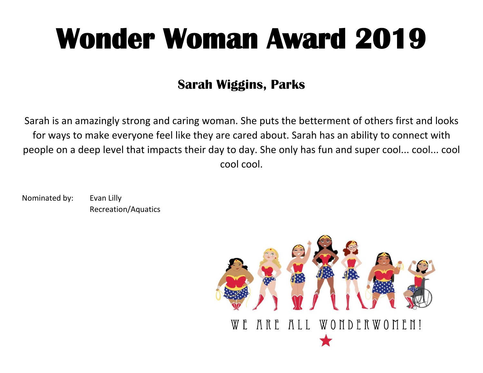#### **Sarah Wiggins, Parks**

Sarah is an amazingly strong and caring woman. She puts the betterment of others first and looks for ways to make everyone feel like they are cared about. Sarah has an ability to connect with people on a deep level that impacts their day to day. She only has fun and super cool... cool... cool cool cool.

Nominated by: Evan Lilly Recreation/Aquatics

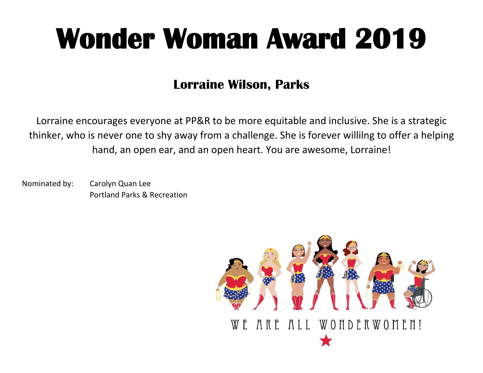#### **Lorraine Wilson, Parks**

Lorraine encourages everyone at PP&R to be more equitable and inclusive. She is a strategic thinker, who is never one to shy away from a challenge. She is forever willilng to offer a helping hand, an open ear, and an open heart. You are awesome, Lorraine!

Nominated by: Carolyn Quan Lee Portland Parks & Recreation

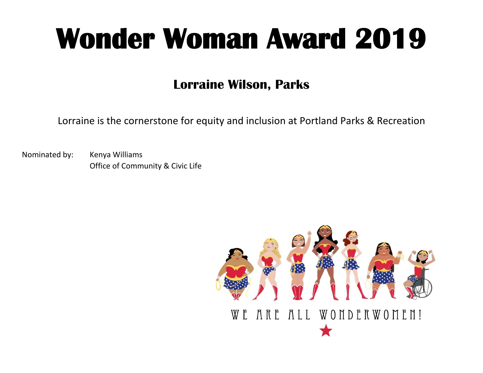#### **Lorraine Wilson, Parks**

Lorraine is the cornerstone for equity and inclusion at Portland Parks & Recreation

Nominated by: Kenya Williams Office of Community & Civic Life

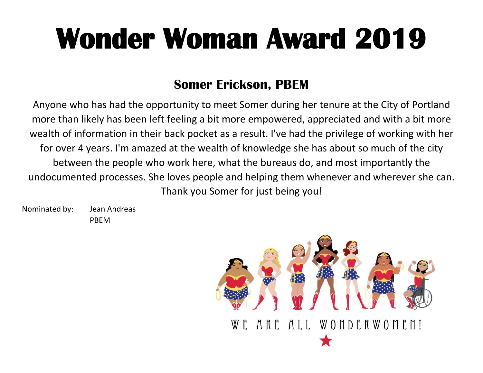#### **Somer Erickson, PBEM**

Anyone who has had the opportunity to meet Somer during her tenure at the City of Portland more than likely has been left feeling a bit more empowered, appreciated and with a bit more wealth of information in their back pocket as a result. I've had the privilege of working with her for over 4 years. I'm amazed at the wealth of knowledge she has about so much of the city between the people who work here, what the bureaus do, and most importantly the undocumented processes. She loves people and helping them whenever and wherever she can. Thank you Somer for just being you!

Nominated by: Jean Andreas PBEM

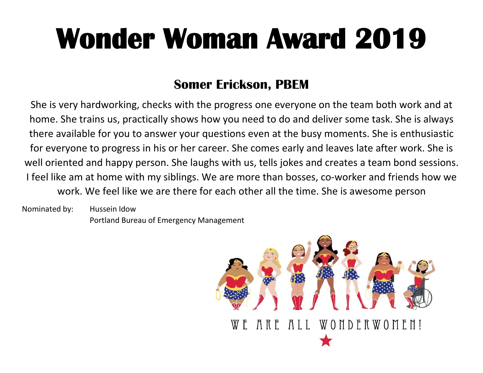#### **Somer Erickson, PBEM**

She is very hardworking, checks with the progress one everyone on the team both work and at home. She trains us, practically shows how you need to do and deliver some task. She is always there available for you to answer your questions even at the busy moments. She is enthusiastic for everyone to progress in his or her career. She comes early and leaves late after work. She is well oriented and happy person. She laughs with us, tells jokes and creates a team bond sessions. I feel like am at home with my siblings. We are more than bosses, co-worker and friends how we work. We feel like we are there for each other all the time. She is awesome person

Nominated by: Hussein Idow Portland Bureau of Emergency Management

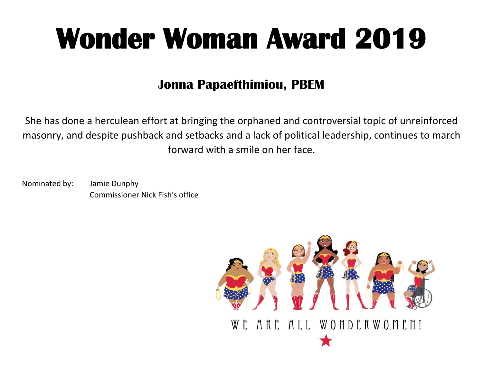#### **Jonna Papaefthimiou, PBEM**

She has done a herculean effort at bringing the orphaned and controversial topic of unreinforced masonry, and despite pushback and setbacks and a lack of political leadership, continues to march forward with a smile on her face.

Nominated by: Jamie Dunphy Commissioner Nick Fish's office

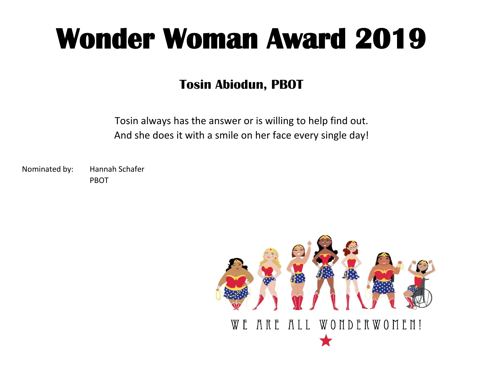#### **Tosin Abiodun, PBOT**

Tosin always has the answer or is willing to help find out. And she does it with a smile on her face every single day!

Nominated by: Hannah Schafer

PBOT

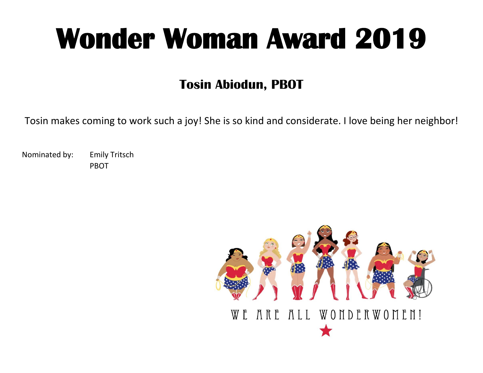#### **Tosin Abiodun, PBOT**

Tosin makes coming to work such a joy! She is so kind and considerate. I love being her neighbor!

Nominated by: Emily Tritsch PBOT

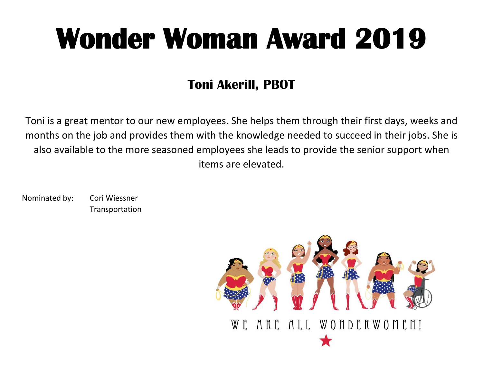#### **Toni Akerill, PBOT**

Toni is a great mentor to our new employees. She helps them through their first days, weeks and months on the job and provides them with the knowledge needed to succeed in their jobs. She is also available to the more seasoned employees she leads to provide the senior support when items are elevated.

Nominated by: Cori Wiessner Transportation

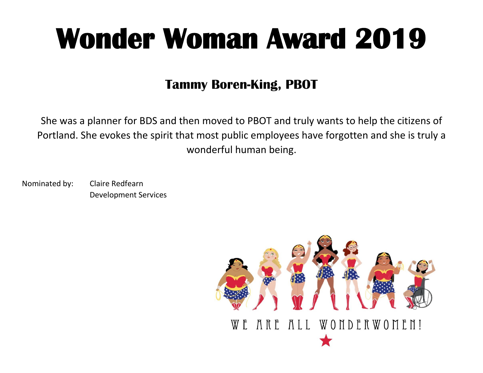#### **Tammy Boren-King, PBOT**

She was a planner for BDS and then moved to PBOT and truly wants to help the citizens of Portland. She evokes the spirit that most public employees have forgotten and she is truly a wonderful human being.

Nominated by: Claire Redfearn Development Services

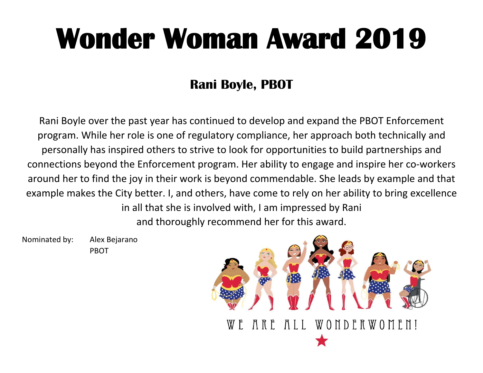#### **Rani Boyle, PBOT**

Rani Boyle over the past year has continued to develop and expand the PBOT Enforcement program. While her role is one of regulatory compliance, her approach both technically and personally has inspired others to strive to look for opportunities to build partnerships and connections beyond the Enforcement program. Her ability to engage and inspire her co-workers around her to find the joy in their work is beyond commendable. She leads by example and that example makes the City better. I, and others, have come to rely on her ability to bring excellence in all that she is involved with, I am impressed by Rani and thoroughly recommend her for this award.

Nominated by: Alex Bejarano PBOT

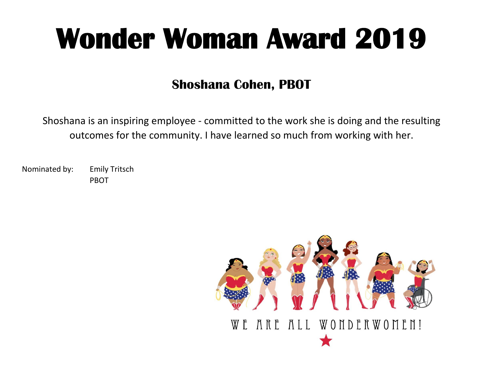#### **Shoshana Cohen, PBOT**

Shoshana is an inspiring employee - committed to the work she is doing and the resulting outcomes for the community. I have learned so much from working with her.

Nominated by: Emily Tritsch PBOT

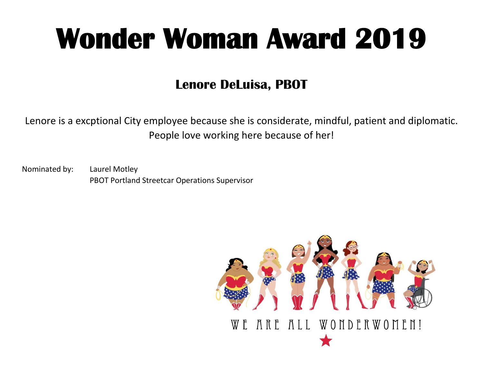#### **Lenore DeLuisa, PBOT**

Lenore is a excptional City employee because she is considerate, mindful, patient and diplomatic. People love working here because of her!

Nominated by: Laurel Motley PBOT Portland Streetcar Operations Supervisor

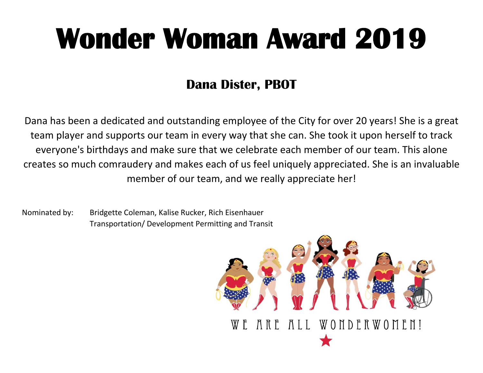#### **Dana Dister, PBOT**

Dana has been a dedicated and outstanding employee of the City for over 20 years! She is a great team player and supports our team in every way that she can. She took it upon herself to track everyone's birthdays and make sure that we celebrate each member of our team. This alone creates so much comraudery and makes each of us feel uniquely appreciated. She is an invaluable member of our team, and we really appreciate her!

Nominated by: Bridgette Coleman, Kalise Rucker, Rich Eisenhauer Transportation/ Development Permitting and Transit

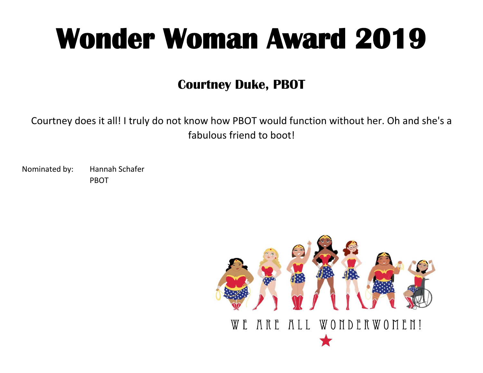#### **Courtney Duke, PBOT**

Courtney does it all! I truly do not know how PBOT would function without her. Oh and she's a fabulous friend to boot!

Nominated by: Hannah Schafer PBOT

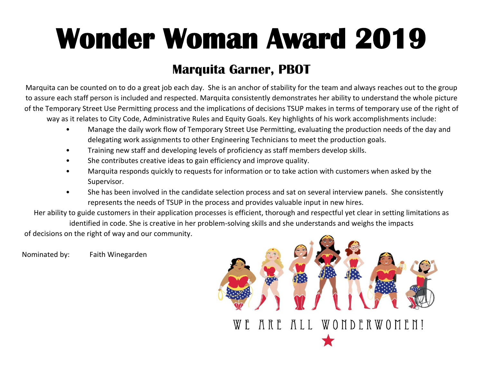# Wonder Woman Award 2019<br>Marquita Garner, PBOT

Marquita can be counted on to do a great job each day. She is an anchor of stability for the team and always reaches out to the group to assure each staff person is included and respected. Marquita consistently demonstrates her ability to understand the whole picture of the Temporary Street Use Permitting process and the implications of decisions TSUP makes in terms of temporary use of the right of way as it relates to City Code, Administrative Rules and Equity Goals. Key highlights of his work accomplishments include:

- Manage the daily work flow of Temporary Street Use Permitting, evaluating the production needs of the day and delegating work assignments to other Engineering Technicians to meet the production goals.
- Training new staff and developing levels of proficiency as staff members develop skills.
- She contributes creative ideas to gain efficiency and improve quality.
- Marquita responds quickly to requests for information or to take action with customers when asked by the Supervisor.
- She has been involved in the candidate selection process and sat on several interview panels. She consistently represents the needs of TSUP in the process and provides valuable input in new hires.

Her ability to guide customers in their application processes is efficient, thorough and respectful yet clear in setting limitations as identified in code. She is creative in her problem-solving skills and she understands and weighs the impacts

of decisions on the right of way and our community.

Nominated by: Faith Winegarden

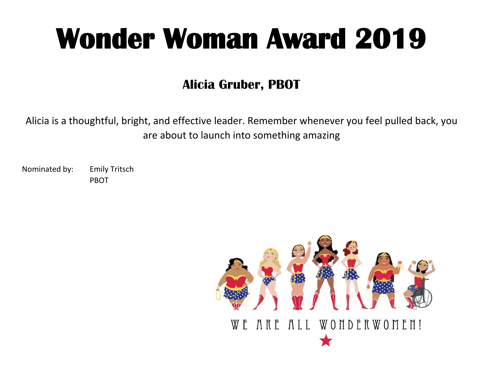#### **Alicia Gruber, PBOT**

Alicia is a thoughtful, bright, and effective leader. Remember whenever you feel pulled back, you are about to launch into something amazing

Nominated by: Emily Tritsch PBOT

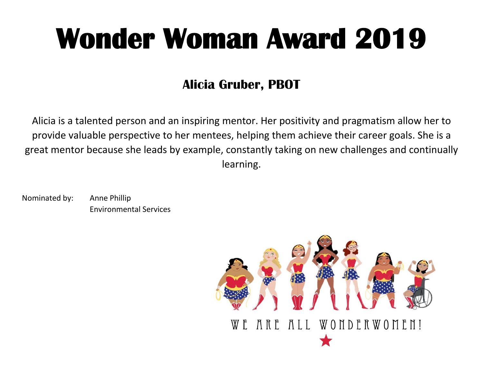#### **Alicia Gruber, PBOT**

Alicia is a talented person and an inspiring mentor. Her positivity and pragmatism allow her to provide valuable perspective to her mentees, helping them achieve their career goals. She is a great mentor because she leads by example, constantly taking on new challenges and continually learning.

Nominated by: Anne Phillip Environmental Services

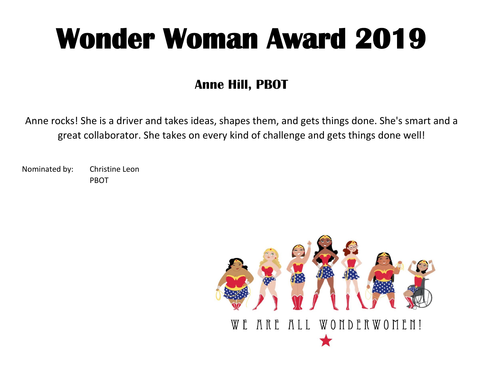#### **Anne Hill, PBOT**

Anne rocks! She is a driver and takes ideas, shapes them, and gets things done. She's smart and a great collaborator. She takes on every kind of challenge and gets things done well!

Nominated by: Christine Leon PBOT

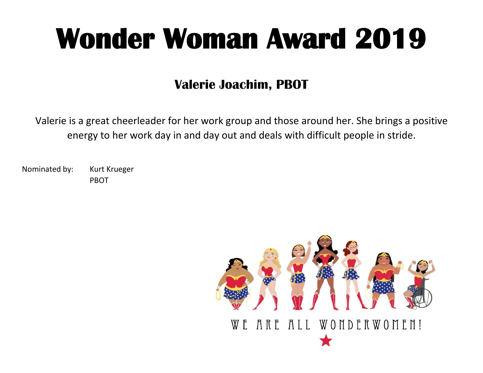#### **Valerie Joachim, PBOT**

Valerie is a great cheerleader for her work group and those around her. She brings a positive energy to her work day in and day out and deals with difficult people in stride.

Nominated by: Kurt Krueger PBOT

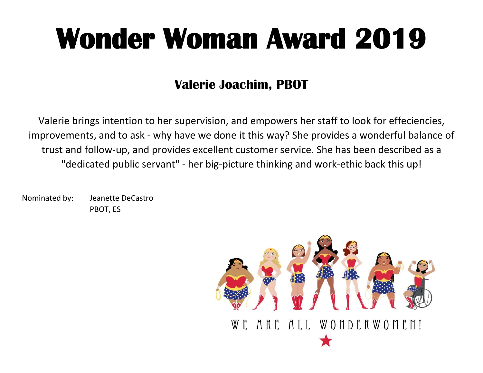#### **Valerie Joachim, PBOT**

Valerie brings intention to her supervision, and empowers her staff to look for effeciencies, improvements, and to ask - why have we done it this way? She provides a wonderful balance of trust and follow-up, and provides excellent customer service. She has been described as a "dedicated public servant" - her big-picture thinking and work-ethic back this up!

Nominated by: Jeanette DeCastro PBOT, ES

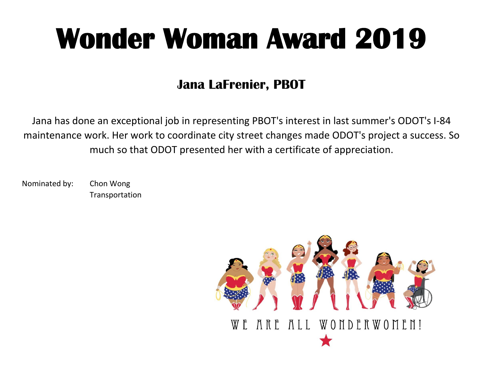#### **Jana LaFrenier, PBOT**

Jana has done an exceptional job in representing PBOT's interest in last summer's ODOT's I-84 maintenance work. Her work to coordinate city street changes made ODOT's project a success. So much so that ODOT presented her with a certificate of appreciation.

Nominated by: Chon Wong

Transportation

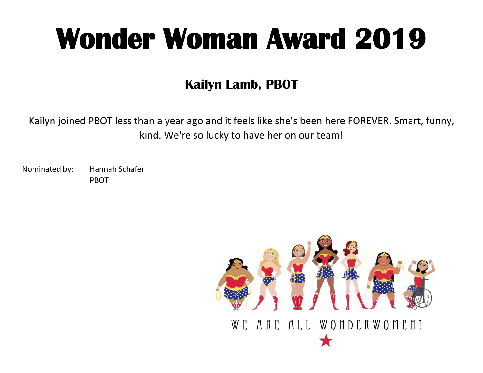#### **Kailyn Lamb, PBOT**

Kailyn joined PBOT less than a year ago and it feels like she's been here FOREVER. Smart, funny, kind. We're so lucky to have her on our team!

Nominated by: Hannah Schafer PBOT

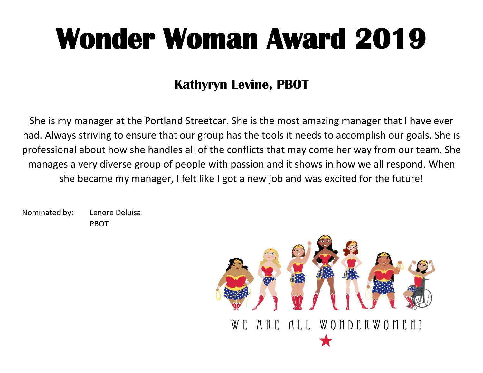#### **Kathyryn Levine, PBOT**

She is my manager at the Portland Streetcar. She is the most amazing manager that I have ever had. Always striving to ensure that our group has the tools it needs to accomplish our goals. She is professional about how she handles all of the conflicts that may come her way from our team. She manages a very diverse group of people with passion and it shows in how we all respond. When she became my manager, I felt like I got a new job and was excited for the future!

Nominated by: Lenore Deluisa PBOT

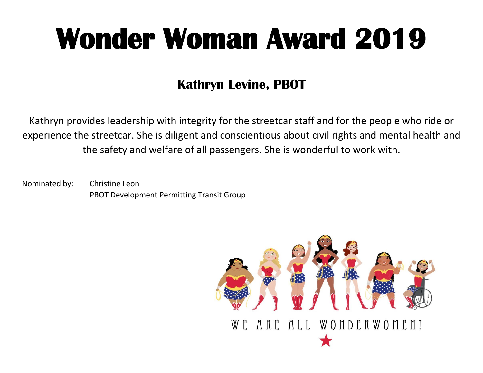#### **Kathryn Levine, PBOT**

Kathryn provides leadership with integrity for the streetcar staff and for the people who ride or experience the streetcar. She is diligent and conscientious about civil rights and mental health and the safety and welfare of all passengers. She is wonderful to work with.

Nominated by: Christine Leon PBOT Development Permitting Transit Group

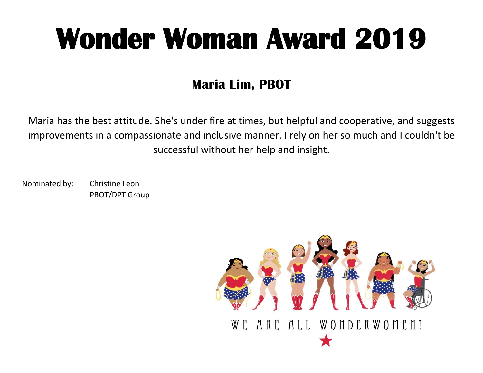### **Maria Lim, PBOT**

Maria has the best attitude. She's under fire at times, but helpful and cooperative, and suggests improvements in a compassionate and inclusive manner. I rely on her so much and I couldn't be successful without her help and insight.

Nominated by: Christine Leon PBOT/DPT Group

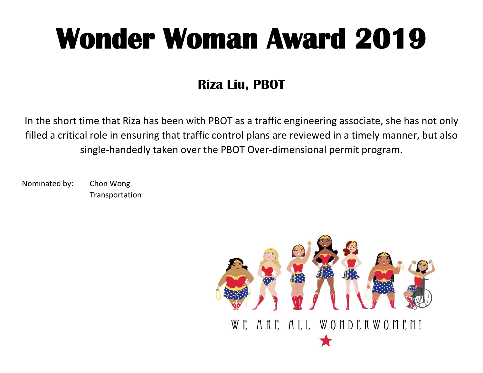### **Riza Liu, PBOT**

In the short time that Riza has been with PBOT as a traffic engineering associate, she has not only filled a critical role in ensuring that traffic control plans are reviewed in a timely manner, but also single-handedly taken over the PBOT Over-dimensional permit program.

Nominated by: Chon Wong

Transportation

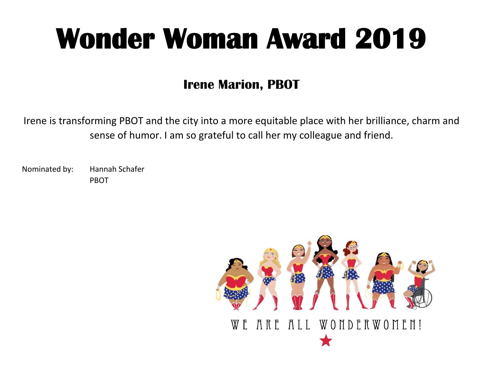#### **Irene Marion, PBOT**

Irene is transforming PBOT and the city into a more equitable place with her brilliance, charm and sense of humor. I am so grateful to call her my colleague and friend.

Nominated by: Hannah Schafer PBOT

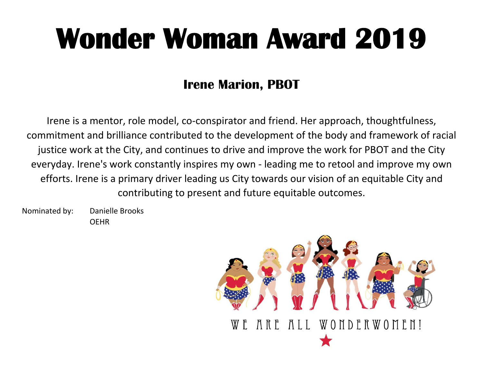#### **Irene Marion, PBOT**

Irene is a mentor, role model, co-conspirator and friend. Her approach, thoughtfulness, commitment and brilliance contributed to the development of the body and framework of racial justice work at the City, and continues to drive and improve the work for PBOT and the City everyday. Irene's work constantly inspires my own - leading me to retool and improve my own efforts. Irene is a primary driver leading us City towards our vision of an equitable City and contributing to present and future equitable outcomes.

Nominated by: Danielle Brooks OEHR

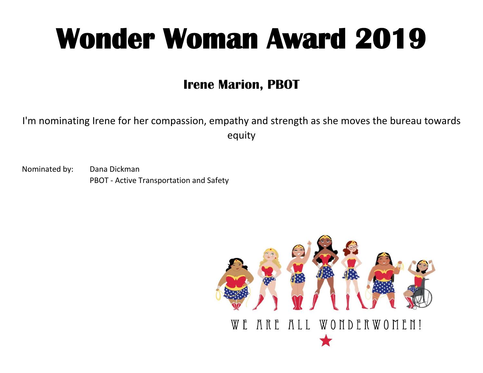#### **Irene Marion, PBOT**

I'm nominating Irene for her compassion, empathy and strength as she moves the bureau towards equity

Nominated by: Dana Dickman PBOT - Active Transportation and Safety

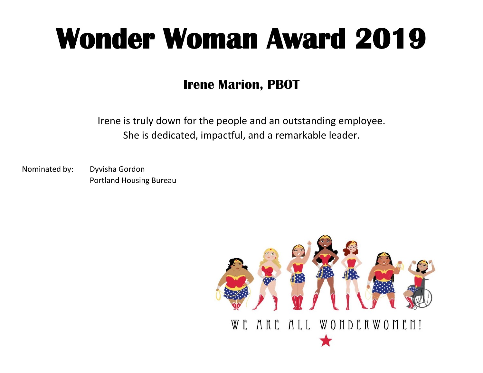#### **Irene Marion, PBOT**

Irene is truly down for the people and an outstanding employee. She is dedicated, impactful, and a remarkable leader.

Nominated by: Dyvisha Gordon Portland Housing Bureau

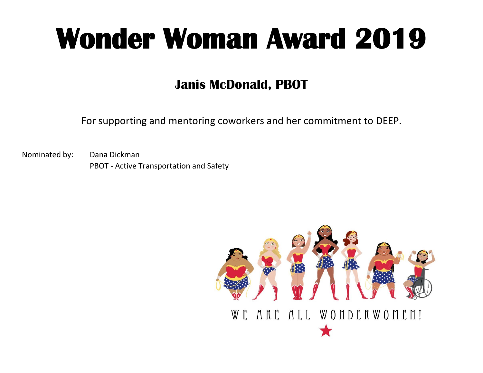### **Janis McDonald, PBOT**

For supporting and mentoring coworkers and her commitment to DEEP.

Nominated by: Dana Dickman PBOT - Active Transportation and Safety

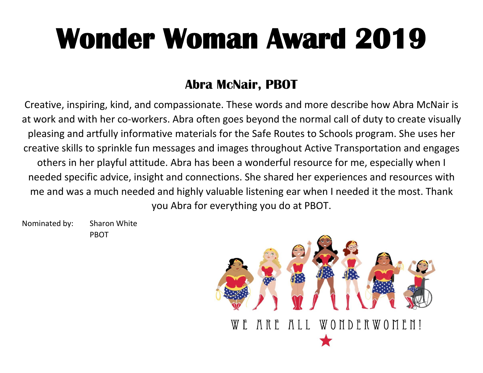### **Abra McNair, PBOT**

Creative, inspiring, kind, and compassionate. These words and more describe how Abra McNair is at work and with her co-workers. Abra often goes beyond the normal call of duty to create visually pleasing and artfully informative materials for the Safe Routes to Schools program. She uses her creative skills to sprinkle fun messages and images throughout Active Transportation and engages others in her playful attitude. Abra has been a wonderful resource for me, especially when I needed specific advice, insight and connections. She shared her experiences and resources with me and was a much needed and highly valuable listening ear when I needed it the most. Thank you Abra for everything you do at PBOT.

Nominated by: Sharon White PBOT

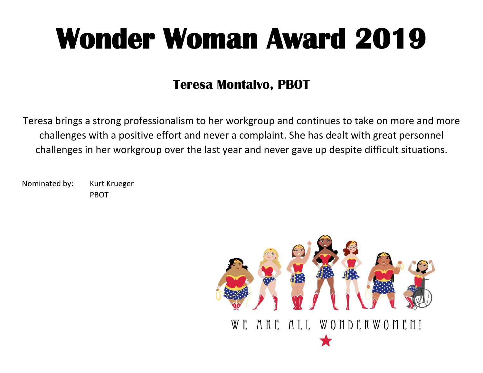#### **Teresa Montalvo, PBOT**

Teresa brings a strong professionalism to her workgroup and continues to take on more and more challenges with a positive effort and never a complaint. She has dealt with great personnel challenges in her workgroup over the last year and never gave up despite difficult situations.

Nominated by: Kurt Krueger PBOT

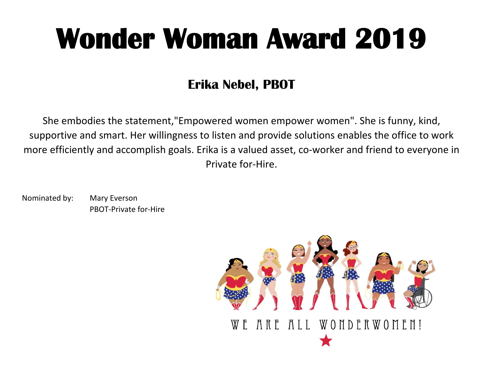### **Erika Nebel, PBOT**

She embodies the statement,"Empowered women empower women". She is funny, kind, supportive and smart. Her willingness to listen and provide solutions enables the office to work more efficiently and accomplish goals. Erika is a valued asset, co-worker and friend to everyone in Private for-Hire.

Nominated by: Mary Everson PBOT-Private for-Hire

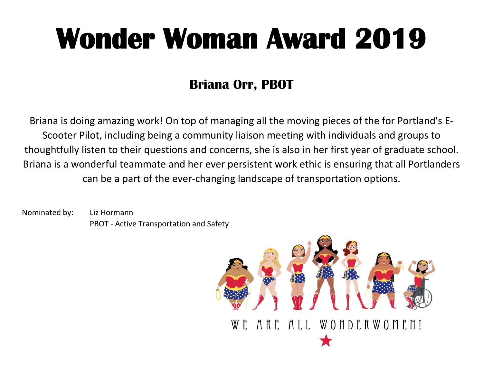### **Briana Orr, PBOT**

Briana is doing amazing work! On top of managing all the moving pieces of the for Portland's E-Scooter Pilot, including being a community liaison meeting with individuals and groups to thoughtfully listen to their questions and concerns, she is also in her first year of graduate school. Briana is a wonderful teammate and her ever persistent work ethic is ensuring that all Portlanders can be a part of the ever-changing landscape of transportation options.

Nominated by: Liz Hormann PBOT - Active Transportation and Safety

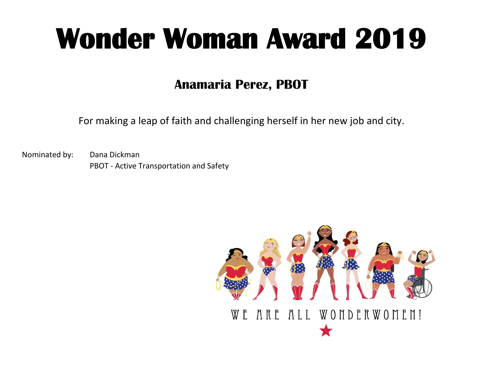#### **Anamaria Perez, PBOT**

For making a leap of faith and challenging herself in her new job and city.

Nominated by: Dana Dickman PBOT - Active Transportation and Safety

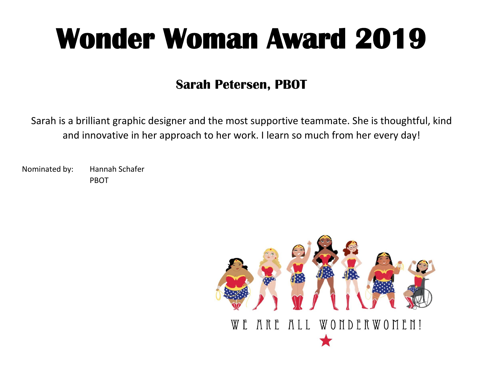#### **Sarah Petersen, PBOT**

Sarah is a brilliant graphic designer and the most supportive teammate. She is thoughtful, kind and innovative in her approach to her work. I learn so much from her every day!

Nominated by: Hannah Schafer PBOT

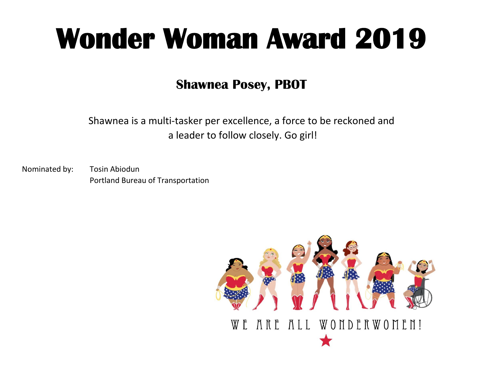#### **Shawnea Posey, PBOT**

Shawnea is a multi-tasker per excellence, a force to be reckoned and a leader to follow closely. Go girl!

Nominated by: Tosin Abiodun Portland Bureau of Transportation

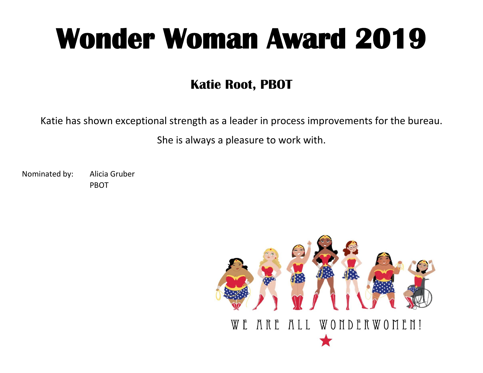### **Katie Root, PBOT**

Katie has shown exceptional strength as a leader in process improvements for the bureau.

She is always a pleasure to work with.

Nominated by: Alicia Gruber PBOT

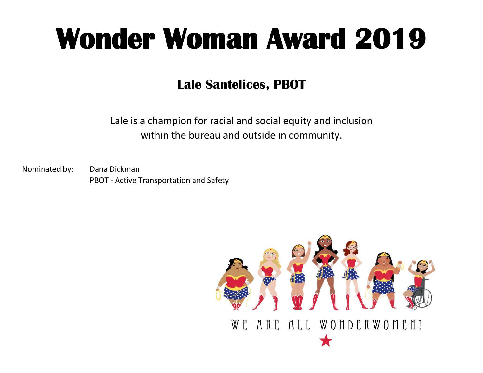#### **Lale Santelices, PBOT**

Lale is a champion for racial and social equity and inclusion within the bureau and outside in community.

Nominated by: Dana Dickman PBOT - Active Transportation and Safety

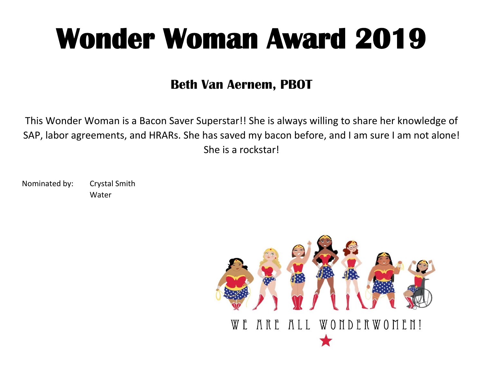#### **Beth Van Aernem, PBOT**

This Wonder Woman is a Bacon Saver Superstar!! She is always willing to share her knowledge of SAP, labor agreements, and HRARs. She has saved my bacon before, and I am sure I am not alone! She is a rockstar!

Nominated by: Crystal Smith **Water** 

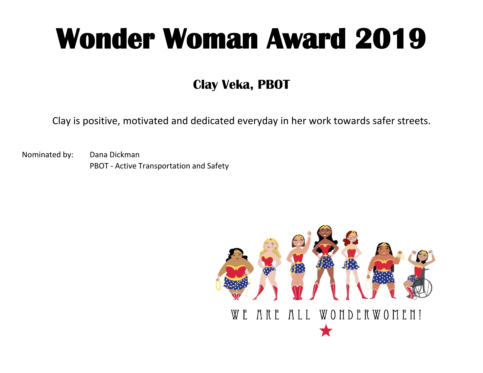### **Clay Veka, PBOT**

Clay is positive, motivated and dedicated everyday in her work towards safer streets.

Nominated by: Dana Dickman PBOT - Active Transportation and Safety

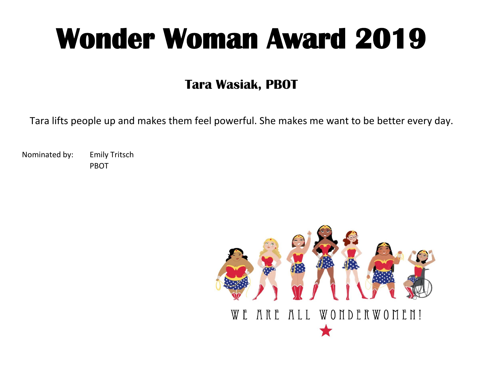### **Tara Wasiak, PBOT**

Tara lifts people up and makes them feel powerful. She makes me want to be better every day.

Nominated by: Emily Tritsch PBOT

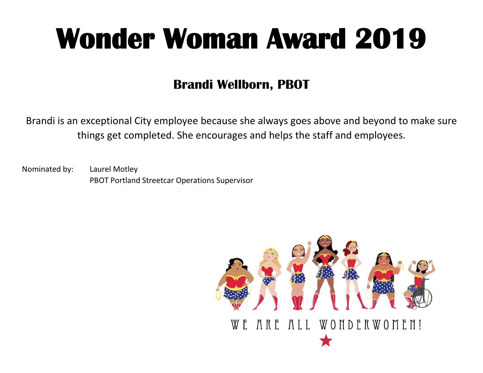#### **Brandi Wellborn, PBOT**

Brandi is an exceptional City employee because she always goes above and beyond to make sure things get completed. She encourages and helps the staff and employees.

Nominated by: Laurel Motley PBOT Portland Streetcar Operations Supervisor

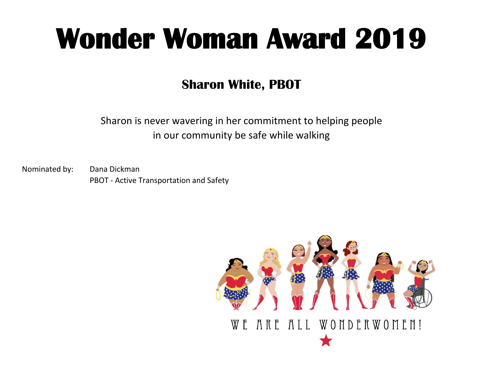### **Sharon White, PBOT**

Sharon is never wavering in her commitment to helping people in our community be safe while walking

Nominated by: Dana Dickman PBOT - Active Transportation and Safety

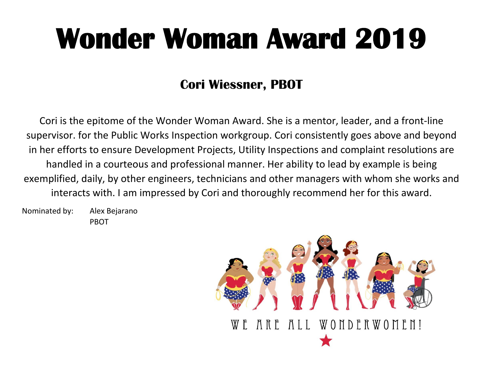### **Cori Wiessner, PBOT**

Cori is the epitome of the Wonder Woman Award. She is a mentor, leader, and a front-line supervisor. for the Public Works Inspection workgroup. Cori consistently goes above and beyond in her efforts to ensure Development Projects, Utility Inspections and complaint resolutions are handled in a courteous and professional manner. Her ability to lead by example is being exemplified, daily, by other engineers, technicians and other managers with whom she works and interacts with. I am impressed by Cori and thoroughly recommend her for this award.

Nominated by: Alex Bejarano PBOT

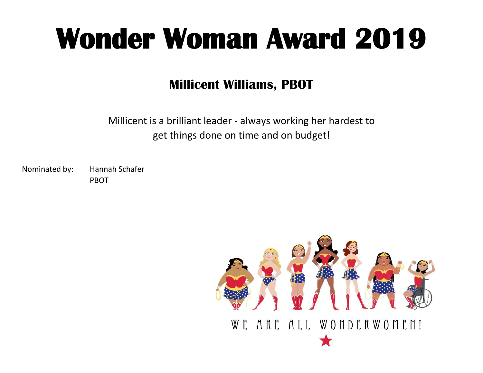#### **Millicent Williams, PBOT**

Millicent is a brilliant leader - always working her hardest to get things done on time and on budget!

Nominated by: Hannah Schafer

PBOT

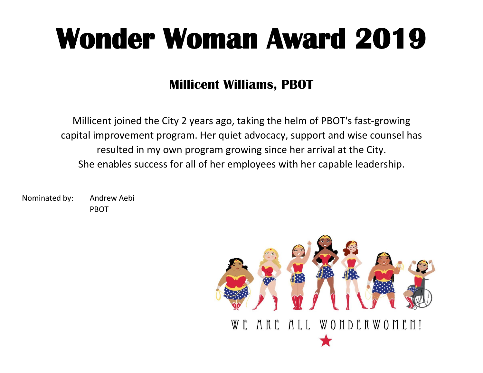### **Millicent Williams, PBOT**

Millicent joined the City 2 years ago, taking the helm of PBOT's fast-growing capital improvement program. Her quiet advocacy, support and wise counsel has resulted in my own program growing since her arrival at the City. She enables success for all of her employees with her capable leadership.

Nominated by: Andrew Aebi PBOT

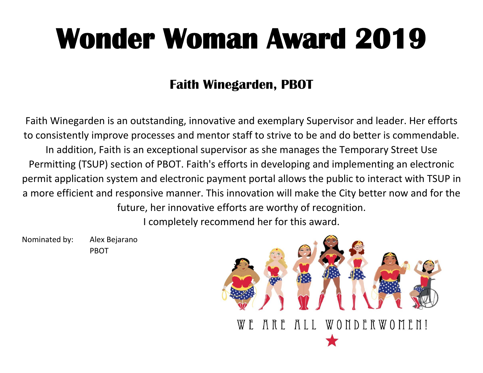#### **Faith Winegarden, PBOT**

Faith Winegarden is an outstanding, innovative and exemplary Supervisor and leader. Her efforts to consistently improve processes and mentor staff to strive to be and do better is commendable. In addition, Faith is an exceptional supervisor as she manages the Temporary Street Use Permitting (TSUP) section of PBOT. Faith's efforts in developing and implementing an electronic permit application system and electronic payment portal allows the public to interact with TSUP in a more efficient and responsive manner. This innovation will make the City better now and for the future, her innovative efforts are worthy of recognition. I completely recommend her for this award.

Nominated by: Alex Bejarano PBOT

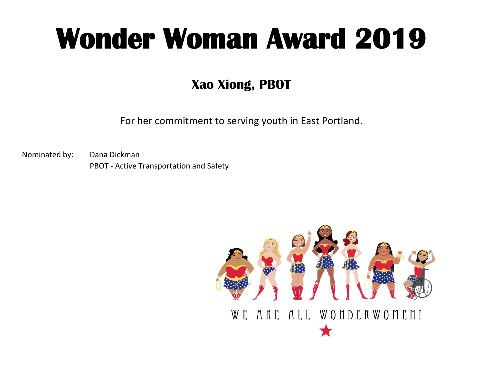### **Xao Xiong, PBOT**

For her commitment to serving youth in East Portland.

Nominated by: Dana Dickman PBOT - Active Transportation and Safety

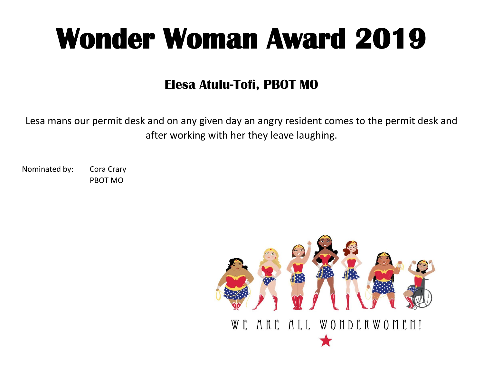### **Elesa Atulu-Tofi, PBOT MO**

Lesa mans our permit desk and on any given day an angry resident comes to the permit desk and after working with her they leave laughing.

Nominated by: Cora Crary PBOT MO

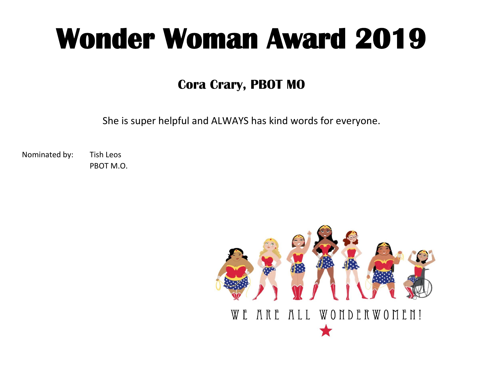### **Cora Crary, PBOT MO**

She is super helpful and ALWAYS has kind words for everyone.

Nominated by: Tish Leos PBOT M.O.

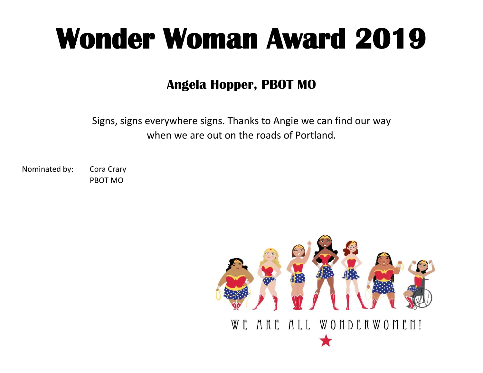#### **Angela Hopper, PBOT MO**

Signs, signs everywhere signs. Thanks to Angie we can find our way when we are out on the roads of Portland.

Nominated by: Cora Crary

PBOT MO

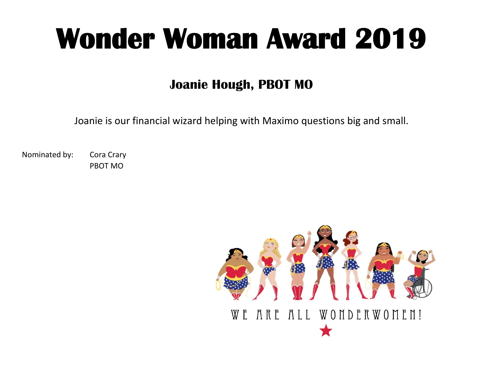#### **Joanie Hough, PBOT MO**

Joanie is our financial wizard helping with Maximo questions big and small.

Nominated by: Cora Crary PBOT MO

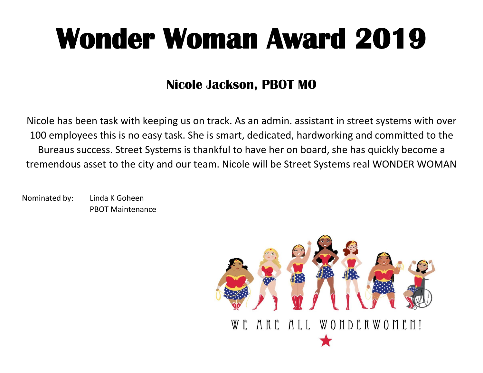#### **Nicole Jackson, PBOT MO**

Nicole has been task with keeping us on track. As an admin. assistant in street systems with over 100 employees this is no easy task. She is smart, dedicated, hardworking and committed to the Bureaus success. Street Systems is thankful to have her on board, she has quickly become a tremendous asset to the city and our team. Nicole will be Street Systems real WONDER WOMAN

Nominated by: Linda K Goheen PBOT Maintenance

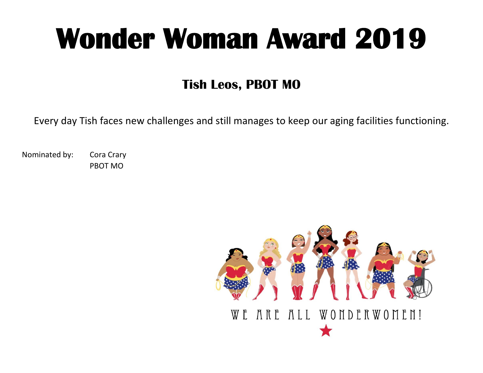### **Tish Leos, PBOT MO**

Every day Tish faces new challenges and still manages to keep our aging facilities functioning.

Nominated by: Cora Crary PBOT MO

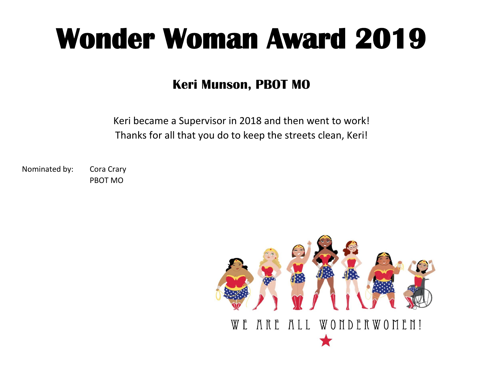#### **Keri Munson, PBOT MO**

Keri became a Supervisor in 2018 and then went to work! Thanks for all that you do to keep the streets clean, Keri!

Nominated by: Cora Crary

PBOT MO

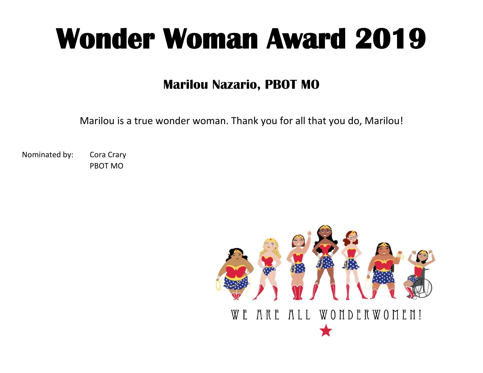#### **Marilou Nazario, PBOT MO**

Marilou is a true wonder woman. Thank you for all that you do, Marilou!

Nominated by: Cora Crary PBOT MO

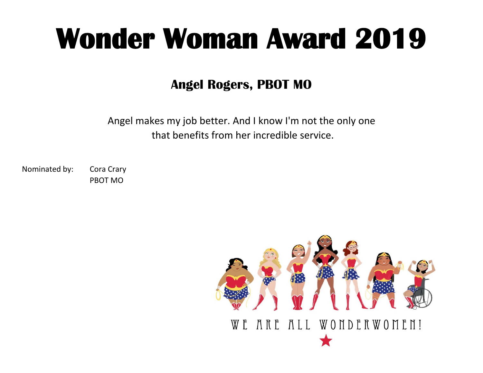#### **Angel Rogers, PBOT MO**

Angel makes my job better. And I know I'm not the only one that benefits from her incredible service.

Nominated by: Cora Crary

PBOT MO

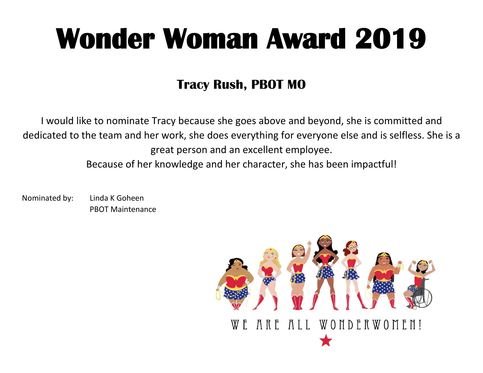### **Tracy Rush, PBOT MO**

I would like to nominate Tracy because she goes above and beyond, she is committed and dedicated to the team and her work, she does everything for everyone else and is selfless. She is a great person and an excellent employee. Because of her knowledge and her character, she has been impactful!

Nominated by: Linda K Goheen PBOT Maintenance

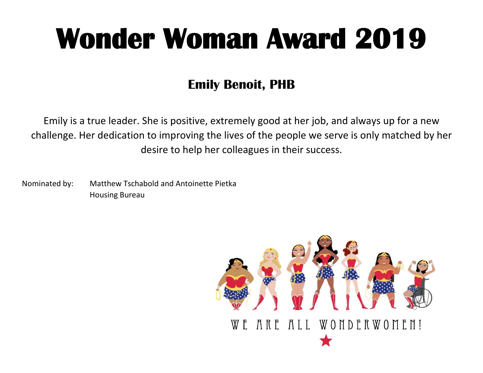### **Emily Benoit, PHB**

Emily is a true leader. She is positive, extremely good at her job, and always up for a new challenge. Her dedication to improving the lives of the people we serve is only matched by her desire to help her colleagues in their success.

Nominated by: Matthew Tschabold and Antoinette Pietka Housing Bureau

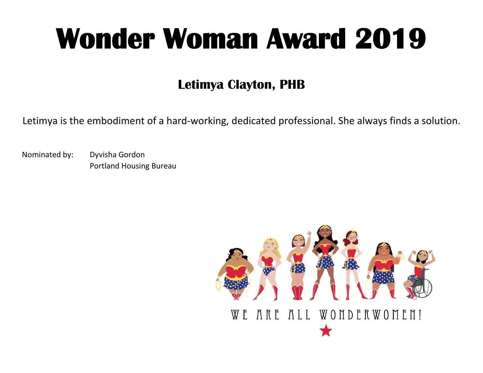#### **Letimya Clayton, PHB**

Letimya is the embodiment of a hard-working, dedicated professional. She always finds a solution.

Nominated by: Dyvisha Gordon Portland Housing Bureau

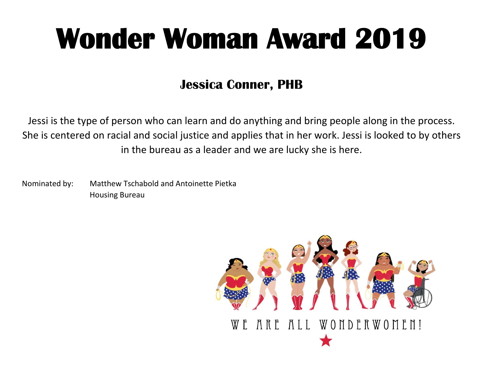### **Jessica Conner, PHB**

Jessi is the type of person who can learn and do anything and bring people along in the process. She is centered on racial and social justice and applies that in her work. Jessi is looked to by others in the bureau as a leader and we are lucky she is here.

Nominated by: Matthew Tschabold and Antoinette Pietka Housing Bureau

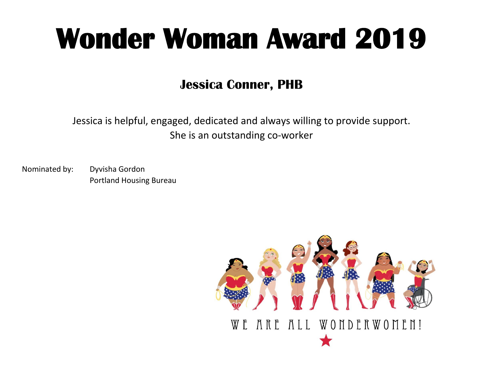#### **Jessica Conner, PHB**

Jessica is helpful, engaged, dedicated and always willing to provide support. She is an outstanding co-worker

Nominated by: Dyvisha Gordon Portland Housing Bureau

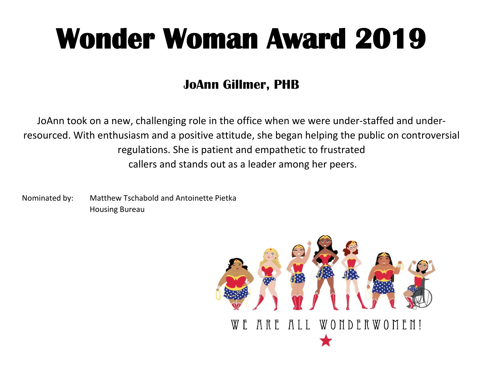### **JoAnn Gillmer, PHB**

JoAnn took on a new, challenging role in the office when we were under-staffed and underresourced. With enthusiasm and a positive attitude, she began helping the public on controversial regulations. She is patient and empathetic to frustrated callers and stands out as a leader among her peers.

Nominated by: Matthew Tschabold and Antoinette Pietka Housing Bureau

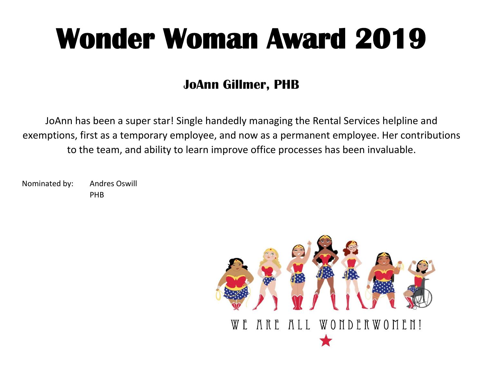### **JoAnn Gillmer, PHB**

JoAnn has been a super star! Single handedly managing the Rental Services helpline and exemptions, first as a temporary employee, and now as a permanent employee. Her contributions to the team, and ability to learn improve office processes has been invaluable.

Nominated by: Andres Oswill PHB

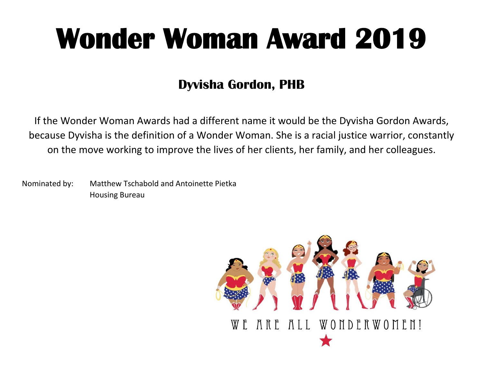#### **Dyvisha Gordon, PHB**

If the Wonder Woman Awards had a different name it would be the Dyvisha Gordon Awards, because Dyvisha is the definition of a Wonder Woman. She is a racial justice warrior, constantly on the move working to improve the lives of her clients, her family, and her colleagues.

Nominated by: Matthew Tschabold and Antoinette Pietka Housing Bureau

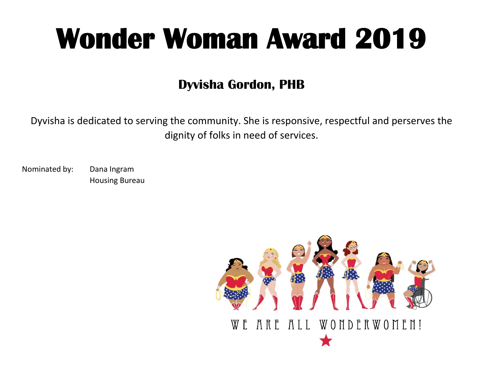#### **Dyvisha Gordon, PHB**

Dyvisha is dedicated to serving the community. She is responsive, respectful and perserves the dignity of folks in need of services.

Nominated by: Dana Ingram

Housing Bureau

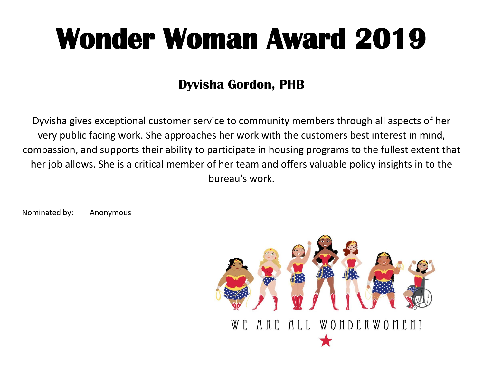#### **Dyvisha Gordon, PHB**

Dyvisha gives exceptional customer service to community members through all aspects of her very public facing work. She approaches her work with the customers best interest in mind, compassion, and supports their ability to participate in housing programs to the fullest extent that her job allows. She is a critical member of her team and offers valuable policy insights in to the bureau's work.

Nominated by: Anonymous

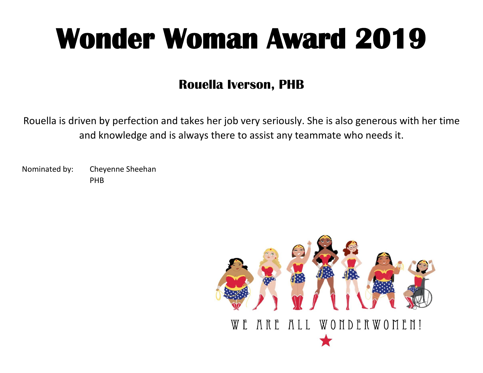#### **Rouella Iverson, PHB**

Rouella is driven by perfection and takes her job very seriously. She is also generous with her time and knowledge and is always there to assist any teammate who needs it.

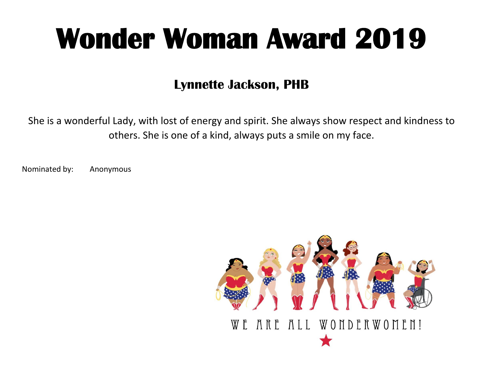#### **Lynnette Jackson, PHB**

She is a wonderful Lady, with lost of energy and spirit. She always show respect and kindness to others. She is one of a kind, always puts a smile on my face.

Nominated by: Anonymous

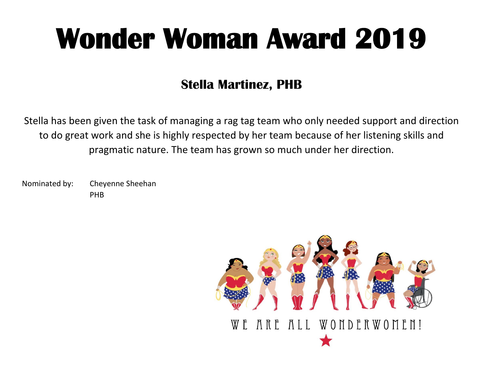### **Stella Martinez, PHB**

Stella has been given the task of managing a rag tag team who only needed support and direction to do great work and she is highly respected by her team because of her listening skills and pragmatic nature. The team has grown so much under her direction.

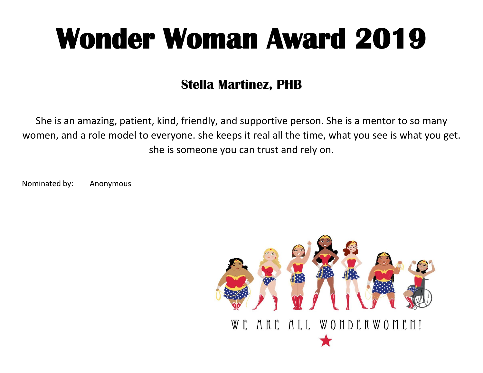#### **Stella Martinez, PHB**

She is an amazing, patient, kind, friendly, and supportive person. She is a mentor to so many women, and a role model to everyone. she keeps it real all the time, what you see is what you get. she is someone you can trust and rely on.

Nominated by: Anonymous

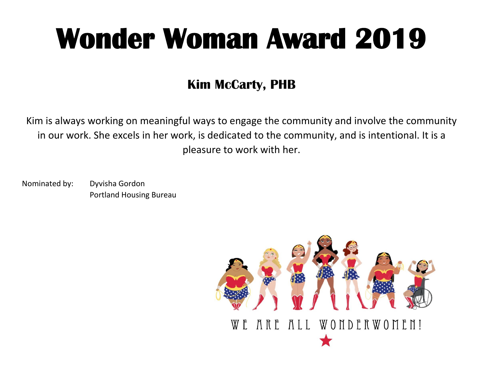### **Kim McCarty, PHB**

Kim is always working on meaningful ways to engage the community and involve the community in our work. She excels in her work, is dedicated to the community, and is intentional. It is a pleasure to work with her.

Nominated by: Dyvisha Gordon Portland Housing Bureau

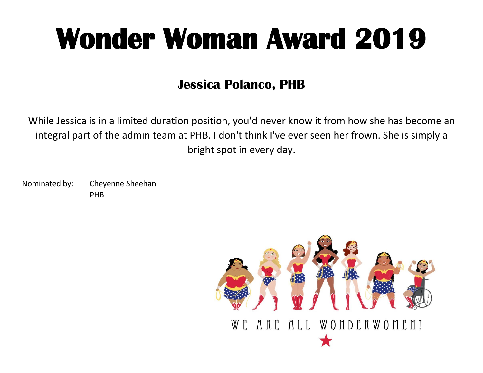#### **Jessica Polanco, PHB**

While Jessica is in a limited duration position, you'd never know it from how she has become an integral part of the admin team at PHB. I don't think I've ever seen her frown. She is simply a bright spot in every day.

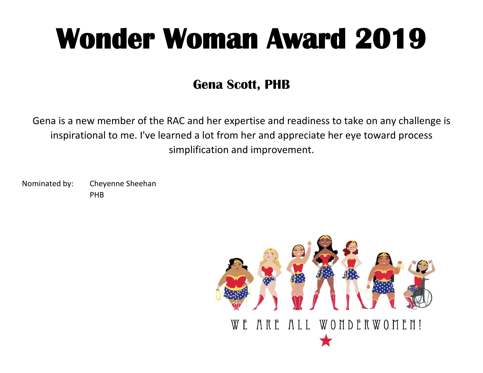### **Gena Scott, PHB**

Gena is a new member of the RAC and her expertise and readiness to take on any challenge is inspirational to me. I've learned a lot from her and appreciate her eye toward process simplification and improvement.

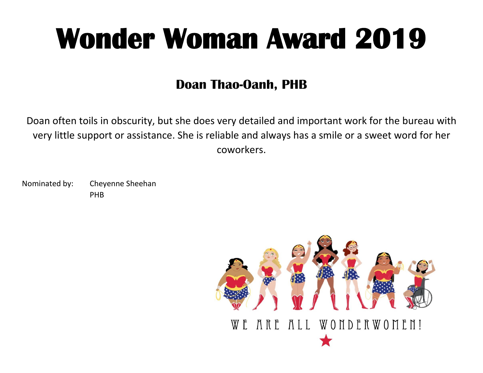### **Doan Thao-Oanh, PHB**

Doan often toils in obscurity, but she does very detailed and important work for the bureau with very little support or assistance. She is reliable and always has a smile or a sweet word for her coworkers.

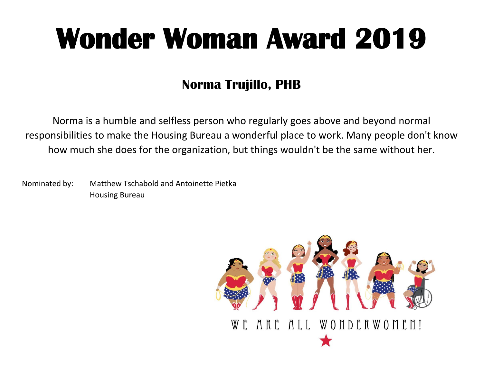### **Norma Trujillo, PHB**

Norma is a humble and selfless person who regularly goes above and beyond normal responsibilities to make the Housing Bureau a wonderful place to work. Many people don't know how much she does for the organization, but things wouldn't be the same without her.

Nominated by: Matthew Tschabold and Antoinette Pietka Housing Bureau

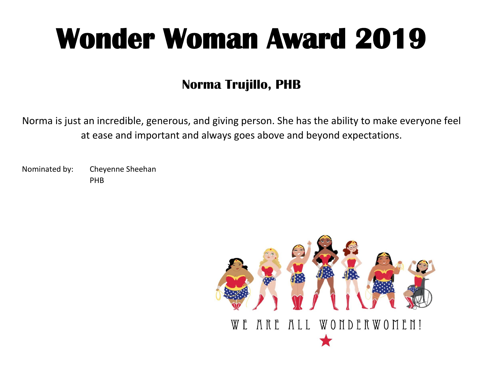### **Norma Trujillo, PHB**

Norma is just an incredible, generous, and giving person. She has the ability to make everyone feel at ease and important and always goes above and beyond expectations.

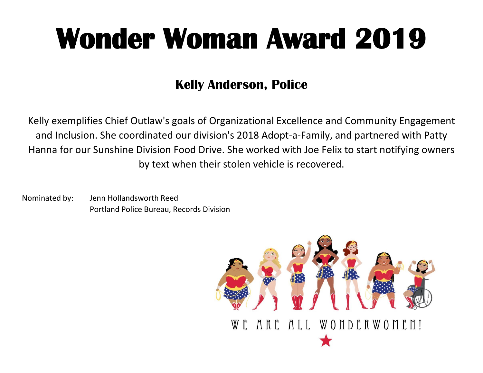#### **Kelly Anderson, Police**

Kelly exemplifies Chief Outlaw's goals of Organizational Excellence and Community Engagement and Inclusion. She coordinated our division's 2018 Adopt-a-Family, and partnered with Patty Hanna for our Sunshine Division Food Drive. She worked with Joe Felix to start notifying owners by text when their stolen vehicle is recovered.

Nominated by: Jenn Hollandsworth Reed Portland Police Bureau, Records Division

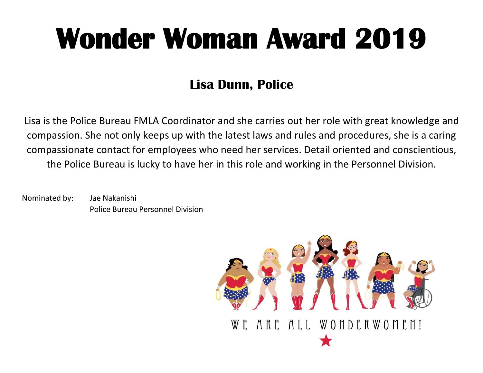### **Lisa Dunn, Police**

Lisa is the Police Bureau FMLA Coordinator and she carries out her role with great knowledge and compassion. She not only keeps up with the latest laws and rules and procedures, she is a caring compassionate contact for employees who need her services. Detail oriented and conscientious, the Police Bureau is lucky to have her in this role and working in the Personnel Division.

Nominated by: Jae Nakanishi Police Bureau Personnel Division

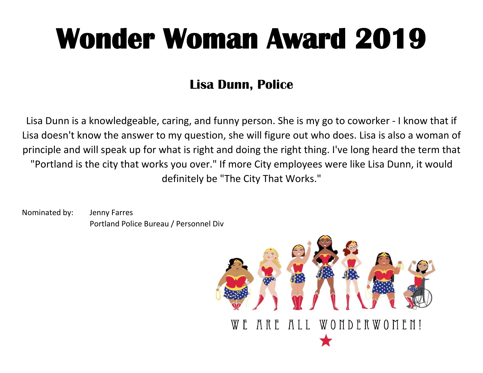### **Lisa Dunn, Police**

Lisa Dunn is a knowledgeable, caring, and funny person. She is my go to coworker - I know that if Lisa doesn't know the answer to my question, she will figure out who does. Lisa is also a woman of principle and will speak up for what is right and doing the right thing. I've long heard the term that "Portland is the city that works you over." If more City employees were like Lisa Dunn, it would definitely be "The City That Works."

Nominated by: Jenny Farres Portland Police Bureau / Personnel Div

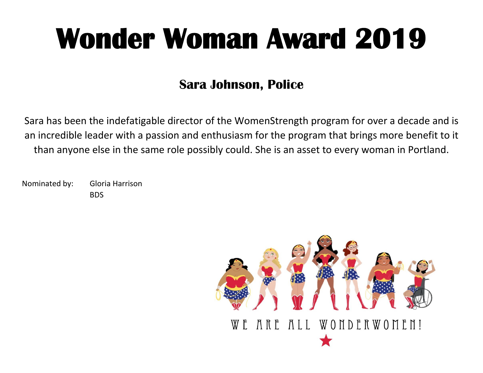#### **Sara Johnson, Police**

Sara has been the indefatigable director of the WomenStrength program for over a decade and is an incredible leader with a passion and enthusiasm for the program that brings more benefit to it than anyone else in the same role possibly could. She is an asset to every woman in Portland.

Nominated by: Gloria Harrison BDS

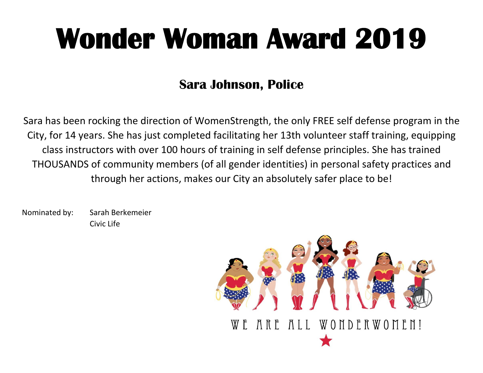#### **Sara Johnson, Police**

Sara has been rocking the direction of WomenStrength, the only FREE self defense program in the City, for 14 years. She has just completed facilitating her 13th volunteer staff training, equipping class instructors with over 100 hours of training in self defense principles. She has trained THOUSANDS of community members (of all gender identities) in personal safety practices and through her actions, makes our City an absolutely safer place to be!

Nominated by: Sarah Berkemeier Civic Life

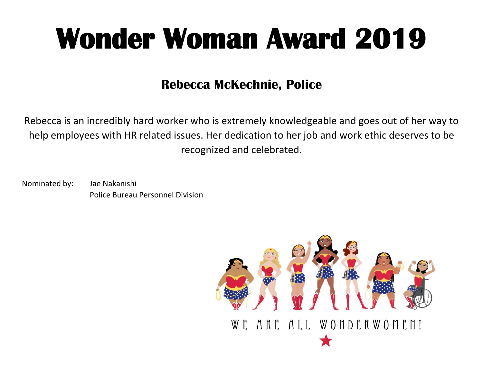#### **Rebecca McKechnie, Police**

Rebecca is an incredibly hard worker who is extremely knowledgeable and goes out of her way to help employees with HR related issues. Her dedication to her job and work ethic deserves to be recognized and celebrated.

Nominated by: Jae Nakanishi Police Bureau Personnel Division

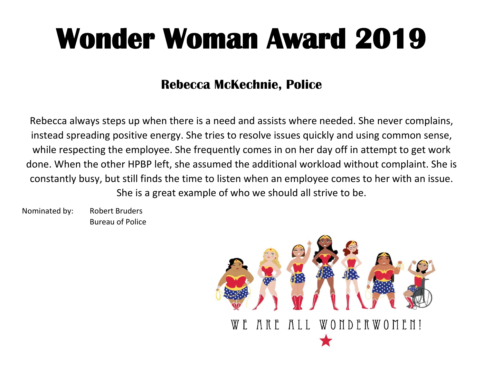#### **Rebecca McKechnie, Police**

Rebecca always steps up when there is a need and assists where needed. She never complains, instead spreading positive energy. She tries to resolve issues quickly and using common sense, while respecting the employee. She frequently comes in on her day off in attempt to get work done. When the other HPBP left, she assumed the additional workload without complaint. She is constantly busy, but still finds the time to listen when an employee comes to her with an issue. She is a great example of who we should all strive to be.

Nominated by: Robert Bruders Bureau of Police

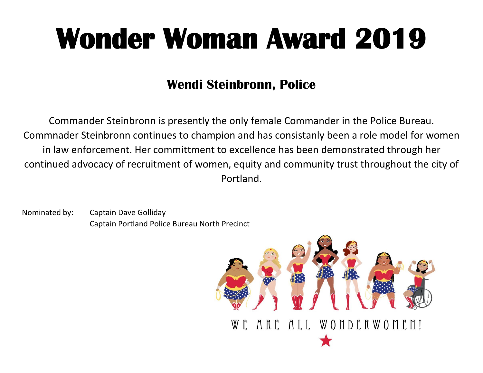#### **Wendi Steinbronn, Police**

Commander Steinbronn is presently the only female Commander in the Police Bureau. Commnader Steinbronn continues to champion and has consistanly been a role model for women in law enforcement. Her committment to excellence has been demonstrated through her continued advocacy of recruitment of women, equity and community trust throughout the city of Portland.

Nominated by: Captain Dave Golliday Captain Portland Police Bureau North Precinct

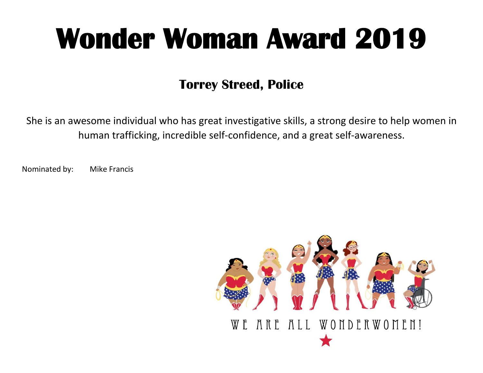#### **Torrey Streed, Police**

She is an awesome individual who has great investigative skills, a strong desire to help women in human trafficking, incredible self-confidence, and a great self-awareness.

Nominated by: Mike Francis

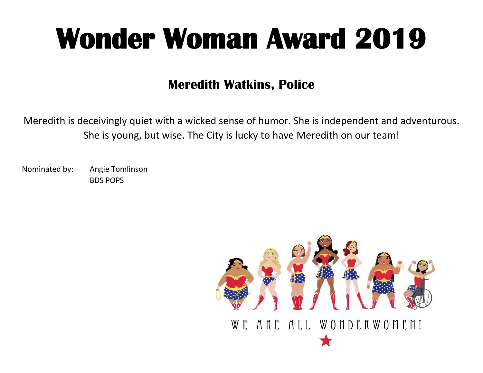#### **Meredith Watkins, Police**

Meredith is deceivingly quiet with a wicked sense of humor. She is independent and adventurous. She is young, but wise. The City is lucky to have Meredith on our team!

Nominated by: Angie Tomlinson BDS POPS

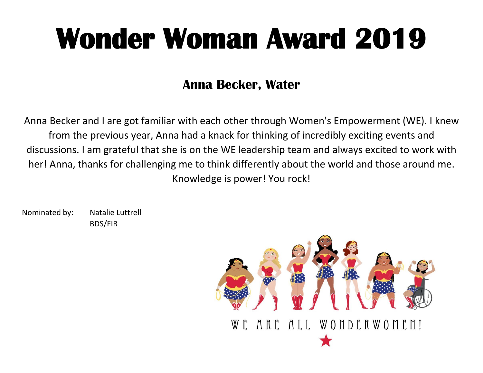### **Anna Becker, Water**

Anna Becker and I are got familiar with each other through Women's Empowerment (WE). I knew from the previous year, Anna had a knack for thinking of incredibly exciting events and discussions. I am grateful that she is on the WE leadership team and always excited to work with her! Anna, thanks for challenging me to think differently about the world and those around me. Knowledge is power! You rock!

Nominated by: Natalie Luttrell BDS/FIR

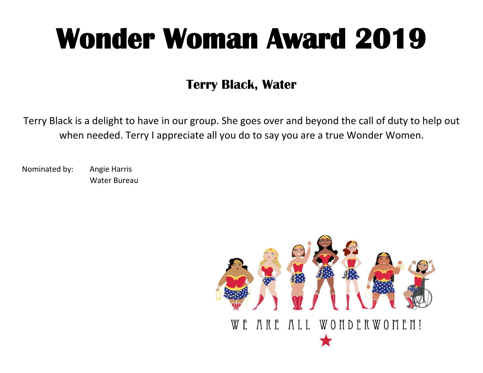#### **Terry Black, Water**

Terry Black is a delight to have in our group. She goes over and beyond the call of duty to help out when needed. Terry I appreciate all you do to say you are a true Wonder Women.

Nominated by: Angie Harris Water Bureau

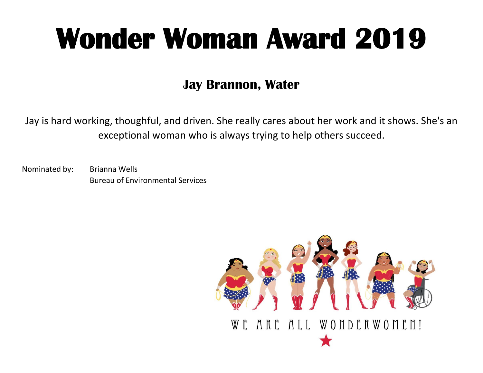#### **Jay Brannon, Water**

Jay is hard working, thoughful, and driven. She really cares about her work and it shows. She's an exceptional woman who is always trying to help others succeed.

Nominated by: Brianna Wells Bureau of Environmental Services

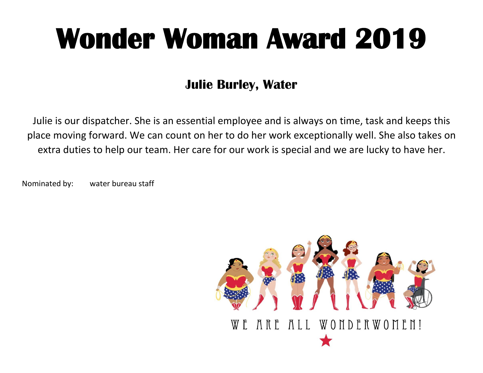#### **Julie Burley, Water**

Julie is our dispatcher. She is an essential employee and is always on time, task and keeps this place moving forward. We can count on her to do her work exceptionally well. She also takes on extra duties to help our team. Her care for our work is special and we are lucky to have her.

Nominated by: water bureau staff

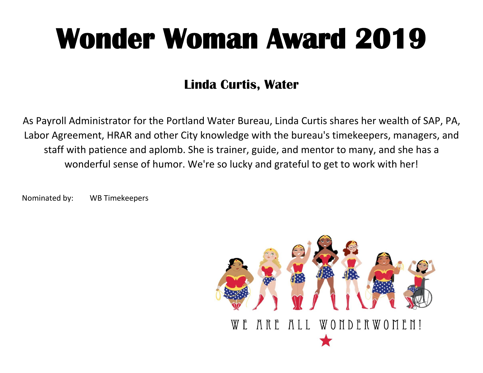### **Linda Curtis, Water**

As Payroll Administrator for the Portland Water Bureau, Linda Curtis shares her wealth of SAP, PA, Labor Agreement, HRAR and other City knowledge with the bureau's timekeepers, managers, and staff with patience and aplomb. She is trainer, guide, and mentor to many, and she has a wonderful sense of humor. We're so lucky and grateful to get to work with her!

Nominated by: WB Timekeepers

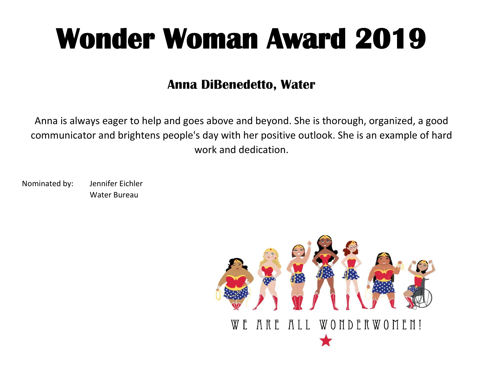#### **Anna DiBenedetto, Water**

Anna is always eager to help and goes above and beyond. She is thorough, organized, a good communicator and brightens people's day with her positive outlook. She is an example of hard work and dedication.

Nominated by: Jennifer Eichler Water Bureau

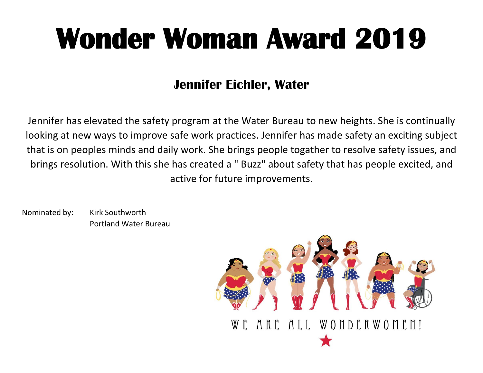### **Jennifer Eichler, Water**

Jennifer has elevated the safety program at the Water Bureau to new heights. She is continually looking at new ways to improve safe work practices. Jennifer has made safety an exciting subject that is on peoples minds and daily work. She brings people togather to resolve safety issues, and brings resolution. With this she has created a " Buzz" about safety that has people excited, and active for future improvements.

Nominated by: Kirk Southworth Portland Water Bureau

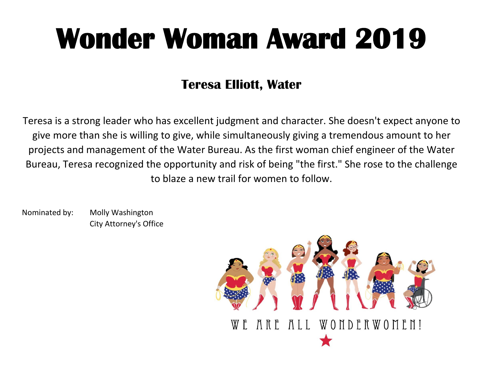#### **Teresa Elliott, Water**

Teresa is a strong leader who has excellent judgment and character. She doesn't expect anyone to give more than she is willing to give, while simultaneously giving a tremendous amount to her projects and management of the Water Bureau. As the first woman chief engineer of the Water Bureau, Teresa recognized the opportunity and risk of being "the first." She rose to the challenge to blaze a new trail for women to follow.

Nominated by: Molly Washington City Attorney's Office

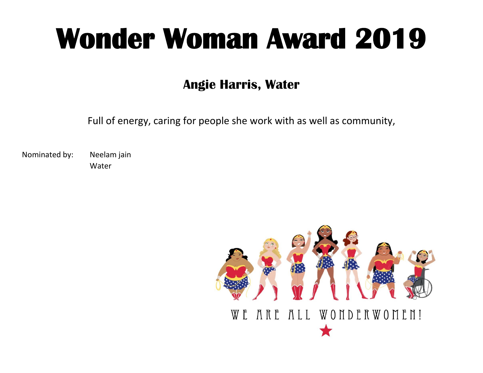#### **Angie Harris, Water**

Full of energy, caring for people she work with as well as community,

Nominated by: Neelam jain Water

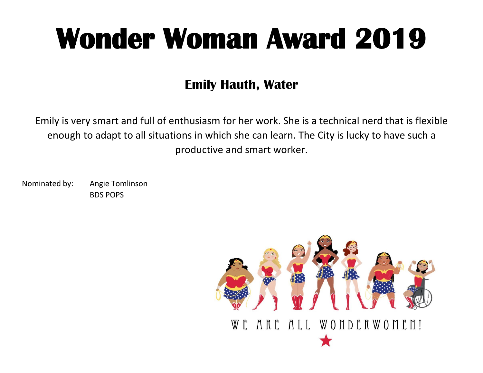### **Emily Hauth, Water**

Emily is very smart and full of enthusiasm for her work. She is a technical nerd that is flexible enough to adapt to all situations in which she can learn. The City is lucky to have such a productive and smart worker.

Nominated by: Angie Tomlinson BDS POPS

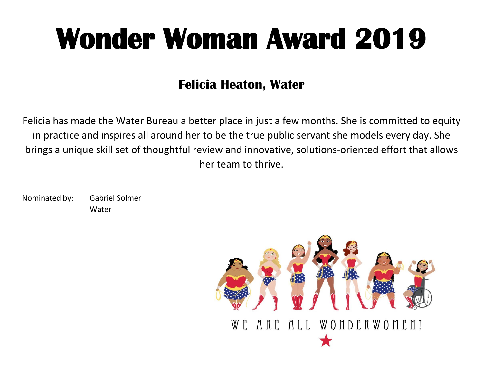### **Felicia Heaton, Water**

Felicia has made the Water Bureau a better place in just a few months. She is committed to equity in practice and inspires all around her to be the true public servant she models every day. She brings a unique skill set of thoughtful review and innovative, solutions-oriented effort that allows her team to thrive.

Nominated by: Gabriel Solmer Water

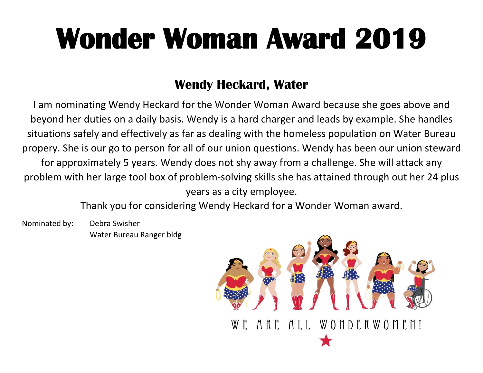#### **Wendy Heckard, Water**

I am nominating Wendy Heckard for the Wonder Woman Award because she goes above and beyond her duties on a daily basis. Wendy is a hard charger and leads by example. She handles situations safely and effectively as far as dealing with the homeless population on Water Bureau propery. She is our go to person for all of our union questions. Wendy has been our union steward for approximately 5 years. Wendy does not shy away from a challenge. She will attack any problem with her large tool box of problem-solving skills she has attained through out her 24 plus years as a city employee.

Thank you for considering Wendy Heckard for a Wonder Woman award.

Nominated by: Debra Swisher Water Bureau Ranger bldg

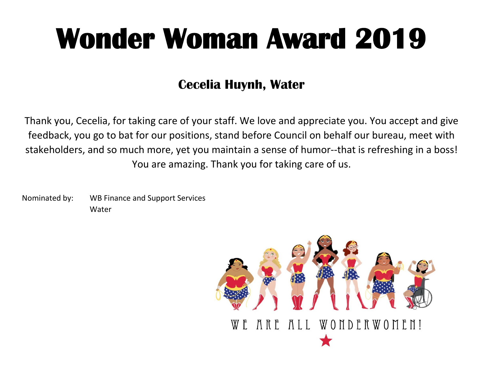### **Cecelia Huynh, Water**

Thank you, Cecelia, for taking care of your staff. We love and appreciate you. You accept and give feedback, you go to bat for our positions, stand before Council on behalf our bureau, meet with stakeholders, and so much more, yet you maintain a sense of humor--that is refreshing in a boss! You are amazing. Thank you for taking care of us.

Nominated by: WB Finance and Support Services Water

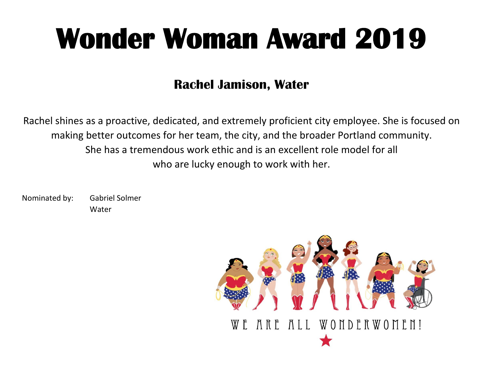### **Rachel Jamison, Water**

Rachel shines as a proactive, dedicated, and extremely proficient city employee. She is focused on making better outcomes for her team, the city, and the broader Portland community. She has a tremendous work ethic and is an excellent role model for all who are lucky enough to work with her.

Nominated by: Gabriel Solmer Water

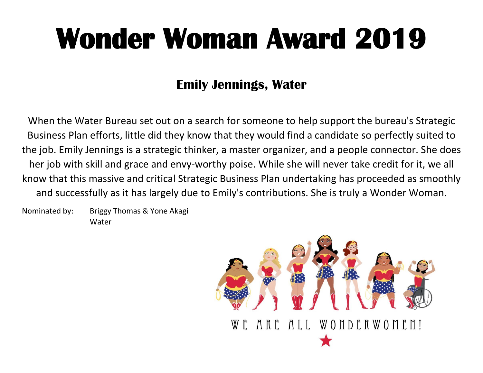### **Emily Jennings, Water**

When the Water Bureau set out on a search for someone to help support the bureau's Strategic Business Plan efforts, little did they know that they would find a candidate so perfectly suited to the job. Emily Jennings is a strategic thinker, a master organizer, and a people connector. She does her job with skill and grace and envy-worthy poise. While she will never take credit for it, we all know that this massive and critical Strategic Business Plan undertaking has proceeded as smoothly and successfully as it has largely due to Emily's contributions. She is truly a Wonder Woman.

Nominated by: Briggy Thomas & Yone Akagi **Water** 

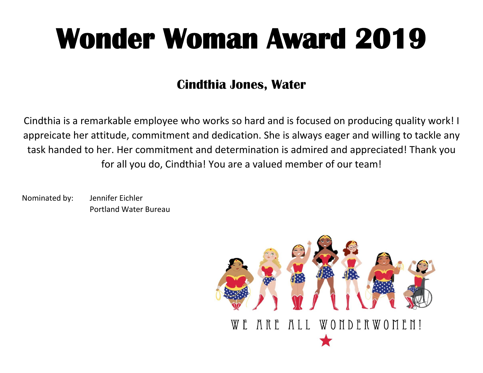### **Cindthia Jones, Water**

Cindthia is a remarkable employee who works so hard and is focused on producing quality work! I appreicate her attitude, commitment and dedication. She is always eager and willing to tackle any task handed to her. Her commitment and determination is admired and appreciated! Thank you for all you do, Cindthia! You are a valued member of our team!

Nominated by: Jennifer Eichler Portland Water Bureau

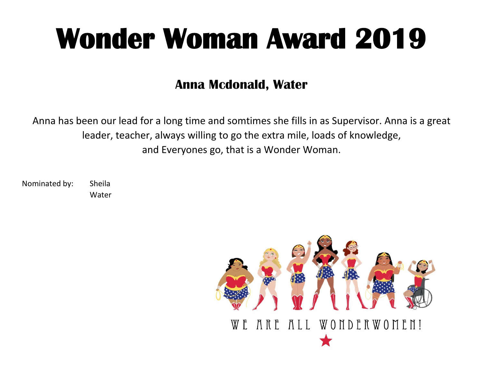### **Anna Mcdonald, Water**

Anna has been our lead for a long time and somtimes she fills in as Supervisor. Anna is a great leader, teacher, always willing to go the extra mile, loads of knowledge, and Everyones go, that is a Wonder Woman.

Nominated by: Sheila Water

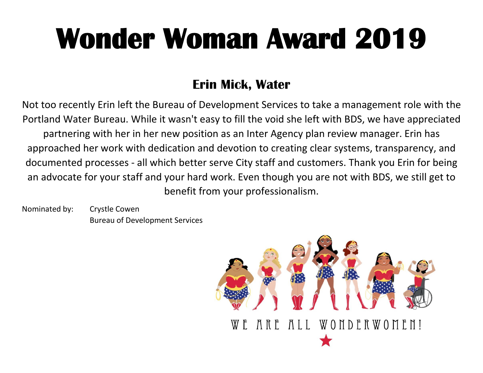### **Erin Mick, Water**

Not too recently Erin left the Bureau of Development Services to take a management role with the Portland Water Bureau. While it wasn't easy to fill the void she left with BDS, we have appreciated partnering with her in her new position as an Inter Agency plan review manager. Erin has approached her work with dedication and devotion to creating clear systems, transparency, and documented processes - all which better serve City staff and customers. Thank you Erin for being an advocate for your staff and your hard work. Even though you are not with BDS, we still get to benefit from your professionalism.

Nominated by: Crystle Cowen Bureau of Development Services

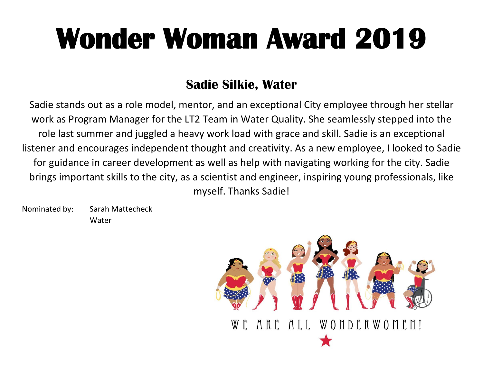### **Sadie Silkie, Water**

Sadie stands out as a role model, mentor, and an exceptional City employee through her stellar work as Program Manager for the LT2 Team in Water Quality. She seamlessly stepped into the role last summer and juggled a heavy work load with grace and skill. Sadie is an exceptional listener and encourages independent thought and creativity. As a new employee, I looked to Sadie for guidance in career development as well as help with navigating working for the city. Sadie brings important skills to the city, as a scientist and engineer, inspiring young professionals, like myself. Thanks Sadie!

Nominated by: Sarah Mattecheck **Water** 

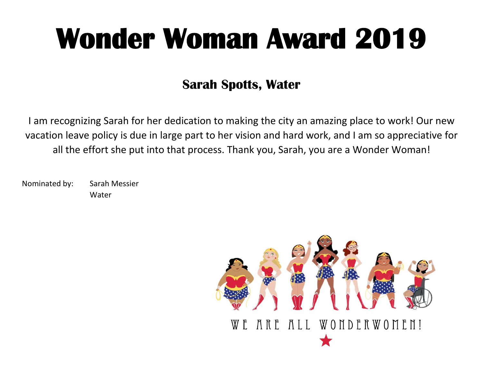#### **Sarah Spotts, Water**

I am recognizing Sarah for her dedication to making the city an amazing place to work! Our new vacation leave policy is due in large part to her vision and hard work, and I am so appreciative for all the effort she put into that process. Thank you, Sarah, you are a Wonder Woman!

Nominated by: Sarah Messier **Water** 

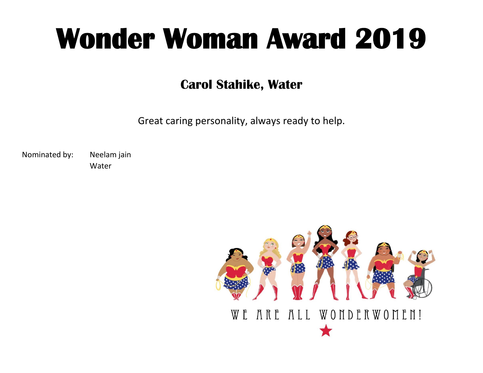#### **Carol Stahike, Water**

Great caring personality, always ready to help.

Nominated by: Neelam jain Water